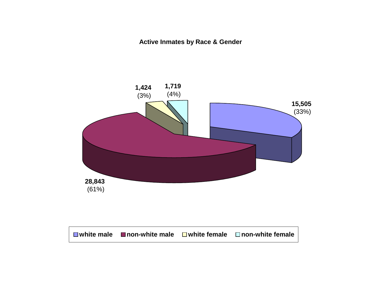**Active Inmates by Race & Gender**

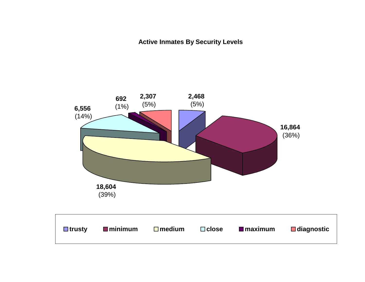**Active Inmates By Security Levels**

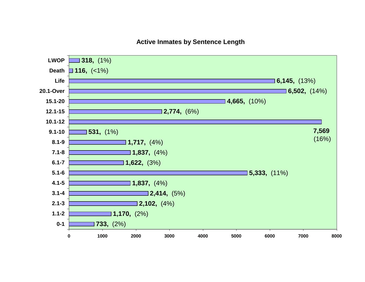### **Active Inmates by Sentence Length**

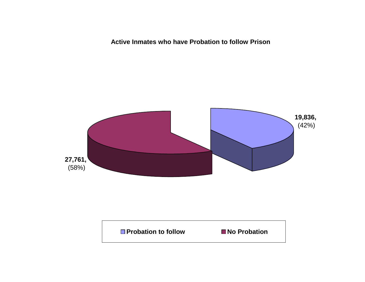**Active Inmates who have Probation to follow Prison**



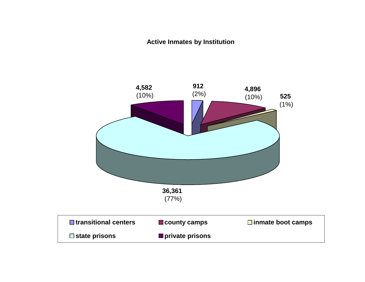## **Active Inmates by Institution**

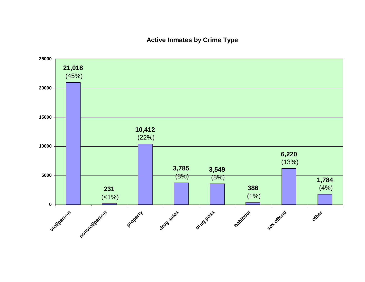### **Active Inmates by Crime Type**

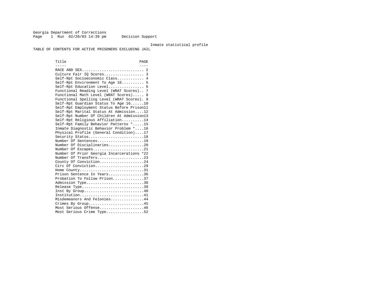Georgia Department of Corrections Page 1 Run 02/20/03 14:39 pm Decision Support

#### Inmate statistical profile

TABLE OF CONTENTS FOR ACTIVE PRISONERS EXCLUDING JAIL

Title PAGE ----- ----RACE AND SEX................................. 2 Culture Fair IQ Scores.................. 3 Self-Rpt Socioeconomic Class............ 4 Self-Rpt Environment To Age 16.......... 5 Self-Rpt Education Level................ 6 Functional Reading Level (WRAT Scores).. 7 Functional Math Level (WRAT Scores)..... 8 Functional Spelling Level (WRAT Scores). 9 Self-Rpt Guardian Status To Age 16......10 Self-Rpt Employment Status Before Prison11 Self-Rpt Marital Status At Admission....12 Self-Rpt Number Of Children At Admission13 Self-Rpt Religious Affiliation..........14 Self-Rpt Family Behavior Patterns \*.....15 Inmate Diagnostic Behavior Problem \*....16 Physical Profile (General Condition)....17 Security Status...........................18 Number Of Sentences.....................19 Number Of Disciplinaries................20 Number Of Escapes........................21 Number Of Prior Georgia Incarcerations \*22 Number Of Transfers.....................23 County Of Conviction....................24 Circ Of Conviction......................29 Home County.............................31 Prison Sentence In Years................36 Probation To Follow Prison..............37Admission Type.............................38 Release Type...............................39 Inst By Group.............................40 Institution...............................41 Misdemeanors And Felonies...............44 Crimes By Group...........................45 Most Serious Offense....................46 Most Serious Crime Type.................52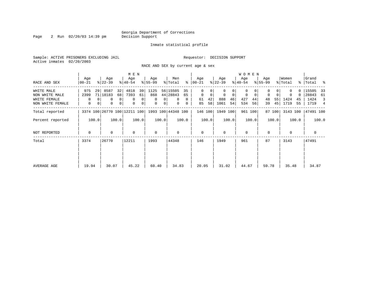Page 2 Run 02/20/03 14:39 pm

### Inmate statistical profile

Sample: ACTIVE PRISONERS EXCLUDING JAIL **Requestor: DECISION SUPPORT** Active inmates 02/20/2003

RACE AND SEX by current age & sex

|                  |                  |                |                              |       | M E N            |       |                  |                |                    |              |                  |         |                  |       | W O M E N        |         |                  |        |                  |               |                  |                          |
|------------------|------------------|----------------|------------------------------|-------|------------------|-------|------------------|----------------|--------------------|--------------|------------------|---------|------------------|-------|------------------|---------|------------------|--------|------------------|---------------|------------------|--------------------------|
| RACE AND SEX     | Age<br>$ 00-21 $ |                | Age<br>$ 22-39 $             |       | Age<br>$ 40-54 $ |       | Age<br>$8 55-99$ |                | Men<br>% Total     | ွေ           | Age<br>$ 00-21 $ |         | Age<br>$ 22-39 $ |       | Age<br>$ 40-54 $ |         | Age<br>$8 55-99$ |        | Women<br>% Total | $\frac{8}{3}$ | Grand<br>Total % |                          |
| WHITE MALE       | 975              | 29             | 8587                         | 32    | 4818             | 39    | 1125             |                | 56 15505           | 35           | 0                | 0       | 0                | 0     | 0                |         | 0                |        |                  |               | 15505            | 33                       |
| NON WHITE MALE   | 2399             |                | 71 18183                     | 68    | 7393             | 61    | 868              |                | 44 28843           | 65           | $\mathbf 0$      | 0       | 0                | 0     | 0                | 0       | $\mathbf 0$      |        | 0                | 0             | 28843            | - 61                     |
| WHITE FEMALE     | $\Omega$         |                | 0                            | 0     | $\Omega$         | 0     | $\Omega$         | $\overline{0}$ | $\Omega$           | $\Omega$     | 61               | 42      | 888              | 46    | 427              | 44      | 48               | 55     | 1424             | 45            | 1424             | $\overline{\phantom{a}}$ |
| NON WHITE FEMALE | 0                | 0 <sup>1</sup> | 0                            | 0     | 0                | 0     | $\mathbf 0$      | 0 <sup>1</sup> | $\mathbf{0}$       | $\mathbf{0}$ | 85               | 58      | 1061             | 54    | 534              | 56      | 39               | 45     | 1719             | 55            | 1719 4           |                          |
| Total reported   |                  |                | 3374 100 26770 100 12211 100 |       |                  |       |                  |                | 1993 100 44348 100 |              |                  | 146 100 | 1949 100         |       |                  | 961 100 |                  | 87 100 | 3143 100         |               | 47491 100        |                          |
| Percent reported | 100.0            |                |                              | 100.0 |                  | 100.0 |                  | 100.0          |                    | 100.0        |                  | 100.0   |                  | 100.0 |                  | 100.0   |                  | 100.0  |                  | 100.0         |                  | 100.0                    |
| NOT REPORTED     | 0                |                | 0                            |       | $\mathbf 0$      |       | $\mathbf 0$      |                | $\Omega$           |              | $\mathbf 0$      |         | $\mathbf 0$      |       | $\mathbf 0$      |         | $\mathbf 0$      |        | $\mathbf 0$      |               | $\mathbf 0$      |                          |
| Total            | 3374             |                | 26770                        |       | 12211            |       | 1993             |                | 44348              |              | 146              |         | 1949             |       | 961              |         | 87               |        | 3143             |               | 47491            |                          |
|                  |                  |                |                              |       |                  |       |                  |                |                    |              |                  |         |                  |       |                  |         |                  |        |                  |               |                  |                          |
| AVERAGE AGE      | 19.94            |                | 30.07                        |       | 45.22            |       | 60.40            |                | 34.83              |              | 20.05            |         | 31.02            |       | 44.67            |         | 59.78            |        | 35.48            |               | 34.87            |                          |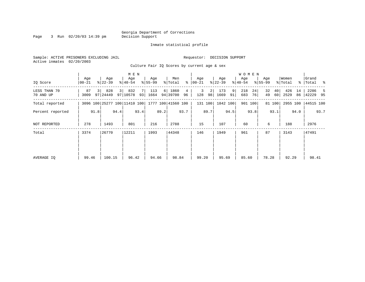Page 3 Run 02/20/03 14:39 pm

### Inmate statistical profile

Sample: ACTIVE PRISONERS EXCLUDING JAIL **Requestor: DECISION SUPPORT** Active inmates 02/20/2003 Culture Fair IQ Scores by current age & sex

| IQ Score                  | Age<br>00-21 |      | Age<br>$ 22 - 39 $                              |      | M E N<br>Age<br>$8140 - 54$ |           | Age<br>$8155 - 99$ |      | Men<br>% Total   | ွေ      | Age<br>$ 00-21 $ |                           | Age<br>$ 22-39 $ |         | <b>WOMEN</b><br>Age<br>$8 40-54$ |          | Age<br>$8155 - 99$ |          | Women<br>% Total | ႜ        | Grand<br> Total % |      |
|---------------------------|--------------|------|-------------------------------------------------|------|-----------------------------|-----------|--------------------|------|------------------|---------|------------------|---------------------------|------------------|---------|----------------------------------|----------|--------------------|----------|------------------|----------|-------------------|------|
| LESS THAN 70<br>70 AND UP | 87<br>3009   |      | 828<br>97 24449                                 | 3    | 832<br>97 10578             | 7 I<br>93 | 113<br>1664        | 6    | 1860<br>94 39700 | 4<br>96 | 128              | 3<br>$\overline{2}$<br>98 | 173<br>1669      | 9<br>91 | 218<br>683                       | 24<br>76 | 32<br>49           | 40<br>60 | 426<br>2529      | 14<br>86 | 2286<br>42229 95  |      |
| Total reported            |              |      | 3096 100 25277 100 11410 100 1777 100 41560 100 |      |                             |           |                    |      |                  |         |                  | 131 100                   | 1842 100         |         |                                  | 901 100  |                    | 81 100   | 2955 100         |          | 44515 100         |      |
| Percent reported          |              | 91.8 |                                                 | 94.4 |                             | 93.4      |                    | 89.2 |                  | 93.7    |                  | 89.7                      |                  | 94.5    |                                  | 93.8     |                    | 93.1     |                  | 94.0     |                   | 93.7 |
| NOT REPORTED              | 278          |      | 1493                                            |      | 801                         |           | 216                |      | 2788             |         | 15               |                           | 107              |         | 60                               |          | 6                  |          | 188              |          | 2976              |      |
| Total                     | 3374         |      | 26770                                           |      | 12211                       |           | 1993               |      | 44348            |         | 146              |                           | 1949             |         | 961                              |          | 87                 |          | 3143             |          | 47491             |      |
| AVERAGE IO                | 99.46        |      | 100.15                                          |      | 96.42                       |           | 94.66              |      | 98.84            |         |                  | 99.20                     | 95.69            |         | 85.60                            |          | 78.28              |          | 92.29            |          | 98.41             |      |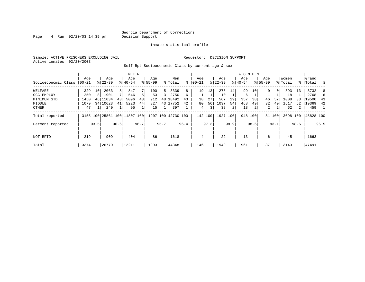Page  $4$  Run  $02/20/03$  14:39 pm

#### Inmate statistical profile

Sample: ACTIVE PRISONERS EXCLUDING JAIL **Requestor: DECISION SUPPORT** Active inmates 02/20/2003

Self-Rpt Socioeconomic Class by current age & sex

|                     |          |      |           |      | M E N                        |      |             |      |                    |      |           |      |           |      | <b>WOMEN</b> |         |             |          |          |      |           |                  |
|---------------------|----------|------|-----------|------|------------------------------|------|-------------|------|--------------------|------|-----------|------|-----------|------|--------------|---------|-------------|----------|----------|------|-----------|------------------|
|                     | Age      |      | Age       |      | Age                          |      | Age         |      | Men                |      | Age       |      | Age       |      | Aqe          |         | Age         |          | Women    |      | Grand     |                  |
| Socioeconomic Class | $ 00-21$ |      | $8 22-39$ |      | $8 40-54$                    |      | $8155 - 99$ |      | % Total            | ៖    | $00 - 21$ | န္   | $22 - 39$ |      | $8 40-54$    |         | $8155 - 99$ |          | % Total  |      | %   Total | $\sim$ $\approx$ |
| WELFARE             | 329      | 10   | 2063      | 8    | 847                          |      | 100         | 5    | 3339               | 8    | 19        | 13   | 275       | 14   | 99           | 10      | $\Omega$    | $\Omega$ | 393      | 13   | 3732      | 8                |
| OCC EMPLOY          | 250      | 8    | 1901      | 7    | 546                          | 5.   | 53          | 3    | 2750               | 6    |           |      | 10        |      | 6            |         |             |          | 18       |      | 2768      | 6                |
| MINIMUM STD         | 1450     | 46   | 11034     | 43   | 5096                         | 43   | 912         |      | 48 18492           | 43   | 38        | 27   | 567       | 29   | 357          | 38      | 46          | 57       | 1008     | 33   | 19500     | 43               |
| MIDDLE              | 1079     |      | 34 10623  | 41   | 5223                         | 44   | 827         |      | 43 17752           | 42   | 80        | 56   | 1037      | 54   | 468          | 49      | 32          | 40       | 1617     | 52   | 19369     | 42               |
| OTHER               | 47       |      | 240       |      | 95                           |      | 15          |      | 397                |      | 4         | 3    | 38        | 2    | 18           | 2       | 2           | 2        | 62       | 2    | 459       | $\overline{1}$   |
| Total reported      |          |      |           |      | 3155 100 25861 100 11807 100 |      |             |      | 1907 100 42730 100 |      | 142 100   |      | 1927 100  |      |              | 948 100 |             | 81 100   | 3098 100 |      | 45828 100 |                  |
| Percent reported    |          | 93.5 |           | 96.6 |                              | 96.7 |             | 95.7 |                    | 96.4 |           | 97.3 |           | 98.9 |              | 98.6    |             | 93.1     |          | 98.6 |           | 96.5             |
| NOT RPTD            | 219      |      | 909       |      | 404                          |      | 86          |      | 1618               |      | 4         |      | 22        |      | 13           |         | 6           |          | 45       |      | 1663      |                  |
| Total               | 3374     |      | 26770     |      | 12211                        |      | 1993        |      | 44348              |      | 146       |      | 1949      |      | 961          |         | 87          |          | 3143     |      | 47491     |                  |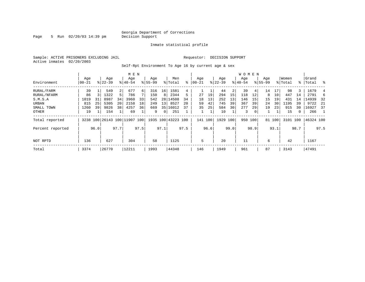Page 5 Run 02/20/03 14:39 pm

### Inmate statistical profile

Sample: ACTIVE PRISONERS EXCLUDING JAIL **Requestor: DECISION SUPPORT** Active inmates 02/20/2003

Self-Rpt Environment To Age 16 by current age & sex

|                  |                   |      |                  |                | M E N                        |      |                    |                 |                    |      |                  |      |                  |      | WOMEN            |                |                    |        |                  |      |                 |      |
|------------------|-------------------|------|------------------|----------------|------------------------------|------|--------------------|-----------------|--------------------|------|------------------|------|------------------|------|------------------|----------------|--------------------|--------|------------------|------|-----------------|------|
| Environment      | Age<br>$ 00 - 21$ |      | Age<br>$ 22-39 $ |                | Age<br>$8140 - 54$           |      | Age<br>$8155 - 99$ |                 | Men<br>% Total     | ႜ    | Aqe<br>$00 - 21$ |      | Age<br>$ 22-39 $ |      | Aqe<br>$8 40-54$ |                | Age<br>$8155 - 99$ |        | Women<br>% Total | ႜ    | Grand<br> Total | ႜ    |
| RURAL/FARM       | 39                |      | 549              | $\overline{2}$ | 677                          | 6    | 316                | 16 <sup>1</sup> | 1581               | 4    |                  |      | 44               | 2    | 39               | 41             | 14                 |        | 98               | 3    | 1679            | 4    |
| RURAL/NFARM      | 86                |      | 1322             | 5              | 786                          |      | 150                | 8               | 2344               | 5    | 27               | 19   | 294              | 15   | 118              | 12             | 8                  | 10     | 447              | 14   | 2791            | 6    |
| S.M.S.A          | 1019              | 31   | 8987             | 34             | 3960                         | 33   | 542                |                 | 28 14508           | 34   | 18               | 13   | 252              | 13   | 146              | 15             | 15                 | 19     | 431              | 14   | 14939           | -32  |
| URBAN            | 815               | 25   | 5305             | 20             | 2158                         | 18   | 249                | 13 <sup>1</sup> | 8527               | 20   | 59               | 42   | 745              | 39   | 367              | 39             | 24                 | 30     | 1195             | 39   | 9722            | - 21 |
| SMALL TOWN       | 1260              | 39   | 9826             | 38             | 4257                         | 36   | 669                |                 | 35 16012           | 37   | 35               | 25   | 584              | 30   | 277              | 29             | 19                 | 23     | 915              | 30   | 16927           | 37   |
| OTHER            | 19                |      | 154              |                | 69                           |      | 9                  | 0 <sup>1</sup>  | 251                |      |                  |      | 10               |      | 3                | 0 <sup>1</sup> |                    |        | 15               | 0    | 266             |      |
| Total reported   |                   |      |                  |                | 3238 100 26143 100 11907 100 |      |                    |                 | 1935 100 43223 100 |      | 141 100          |      | 1929             | 100  | 950 100          |                |                    | 81 100 | 3101 100         |      | 46324 100       |      |
| Percent reported |                   | 96.0 |                  | 97.7           |                              | 97.5 |                    | 97.1            |                    | 97.5 |                  | 96.6 |                  | 99.0 |                  | 98.9           |                    | 93.1   |                  | 98.7 |                 | 97.5 |
| NOT RPTD         | 136               |      | 627              |                | 304                          |      | 58                 |                 | 1125               |      | 5                |      | 20               |      | 11               |                | 6                  |        | 42               |      | 1167            |      |
| Total            | 3374              |      | 26770            |                | 12211                        |      | 1993               |                 | 44348              |      | 146              |      | 1949             |      | 961              |                | 87                 |        | 3143             |      | 47491           |      |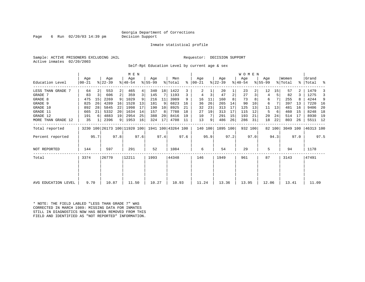### Georgia Department of Corrections<br>Decision Support

Page 6 Run  $02/20/03$  14:39 pm

### Inmate statistical profile

Sample: ACTIVE PRISONERS EXCLUDING JAIL **Requestor: DECISION SUPPORT** Active inmates 02/20/2003

Self-Rpt Education Level by current age & sex

|                     | Age   |      | Age                          |                | M E N<br>Age |      | Age       |                 | Men                |      | Age           |      | Age       |      | WOMEN<br>Age |      | Age       |        | Women    |      | Grand     |      |
|---------------------|-------|------|------------------------------|----------------|--------------|------|-----------|-----------------|--------------------|------|---------------|------|-----------|------|--------------|------|-----------|--------|----------|------|-----------|------|
| Education Level     | 00-21 |      | $ 22-39 $                    |                | $8140 - 54$  |      | $8 55-99$ |                 | % Total            |      | $8   00 - 21$ |      | $ 22-39 $ |      | $ 40-54 $    |      | $8 55-99$ |        | % Total  |      | %   Total | ႜ    |
| LESS THAN GRADE 7   | 64    |      | 553                          | $\overline{2}$ | 465          | 4    | 340       | 18 <sup>1</sup> | 1422               |      | 2             |      | 20        |      | 23           |      | 12        | 15     | 57       |      | 1479      |      |
| GRADE 7             | 83    | 3    | 606                          | 2 <sup>1</sup> | 359          | 3    | 145       | 7               | 1193               | 3    | 4             | 3    | 47        | 2    | 27           |      | 4         |        | 82       |      | 1275      |      |
| GRADE 8             | 475   | 15   | 2269                         | 9 <sup>1</sup> | 1029         |      | 216       | 11              | 3989               | 9    | 16            | 11   | 160       |      | 73           |      | 6         |        | 255      |      | 4244      | 9    |
| GRADE 9             | 825   | 26   | 4289                         | 16             | 1528         | 13   | 181       | 9               | 6823               | 16   | 36            | 26   | 265       | 14   | 90           | 10   | 6         |        | 397      | 13   | 7220      | - 16 |
| GRADE 10            | 892   | 28   | 5845                         | 22             | 1998         | 17   | 190       | 10              | 8925               | 21   | 32            | 23   | 313       | 17   | 125          | 13   | 11        | 13     | 481      | 16   | 9406      | 20   |
| GRADE 11            | 665   | 21   | 5332                         | 20             | 1634         | 14   | 157       | 8               | 7788               | 18   | 27            | 19   | 313       | 17   | 115          | 12   | 5         | 6      | 460      | 15   | 8248      | 18   |
| GRADE 12            | 191   | 6    | 4883                         | 19             | 2954         | 25   | 388       | 20              | 8416               | 19   | 10            |      | 291       | 15   | 193          | 21   | 20        | 24     | 514      | 17   | 8930      | 19   |
| MORE THAN GRADE 12  | 35    |      | 2396                         |                | 9   1953     | 16   | 324       | 17              | 4708               | -11  | 13            | 9    | 486       | 26   | 286          | 31   | 18        | 22     | 803      | 26   | 5511 12   |      |
| Total reported      |       |      | 3230 100 26173 100 11920 100 |                |              |      |           |                 | 1941 100 43264 100 |      | 140 100       |      | 1895 100  |      | 932 100      |      |           | 82 100 | 3049 100 |      | 46313 100 |      |
| Percent reported    |       | 95.7 |                              | 97.8           |              | 97.6 |           | 97.4            |                    | 97.6 |               | 95.9 |           | 97.2 |              | 97.0 |           | 94.3   |          | 97.0 |           | 97.5 |
| NOT REPORTED        | 144   |      | 597                          |                | 291          |      | 52        |                 | 1084               |      | 6             |      | 54        |      | 29           |      | 5         |        | 94       |      | 1178      |      |
| Total               | 3374  |      | 26770                        |                | 12211        |      | 1993      |                 | 44348              |      | 146           |      | 1949      |      | 961          |      | 87        |        | 3143     |      | 47491     |      |
|                     |       |      |                              |                |              |      |           |                 |                    |      |               |      |           |      |              |      |           |        |          |      |           |      |
|                     |       |      |                              |                |              |      |           |                 |                    |      |               |      |           |      |              |      |           |        |          |      |           |      |
| AVG EDUCATION LEVEL | 9.70  |      | 10.87                        |                | 11.50        |      | 10.27     |                 | 10.93              |      | 11.24         |      | 13.36     |      | 13.95        |      | 12.06     |        | 13.41    |      | 11.09     |      |

\* NOTE: THE FIELD LABLED "LESS THAN GRADE 7" WAS CORRECTED IN MARCH 1989: MISSING DATA FOR INMATES STILL IN DIAGNOSTICS NOW HAS BEEN REMOVED FROM THIS FIELD AND IDENTIFIED AS "NOT REPORTED" INFORMATION.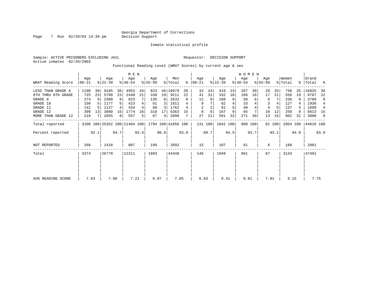Inmate statistical profile

Active inmates 02/20/2003

### Sample: ACTIVE PRISONERS EXCLUDING JAIL **Requestor: DECISION SUPPORT**

Functional Reading Level (WRAT Scores) by current age & sex

|                     |                 |      |                  |      |                                                 | M E N          |                  |                 |                |      |                  |      |                  |      | <b>WOMEN</b>     |         |                    |        |                  |      |                    |      |
|---------------------|-----------------|------|------------------|------|-------------------------------------------------|----------------|------------------|-----------------|----------------|------|------------------|------|------------------|------|------------------|---------|--------------------|--------|------------------|------|--------------------|------|
| WRAT Reading Score  | Age<br>$ 00-21$ |      | Age<br>$ 22-39 $ |      | Age<br>$ 40-54 $                                |                | Aqe<br>$ 55-99 $ |                 | Men<br>% Total | ႜ    | Age<br>$00 - 21$ |      | Age<br>$ 22-39 $ |      | Age<br>$ 40-54 $ |         | Age<br>$8155 - 99$ |        | Women<br>% Total |      | Grand<br>%   Total | ႜ    |
| LESS THAN GRADE 6   | 1198            | 39   | 9105             | 36   | 4953                                            | 43             | 823              |                 | 46 16079       | 39   | 32               | 24   | 419              | 23   | 267              | 30      | 28                 | 35     | 746              | 25   | 16825              | 38   |
| 6TH THRU 8TH GRADE  | 725             | 23   | 5708             | 23   | 2440                                            | 21             | 338              | 19 <sup>1</sup> | 9211           | 22   | 41               | 31   | 332              | 18   | 166              | 18      | 17                 | 21     | 556              | 19   | 9767               | 22   |
| GRADE 9             | 274             |      | 2300             | 9    | 823                                             |                | 135              | 8               | 3532           | 8    | 12               | 9    | 160              |      | 58               |         | 6                  |        | 236              |      | 3768               | 8    |
| GRADE 10            | 150             |      | 1177             |      | 423                                             |                | 61               | 3               | 1811           |      | 9                |      | 82               | 4    | 33               |         | 3                  |        | 127              |      | 1938               | 4    |
| GRADE 11            | 141             |      | 1127             |      | 434                                             |                | 60               | 3               | 1762           |      | 2                |      | 91               | 5    | 40               |         | 4                  |        | 137              |      | 1899               | 4    |
| GRADE 12            | 399             | 13   | 3880             | 15   | 1774                                            | 16             | 310              | 17              | 6363           | 15   | 8                | 6    | 167              | 9    | 65               |         | 10                 | 12     | 250              |      | 6613 15            |      |
| MORE THAN GRADE 12  | 219             |      | 2055             | 8    | 557                                             | 5 <sub>1</sub> | 67               | $\overline{4}$  | 2898           |      | 27               | 21   | 591              | 32   | 271              | 30      | 13                 | 16     | 902              | 31   | 3800               | 9    |
| Total reported      |                 |      |                  |      | 3106 100 25352 100 11404 100 1794 100 41656 100 |                |                  |                 |                |      | 131 100          |      | 1842 100         |      |                  | 900 100 |                    | 81 100 | 2954 100         |      | 44610 100          |      |
| Percent reported    |                 | 92.1 |                  | 94.7 |                                                 | 93.4           |                  | 90.0            |                | 93.9 |                  | 89.7 |                  | 94.5 |                  | 93.7    |                    | 93.1   |                  | 94.0 |                    | 93.9 |
| <b>NOT REPORTED</b> | 268             |      | 1418             |      | 807                                             |                | 199              |                 | 2692           |      | 15               |      | 107              |      | 61               |         | 6                  |        | 189              |      | 2881               |      |
| Total               | 3374            |      | 26770            |      | 12211                                           |                | 1993             |                 | 44348          |      | 146              |      | 1949             |      | 961              |         | 87                 |        | 3143             |      | 47491              |      |
|                     |                 |      |                  |      |                                                 |                |                  |                 |                |      |                  |      |                  |      |                  |         |                    |        |                  |      |                    |      |
|                     |                 |      |                  |      |                                                 |                |                  |                 |                |      |                  |      |                  |      |                  |         |                    |        |                  |      |                    |      |
| AVG READING SCORE   | 7.63            |      | 7.90             |      | 7.21                                            |                | 6.97             |                 | 7.65           |      | 8.63             |      | 9.41             |      | 8.81             |         | 7.91               |        | 9.15             |      | 7.75               |      |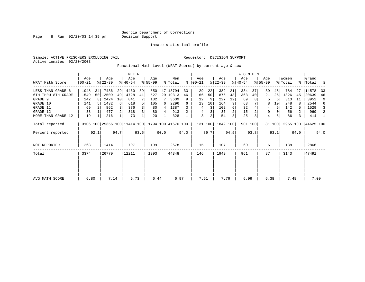Page 8 Run 02/20/03 14:39 pm

Inmate statistical profile

Sample: ACTIVE PRISONERS EXCLUDING JAIL **Requestor: DECISION SUPPORT** Active inmates 02/20/2003

Functional Math Level (WRAT Scores) by current age & sex

|                    |                   |      |                  |      | M E N                        |      |                    |      |                |      |                  |      |                  |      | <b>WOMEN</b>     |         |                    |        |                  |      |                    |      |
|--------------------|-------------------|------|------------------|------|------------------------------|------|--------------------|------|----------------|------|------------------|------|------------------|------|------------------|---------|--------------------|--------|------------------|------|--------------------|------|
| WRAT Math Score    | Age<br>$ 00 - 21$ |      | Age<br>$ 22-39 $ |      | Age<br>$8140 - 54$           |      | Aqe<br>$ 55-99$    |      | Men<br>% Total | ႜ    | Age<br>$00 - 21$ |      | Age<br>$ 22-39 $ |      | Age<br>$ 40-54 $ |         | Age<br>$8155 - 99$ |        | Women<br>% Total |      | Grand<br>%   Total | ႜ    |
| LESS THAN GRADE 6  | 1048              | 34   | 7436             | 29   | 4460                         | 39   | 850                |      | 47 13794       | 33   | 29               | 22   | 382              | 21   | 334              | 37      | 39                 | 48     | 784              | 27   | 14578              | 33   |
| 6TH THRU 8TH GRADE | 1549              |      | 50 12509         | 49   | 4728                         | 41   | 527                |      | 29 19313       | 46   | 66               | 50   | 876              | 48   | 363              | 40      | 21                 | 26     | 1326             | 45   | 20639              | 46   |
| GRADE 9            | 242               | R I  | 2424             | 10   | 841                          |      | 132                |      | 3639           | 9    | 12               | 9    | 227              | 12   | 69               |         | 5                  | 6      | 313              | 11   | 3952               | 9    |
| GRADE 10           | 141               |      | 1432             | 6    | 618                          |      | 105                | 6    | 2296           | 6    | 13               | 10   | 164              | 9    | 63               |         | 8                  | 10     | 248              |      | 2544               | 6    |
| GRADE 11           | 69                |      | 862              |      | 376                          |      | 80                 | 4    | 1387           |      | 4                | 3    | 102              | 6    | 32               |         | 4                  | 5      | 142              | 5.   | 1529               | 3    |
| GRADE 12           | 38                |      | 477              |      | 318                          |      | 80                 | 4    | 913            |      | 4                | 3    | 37               | 2    | 15               |         | 0                  |        | 56               | 2    | 969                | 2    |
| MORE THAN GRADE 12 | 19                |      | 216              |      | 73                           |      | 20                 |      | 328            |      | 3                | 2    | 54               | 3    | 25               |         | $\overline{4}$     |        | 86               | 3    | 414                | -1   |
| Total reported     |                   |      |                  |      | 3106 100 25356 100 11414 100 |      | 1794 100 41670 100 |      |                |      | 131 100          |      | 1842 100         |      |                  | 901 100 |                    | 81 100 | 2955 100         |      | 44625 100          |      |
| Percent reported   |                   | 92.1 |                  | 94.7 |                              | 93.5 |                    | 90.0 |                | 94.0 |                  | 89.7 |                  | 94.5 |                  | 93.8    |                    | 93.1   |                  | 94.0 |                    | 94.0 |
| NOT REPORTED       | 268               |      | 1414             |      | 797                          |      | 199                |      | 2678           |      | 15               |      | 107              |      | 60               |         | 6                  |        | 188              |      | 2866               |      |
| Total              | 3374              |      | 26770            |      | 12211                        |      | 1993               |      | 44348          |      | 146              |      | 1949             |      | 961              |         | 87                 |        | 3143             |      | 47491              |      |
|                    |                   |      |                  |      |                              |      |                    |      |                |      |                  |      |                  |      |                  |         |                    |        |                  |      |                    |      |
| AVG MATH SCORE     | 6.80              |      | 7.14             |      | 6.73                         |      | 6.44               |      |                | 6.97 | 7.61             |      | 7.76             |      | 6.99             |         | 6.38               |        | 7.48             |      | 7.00               |      |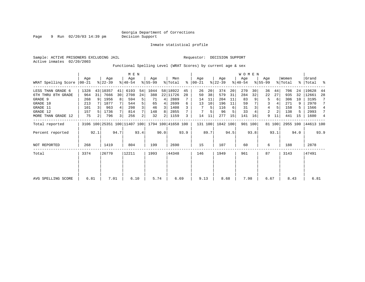Page 9 Run 02/20/03 14:39 pm

Inmate statistical profile

Active inmates 02/20/2003

Sample: ACTIVE PRISONERS EXCLUDING JAIL **Requestor: DECISION SUPPORT** 

Functional Spelling Level (WRAT Scores) by current age & sex

|                     |                 |                |                  |      | M E N                                           |                |                 |                |                |      |                    |      |                  |      | WOMEN            |         |                  |        |                  |      |                    |      |
|---------------------|-----------------|----------------|------------------|------|-------------------------------------------------|----------------|-----------------|----------------|----------------|------|--------------------|------|------------------|------|------------------|---------|------------------|--------|------------------|------|--------------------|------|
| WRAT Spelling Score | Aqe<br>$ 00-21$ |                | Age<br>$ 22-39 $ |      | Age<br>$ 40-54 $                                |                | Age<br>$ 55-99$ |                | Men<br>% Total | ႜ    | Age<br>$ 00 - 21 $ |      | Age<br>$ 22-39 $ |      | Age<br>$ 40-54 $ |         | Age<br>$8 55-99$ |        | Women<br>% Total |      | Grand<br>%   Total | ႜ    |
| LESS THAN GRADE 6   | 1328            |                | 43 10357         | 41   | 6193                                            | 54             | 1044            |                | 58 18922       | 45   | 26                 | 20   | 374              | 20   | 270              | 30      | 36               | 44     | 706              | 24   | 19628              | 44   |
| 6TH THRU 8TH GRADE  | 964             | 31             | 7666             | 30   | 2708                                            | 24             | 388             |                | 22 11726       | 28   | 50                 | 38   | 579              | 31   | 284              | 32      | 22               | 27     | 935              | 32   | 12661              | 28   |
| GRADE 9             | 268             |                | 1956             | 8    | 594                                             | 5              | 71              | 4              | 2889           |      | 14                 | 11   | 204              | 11   | 83               |         | 5                | 6      | 306              | 10   | 3195               |      |
| GRADE 10            | 213             |                | 1877             |      | 544                                             |                | 65              | 4              | 2699           | 6    | 13                 | 10   | 196              | 11   | 59               |         | 3                |        | 271              | 9    | 2970               |      |
| GRADE 11            | 101             |                | 963              |      | 298                                             |                | 46              | 3              | 1408           |      |                    | 5    | 116              | 6    | 31               |         | 4                |        | 158              | 5    | 1566               | 4    |
| GRADE 12            | 157             |                | 1736             |      | 814                                             |                | 148             | 8              | 2855           |      |                    |      | 96               |      | 33               |         | 2                |        | 138              |      | 2993               | 7    |
| MORE THAN GRADE 12  | 75              | $\overline{2}$ | 796              |      | 256                                             | $\overline{2}$ | 32              | $\overline{2}$ | 1159           | 3    | 14                 |      | 277              | 15   | 141              | 16      | 9                | 11     | 441              | 15   | 1600               | 4    |
| Total reported      |                 |                |                  |      | 3106 100 25351 100 11407 100 1794 100 41658 100 |                |                 |                |                |      | 131 100            |      | 1842 100         |      |                  | 901 100 |                  | 81 100 | 2955 100         |      | 44613 100          |      |
| Percent reported    |                 | 92.1           |                  | 94.7 |                                                 | 93.4           |                 | 90.0           |                | 93.9 |                    | 89.7 |                  | 94.5 |                  | 93.8    |                  | 93.1   |                  | 94.0 |                    | 93.9 |
| <b>NOT REPORTED</b> | 268             |                | 1419             |      | 804                                             |                | 199             |                | 2690           |      | 15                 |      | 107              |      | 60               |         | 6                |        | 188              |      | 2878               |      |
| Total               | 3374            |                | 26770            |      | 12211                                           |                | 1993            |                | 44348          |      | 146                |      | 1949             |      | 961              |         | 87               |        | 3143             |      | 47491              |      |
|                     |                 |                |                  |      |                                                 |                |                 |                |                |      |                    |      |                  |      |                  |         |                  |        |                  |      |                    |      |
|                     |                 |                |                  |      |                                                 |                |                 |                |                |      |                    |      |                  |      |                  |         |                  |        |                  |      |                    |      |
| AVG SPELLING SCORE  | 6.81            |                | 7.01             |      | 6.10                                            |                | 5.74            |                |                | 6.69 | 9.13               |      | 8.68             |      | 7.98             |         | 6.67             |        | 8.43             |      | 6.81               |      |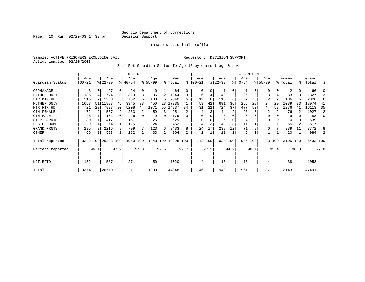Page  $10$  Run  $02/20/03$  14:39 pm

#### Inmate statistical profile

Sample: ACTIVE PRISONERS EXCLUDING JAIL **Requestor: DECISION SUPPORT** Active inmates 02/20/2003

Self-Rpt Guardian Status To Age 16 by current age & sex

|                  |            |      |                              |      | M E N       |      |          |      |                    |      |          |      |           |          | W O M E N |         |                |        |          |           |           |      |
|------------------|------------|------|------------------------------|------|-------------|------|----------|------|--------------------|------|----------|------|-----------|----------|-----------|---------|----------------|--------|----------|-----------|-----------|------|
|                  | Age        |      | Age                          |      | Age         |      | Age      |      | Men                |      | Age      |      | Age       |          | Age       |         | Age            |        | Women    |           | Grand     |      |
| Guardian Status  | $ 00 - 21$ |      | $ 22-39 $                    |      | $8140 - 54$ |      | $ 55-99$ |      | % Total            | ి    | $ 00-21$ |      | $ 22-39 $ |          | $ 40-54$  |         | $8155 - 99$    |        | % Total  | $\approx$ | Total     | န္   |
| ORPHANAGE        | 3          | 0    | 27                           |      | 24          | 0    | 10       |      | 64                 | U    | $\Omega$ | 0    |           | $\Omega$ |           |         | $\Omega$       | 0      | 2        | 0         | 66        |      |
| FATHER ONLY      | 135        |      | 744                          | 3    | 329         | 3    | 36       | 2    | 1244               |      | 6        |      | 48        | 2        | 26        |         | 3              | 4      | 83       | 3         | 1327      |      |
| FTR MTR HD       | 215        |      | 1560                         | 6    | 762         | 6    | 103      | 5    | 2640               | б.   | 12       | 8    | 115       | 6        | 57        | 6       | $\overline{2}$ | 2      | 186      | 6         | 2826      | 6    |
| MOTHER ONLY      | 1653       | 51   | 11887                        | 45   | 3945        | 33   | 450      |      | 23 17935           | 41   | 59       | 42   | 691       | 36       | 265       | 28      | 24             | 29     | 1039     | 33        | 18974     | 41   |
| MTR FTR HD       | 721        | 22   | 7837                         | 30   | 5208        | 44   | 1071     |      | 55 14837           | 34   | 31       | 22   | 724       | 37       | 477       | 50      | 44             | 53     | 1276     | 41        | 16113     | 35   |
| OTH FEMALE       | 72         |      | 557                          |      | 263         | 2    | 59       | 3    | 951                |      | 4        |      | 44        |          | 26        |         | 2              |        | 76       |           | 1027      | 2    |
| OTH MALE         | 23         |      | 101                          |      | 46          | 0    | 9        |      | 179                |      | O        |      | 6         |          |           |         | $\Omega$       |        | 9        | 0         | 188       |      |
| STEP-PARNTS      | 30         |      | 417                          |      | 157         |      | 25       |      | 629                |      | 0        |      | 6         |          | 4         |         | $\Omega$       |        | 10       | 0         | 639       |      |
| FOSTER HOME      | 29         |      | 274                          |      | 125         |      | 24       |      | 452                |      |          |      | 49        |          | 11        |         |                |        | 65       | 2         | 517       |      |
| GRAND PRNTS      | 295        |      | 2216                         | 8    | 799         | 7    | 123      | 6    | 3433               | 8    | 24       | 17   | 238       | 12       | 71        |         | 6              |        | 339      | 11        | 3772      |      |
| OTHER            | 66         |      | 583                          | 2    | 282         | 2    | 33       |      | 964                | 2    | 2        |      | 12        |          | 5         |         |                |        | 20       |           | 984       |      |
| Total reported   |            |      | 3242 100 26203 100 11940 100 |      |             |      |          |      | 1943 100 43328 100 |      | 142 100  |      | 1934 100  |          |           | 946 100 |                | 83 100 | 3105 100 |           | 46433 100 |      |
| Percent reported |            | 96.1 |                              | 97.9 |             | 97.8 |          | 97.5 |                    | 97.7 |          | 97.3 |           | 99.2     |           | 98.4    |                | 95.4   |          | 98.8      |           | 97.8 |
| NOT RPTD         | 132        |      | 567                          |      | 271         |      | 50       |      | 1020               |      | 4        |      | 15        |          | 15        |         | 4              |        | 38       |           | 1058      |      |
| Total            | 3374       |      | 26770                        |      | 12211       |      | 1993     |      | 44348              |      | 146      |      | 1949      |          | 961       |         | 87             |        | 3143     |           | 47491     |      |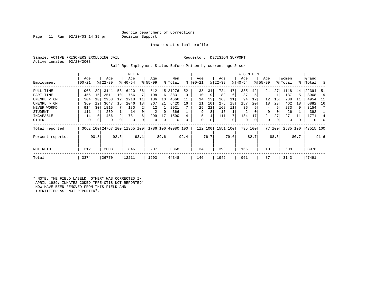### Georgia Department of Corrections<br>Decision Support

Page 11 Run  $02/20/03$  14:39 pm

Inmate statistical profile

Sample: ACTIVE PRISONERS EXCLUDING JAIL **Requestor: DECISION SUPPORT** Active inmates 02/20/2003

Self-Rpt Employment Status Before Prison by current age & sex

| Employment       | Age<br>$00 - 21$ |      | Age<br>$ 22-39 $ |             | M E N<br>Age<br>$8 40-54$ |      | Age<br>$8155 - 99$ |      | Men<br>% Total     | $\approx$ | Age<br>$ 00-21$ |      | Age<br>$8 22-39$ |      | <b>WOMEN</b><br>Age<br>$ 40-54 $ |              | Age<br>$8155 - 99$ |        | Women<br>% Total |      | Grand<br>%   Total | း    |
|------------------|------------------|------|------------------|-------------|---------------------------|------|--------------------|------|--------------------|-----------|-----------------|------|------------------|------|----------------------------------|--------------|--------------------|--------|------------------|------|--------------------|------|
| FULL TIME        | 903              | 29   | 13141            | 53          | 6420                      | 56   | 812                | 45   | 21276              | 52        | 38              | 34   | 724              | 47   | 335                              | 42           | 21                 | 27     | 1118             | 44   | 22394              | 51   |
| PART TIME        | 456              | 15   | 2511             | 10          | 756                       |      | 108                | 6    | 3831               | 9         | 10              | 9    | 89               | 6    | 37                               | 5            |                    |        | 137              | 5.   | 3968               | 9    |
| UNEMPL < 6M      | 304              | 10   | 2958             | 12          | 1218                      | 11   | 186                | 10   | 4666               |           | 14              | 13   | 168              |      | 94                               | 12           | 12                 | 16     | 288              | 11   | 4954               | - 11 |
| UNEMPL > 6M      | 360              | 12   | 3647             | 15          | 2046                      | 18   | 367                | 21   | 6420               | 16        | 11              | 10   | 276              | 18   | 157                              | 20           | 18                 | 23     | 462              | 18   | 6882               | 16   |
| NEVER WORKD      | 914              | 30   | 1815             |             | 180                       |      | 12                 |      | 2921               |           | 25              | 22   | 168              | 11   | 36                               |              | 4                  |        | 233              | 9    | 3154               |      |
| <b>STUDENT</b>   | 111              | 4    | 239              |             | 14                        |      | 2                  | 0    | 366                |           | 9               |      | 15               |      | 2                                | 0            | 0                  |        | 26               |      | 392                |      |
| INCAPABLE        | 14               |      | 456              | 2           | 731                       |      | 299                | 17   | 1500               |           | 5               |      | 111              |      | 134                              | 17           | 21                 | 27     | 271              |      | 1771               |      |
| OTHER            | 0                | 0    | 0                | $\mathbf 0$ | 0                         |      | $\Omega$           | 0    | 0                  |           | $\Omega$        | 0    | 0                | 0    | 0                                | $\mathbf{0}$ | 0                  | 0      | 0                |      | $\mathbf 0$        | 0    |
| Total reported   | 3062 100         |      |                  |             | 24767 100 11365 100       |      |                    |      | 1786 100 40980 100 |           | 112             | 100  | 1551             | 100  | 795 100                          |              |                    | 77 100 | 2535 100         |      | 43515 100          |      |
| Percent reported |                  | 90.8 |                  | 92.5        |                           | 93.1 |                    | 89.6 |                    | 92.4      |                 | 76.7 |                  | 79.6 |                                  | 82.7         |                    | 88.5   |                  | 80.7 |                    | 91.6 |
| NOT RPTD         | 312              |      | 2003             |             | 846                       |      | 207                |      | 3368               |           | 34              |      | 398              |      | 166                              |              | 10                 |        | 608              |      | 3976               |      |
| Total            | 3374             |      | 26770            |             | 12211                     |      | 1993               |      | 44348              |           | 146             |      | 1949             |      | 961                              |              | 87                 |        | 3143             |      | 47491              |      |

\* NOTE: THE FIELD LABELD "OTHER" WAS CORRECTED IN APRIL 1989; INMATES CODED "PRE-OTIS NOT REPORTED" NOW HAVE BEEN REMOVED FROM THIS FIELD AND IDENTIFIED AS "NOT REPORTED".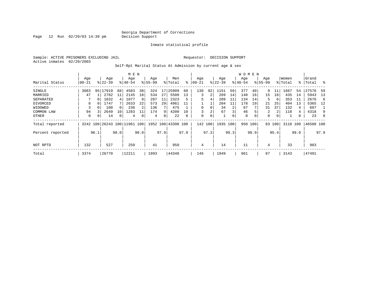Page  $12$  Run  $02/20/03$  14:39 pm

Inmate statistical profile

Sample: ACTIVE PRISONERS EXCLUDING JAIL **Requestor: DECISION SUPPORT** Active inmates 02/20/2003

Self-Rpt Marital Status At Admission by current age & sex

|                  |           |          |                          |          | M E N     |                |             |      |                    |      |           |      |             |      | WOMEN       |          |             |          |         |      |           |      |
|------------------|-----------|----------|--------------------------|----------|-----------|----------------|-------------|------|--------------------|------|-----------|------|-------------|------|-------------|----------|-------------|----------|---------|------|-----------|------|
|                  | Age       |          | Age                      |          | Age       |                | Age         |      | Men                |      | Age       |      | Age         |      | Age         |          | Age         |          | Women   |      | Grand     |      |
| Marital Status   | $00 - 21$ |          | $ 22-39 $                |          | $8 40-54$ |                | $8155 - 99$ |      | % Total            | ⊱    | $00 - 21$ |      | $8$   22-39 |      | $ 40-54$    |          | $8155 - 99$ |          | % Total |      | %   Total | ွေ   |
| SINGLE           | 3083      | 95       | 17919                    | 68       | 4583      | 38             | 324         | 17   | 25909              | 60   | 130       | 92   | 1151        | 59   | 377         | 40       | 9           |          | 1667    | 54   | 27576     | -59  |
| MARRIED          | 47        |          | 2782                     | 11       | 2145      | 18             | 534         | 27   | 5508               | 13   | 3         | 2    | 269         | 14   | 148         | 16       | 15          | 18       | 435     | 14   | 5943      | 13   |
| SEPARATED        |           | $\Omega$ | 1032                     | 4        | 1077      | 9              | 207         | 11   | 2323               | 5    | 5         | 4    | 209         | 11   | 134         | 14       | 5           | 6        | 353     | -11  | 2676      | -6   |
| DIVORCED         | 8         | 0        | 1747                     |          | 2633      | 22             | 573         | 29   | 4961               | 11   |           |      | 204         | 11   | 178         | 19       | 21          | 25       | 404     | 13   | 5365      | 12   |
| WIDOWED          |           |          | 100                      | $\Omega$ | 236       | $\overline{2}$ | 136         |      | 475                |      |           | 0    | 34          |      | 67          |          | 31          | 37       | 132     | 4    | 607       |      |
| COMMON LAW       | 94        |          | 2649                     | 10       | 1283      |                | 174         | 9    | 4200               | 10   |           | 2    | 67          | 3    | 46          |          | 2           | 2        | 118     | 4    | 4318      | 9    |
| OTHER            | 0         | $\Omega$ | 14                       | 0        | 4         |                | 4           | 0    | 22                 | 0    | 0         | 0    |             | 0    | $\mathbf 0$ | $\Omega$ | 0           | $\Omega$ |         |      | 23        | 0    |
| Total reported   |           |          | 3242 100 26243 100 11961 |          |           | . 100          |             |      | 1952 100 43398 100 |      | 142       | 100  | 1935 100    |      | 950         | 100      | 83          | 100      | 3110    | 100  | 46508 100 |      |
| Percent reported |           | 96.1     |                          | 98.0     |           | 98.0           |             | 97.9 |                    | 97.9 |           | 97.3 |             | 99.3 |             | 98.9     |             | 95.4     |         | 99.0 |           | 97.9 |
| NOT RPTD         | 132       |          | 527                      |          | 250       |                | 41          |      | 950                |      | 4         |      | 14          |      | 11          |          | 4           |          | 33      |      | 983       |      |
| Total            | 3374      |          | 26770                    |          | 12211     |                | 1993        |      | 44348              |      | 146       |      | 1949        |      | 961         |          | 87          |          | 3143    |      | 47491     |      |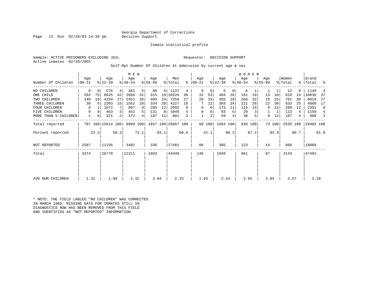Georgia Department of Corrections<br>Decision Support

Page 13 Run  $02/20/03$  14:39 pm

Inmate statistical profile

Sample: ACTIVE PRISONERS EXCLUDING JAIL **Requestor: DECISION SUPPORT** Active inmates 02/20/2003

Self-Rpt Number Of Children At Admission by current age & sex

|                      |                  |          |                   |      |                  | M E N |                  |      |                    |      |                 |                |                  |      | <b>WOMEN</b>     |         |                    |        |                  |      |                |      |
|----------------------|------------------|----------|-------------------|------|------------------|-------|------------------|------|--------------------|------|-----------------|----------------|------------------|------|------------------|---------|--------------------|--------|------------------|------|----------------|------|
| Number Of Children   | Aqe<br>$00 - 21$ |          | Age<br>$ 22-39 $  |      | Age<br>$8 40-54$ |       | Age<br>$ 55-99 $ |      | Men<br>% Total     | ႜ    | Aqe<br>$ 00-21$ |                | Age<br>$ 22-39 $ |      | Age<br>$8 40-54$ |         | Aqe<br>$8155 - 99$ |        | Women<br>% Total | °≈   | Grand<br>Total | ႜ    |
| NO CHILDREN          | 0                | $\Omega$ | 576               | 4    | 481              | 5     | 80               | 5    | 1137               | 4    | 0               | 0              | 5                | 0    | 6                |         |                    | 1      | 12               |      | 1149           |      |
| ONE CHILD            | 592              | 75       | 6625              | 42   | 2694             | 31    | 315              | 19   | 10226              | 38   | 32              | 53             | 404              | 26   | 161              | 19      | 13                 | 18     | 610              | 24   | 10836          | 37   |
| TWO CHILDREN         | 148              | 19       | 4254              | 27   | 2451             | 28    | 405              | 24   | 7258               | 27   | 20              | 33             | 455              | 29   | 268              | 32      | 18                 | 25     | 761              | 30   | 8019           | 27   |
| THREE CHILDREN       | 38               |          | 2303              | 15   | 1552             | 18    | 334              | 20   | 4227               | 16   |                 | 12             | 383              | 24   | 221              | 26      | 22                 | 30     | 633              | 25   | 4860           | 17   |
| <b>FOUR CHILDREN</b> | 8                |          | 1072              |      | 807              | 9     | 205              | 12   | 2092               | 8    | 0               | 0              | 175              | 11   | 115              | 14      | 9                  | 12     | 299              | 12   | 2391           | 8    |
| FIVE CHILDREN        | 0                | $\Omega$ | 463               | 3    | 452              | 5     | 131              | 8    | 1046               |      | 0               | 0              | 83               | 5    | 29               |         |                    | 1      | 113              | 4    | 1159           | 4    |
| MORE THAN 5 CHILDREN | 1                | 0        | 321               | 2    | 372              | 4     | 187              | 11   | 881                | 3    |                 | $\overline{a}$ | 59               | 4    | 38               |         | 9                  | 12     | 107              | 4    | 988            |      |
| Total reported       |                  |          | 787 100 15614 100 |      | 8809 100         |       |                  |      | 1657 100 26867 100 |      |                 | 60 100         | 1564 100         |      |                  | 838 100 |                    | 73 100 | 2535 100         |      | 29402 100      |      |
| Percent reported     |                  | 23.3     |                   | 58.3 |                  | 72.1  |                  | 83.1 |                    | 60.6 |                 | 41.1           |                  | 80.2 |                  | 87.2    |                    | 83.9   |                  | 80.7 |                | 61.9 |
| NOT REPORTED         | 2587             |          | 11156             |      | 3402             |       | 336              |      | 17481              |      | 86              |                | 385              |      | 123              |         | 14                 |        | 608              |      | 18089          |      |
| Total                | 3374             |          | 26770             |      | 12211            |       | 1993             |      | 44348              |      | 146             |                | 1949             |      | 961              |         | 87                 |        | 3143             |      | 47491          |      |
|                      |                  |          |                   |      |                  |       |                  |      |                    |      |                 |                |                  |      |                  |         |                    |        |                  |      |                |      |
|                      |                  |          |                   |      |                  |       |                  |      |                    |      |                 |                |                  |      |                  |         |                    |        |                  |      |                |      |
| AVG NUM CHILDREN     | 1.32             |          | 1.99              |      | 2.32             |       | 3.04             |      | 2.15               |      | 1.65            |                | 2.54             |      | 2.65             |         | 3.04               |        | 2.57             |      | 2.18           |      |

\* NOTE: THE FIELD LABLED "NO CHILDREN" WAS CORRECTED IN MARCH 1989: MISSING DATA FOR INMATES STILL IN DIAGNOSTICS NOW HAS BEEN REMOVED FROM THIS FIELD AND IDENTIFIED AS "NOT REPORTED" INFORMATION.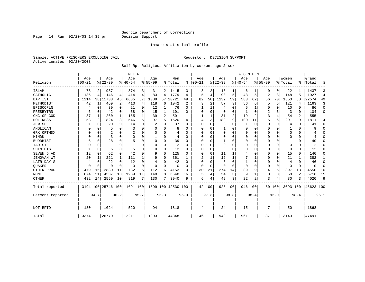Page 14 Run 02/20/03 14:39 pm

### Inmate statistical profile

Sample: ACTIVE PRISONERS EXCLUDING JAIL **Requestor: DECISION SUPPORT** Active inmates 02/20/2003

### Self-Rpt Religious Affiliation by current age & sex

|                   |                   |             |                  |                | M E N                        |          |                  |              |                    |              |                   |                |                 |          | <b>WOMEN</b>     |             |                  |             |                  |          |                |                |
|-------------------|-------------------|-------------|------------------|----------------|------------------------------|----------|------------------|--------------|--------------------|--------------|-------------------|----------------|-----------------|----------|------------------|-------------|------------------|-------------|------------------|----------|----------------|----------------|
| Religion          | Age<br>$ 00 - 21$ |             | Age<br>$8 22-39$ |                | Age<br>$8 40-54$             |          | Age<br>$8 55-99$ |              | Men<br>% Total     | ႜ            | Age<br>$ 00 - 21$ |                | Age<br>$ 22-39$ |          | Age<br>$8 40-54$ |             | Age<br>$8 55-99$ |             | Women<br>% Total | ႜ        | Grand<br>Total | ႜ              |
|                   |                   |             |                  |                |                              |          | 31               |              |                    |              | 3                 |                |                 |          |                  |             | 0                |             |                  |          |                | 3              |
| ISLAM<br>CATHOLIC | 73<br>136         | 4           | 937<br>1146      | 4<br>4         | 374<br>414                   | 3<br>4   | 83               | 2<br>4       | 1415<br>1779       | 3<br>4       | 5                 | 4              | 13<br>98        | 5        | 6<br>43          | 5           | 2                | 0<br>3      | 22<br>148        | 5        | 1437<br>1927   | $\overline{4}$ |
| <b>BAPTIST</b>    | 1214              | 38          | 11733            | 46             | 6685                         | 57       | 1089             | 57           | 20721              | 49           | 82                | 58             | 1132            | 59       | 583              | 62          | 56               | 70          | 1853             | 60       | 22574          | 49             |
| METHODIST         | 42                | $\mathbf 1$ | 469              | $\overline{c}$ | 413                          | 4        | 118              | 6            | 1042               | 2            | 3                 | $\overline{2}$ | 57              | 3        | 56               | 6           | 5                | 6           | 121              | 4        | 1163           | 3              |
| EPISCOPLN         |                   | 0           | 39               | 0              | 21                           | 0        | 12               | $\mathbf{1}$ | 76                 | 0            |                   | 1              | 4               | 0        |                  | 1           | 0                | 0           | 10               | 0        | 86             | $\mathbf 0$    |
| PRESBYTRN         | 6                 | 0           | 42               | 0              | 38                           | 0        | 15               | 1            | 101                | $\Omega$     | 0                 | $\Omega$       | $\mathbf 0$     | 0        |                  | $\Omega$    | 2                | 3           | 3                | $\Omega$ | 104            | 0              |
| CHC OF GOD        | 37                | 1           | 260              | 1              | 165                          |          | 39               | 2            | 501                |              |                   | 1              | 31              | 2        | 19               | 2           | 3                | 4           | 54               | 2        | 555            | 1              |
| HOLINESS          | 53                | 2           | 824              | 3              | 546                          | 5        | 97               | 5            | 1520               | 4            | 4                 | 3              | 182             | 9        | 100              | 11          | 5                | 6           | 291              | 9        | 1811           | 4              |
| <b>JEWISH</b>     |                   | $\Omega$    | 20               | $\Omega$       | 14                           | $\Omega$ | 2                | 0            | 37                 | $\Omega$     | $\Omega$          | $\Omega$       | 3               | O        | 1                | $\mathbf 0$ | 0                | 0           | 4                | $\Omega$ | 41             | $\Omega$       |
| ANGLICAN          | O                 | 0           | 5                | $\Omega$       | 3                            |          | U                | 0            | 8                  | ∩            | O                 | U              |                 | U        | 0                | 0           | 0                | $\Omega$    |                  | $\Omega$ | 9              | $\Omega$       |
| GRK ORTHDX        | U                 | $\Omega$    | $\overline{2}$   | $\Omega$       |                              | O        | U                | 0            | 4                  | <sup>0</sup> | O                 | U              | $\mathbf 0$     | U        | 0                | $\Omega$    | 0                | $\Omega$    | $\Omega$         | $\Omega$ |                | 0              |
| HINDU             | O                 | $\Omega$    | 3                | $\Omega$       | $\Omega$                     | O        |                  | O            | 4                  | $\Omega$     | $\Omega$          | $\Omega$       | 0               | U        | 0                | $\Omega$    | 0                | $\Omega$    | $\Omega$         | $\Omega$ | 4              | $\Omega$       |
| <b>BUDDHIST</b>   |                   | $\Omega$    | 28               | $\Omega$       | 5                            |          | $\Omega$         | 0            | 39                 | $\Omega$     | $\Omega$          | $\Omega$       | $\mathbf{1}$    | 0        | $\Omega$         | $\Omega$    | 0                | $\Omega$    |                  | $\Omega$ | 40             | $\Omega$       |
| TAOIST            |                   | 0           |                  | 0              |                              |          | 0                | 0            | 2                  | $\Omega$     | 0                 | 0              | $\mathbf 0$     | 0        | 0                | $\Omega$    | 0                | $\Omega$    | $\Omega$         | $\Omega$ | 2              | $\Omega$       |
| SHINTOIST         |                   | $\Omega$    | 6                | $\Omega$       | 5                            | O        | 0                | 0            | 12                 | $\Omega$     | 0                 | $\Omega$       | $\mathbf 0$     | U        | 0                | $\Omega$    | 0                | 0           | $\Omega$         | $\Omega$ | 12             | $\Omega$       |
| SEVEN D AD        | 12                | $\Omega$    | 62               | $\Omega$       | 42                           | U        | 9                | 0            | 125                | $\Omega$     | O                 | $\Omega$       | 11              |          | 4                | $\Omega$    | 0                | $\Omega$    | 1.5              | $\Omega$ | 140            | O              |
| JEHOVAH WT        | 20                | 1           | 221              | $\mathbf{1}$   | 111                          |          | 9                | O            | 361                |              |                   | 1              | 12              |          |                  | 1           | 0                | $\mathbf 0$ | 21               |          | 382            | 1              |
| LATR DAY S        |                   | $\Omega$    | 22               | $\Omega$       | 12                           |          | 4                | O            | 42                 | $\Omega$     | $\Omega$          | $\Omega$       | 3               | $\Omega$ | 1                | $\Omega$    | 0                | $\Omega$    | 4                | $\Omega$ | 46             | 0              |
| <b>OUAKER</b>     | U                 | $\Omega$    | U                | $\Omega$       | $\Omega$                     | O        | $\Omega$         | 0            | $\Omega$           | ∩            | $\Omega$          | $\Omega$       | $\Omega$        | O        | $\Omega$         | $\Omega$    | 0                | 0           | $\Omega$         | $\Omega$ | $\Omega$       | $\mathbf 0$    |
| OTHER PROD        | 479               | 15          | 2830             | 11             | 732                          | 6        | 112              | 6            | 4153               | 10           | 30                | 21             | 274             | 14       | 89               | 9           | 4                | 5           | 397              | 13       | 4550           | 10             |
| <b>NONE</b>       | 674               | 21          | 4537             | 18             | 1289                         | 11       | 148              | 8            | 6648               | 16           | 5                 | 4              | 54              | 3        | 9                | 1           | 0                | 0           | 68               | 2        | 6716           | 15             |
| <b>OTHER</b>      | 432               | 14          | 2559             | 10             | 819                          |          | 130              | 7            | 3940               | 9            | 6                 | 4              | 49              | 3        | 22               | 2           | 3                | 4           | 80               | 3        | 4020           | 9              |
| Total reported    |                   |             |                  |                | 3194 100 25746 100 11691 100 |          |                  |              | 1899 100 42530 100 |              | 142 100           |                | 1925 100        |          | 946 100          |             |                  | 80 100      | 3093 100         |          | 45623 100      |                |
| Percent reported  |                   | 94.7        |                  | 96.2           |                              | 95.7     |                  | 95.3         |                    | 95.9         |                   | 97.3           |                 | 98.8     |                  | 98.4        |                  | 92.0        |                  | 98.4     |                | 96.1           |
| NOT RPTD          | 180               |             | 1024             |                | 520                          |          | 94               |              | 1818               |              | 4                 |                | 24              |          | 15               |             | 7                |             | 50               |          | 1868           |                |
| Total             | 3374              |             | 26770            |                | 12211                        |          | 1993             |              | 44348              |              | 146               |                | 1949            |          | 961              |             | 87               |             | 3143             |          | 47491          |                |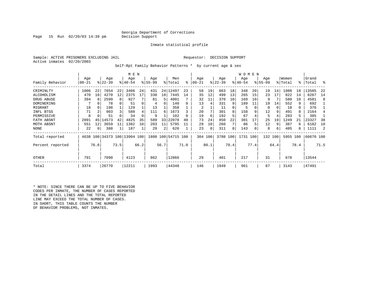### Georgia Department of Corrections<br>Decision Support

Page 15 Run  $02/20/03$  14:39 pm

Inmate statistical profile

Sample: ACTIVE PRISONERS EXCLUDING JAIL **Requestor: DECISION SUPPORT** Active inmates 02/20/2003

Self-Rpt Family Behavior Patterns \* by current age & sex

|                  |           |                 |                              |      | M E N     |      |          |      |                    |      |          |      |           |      | WOMEN     |      |          |      |          |      |           |      |
|------------------|-----------|-----------------|------------------------------|------|-----------|------|----------|------|--------------------|------|----------|------|-----------|------|-----------|------|----------|------|----------|------|-----------|------|
|                  | Age       |                 | Age                          |      | Age       |      | Age      |      | Men                |      | Age      |      | Age       |      | Age       |      | Age      |      | Women    |      | Grand     |      |
| Family Behavior  | $00 - 21$ |                 | $ 22-39 $                    |      | $8 40-54$ |      | $ 55-99$ |      | % Total            | ి    | $ 00-21$ |      | $ 22-39 $ |      | $ 40-54 $ |      | $ 55-99$ |      | % Total  | °≈   | Total     | ႜ    |
| CRIMINLTY        | 1006      | 22              | 7654                         | 22   | 3406      | 24   | 431      | 24   | 12497              | 23   | 58       | 19   | 663       | 18   | 348       | 20   | 19       | 14   | 1088     | 18   | 13585     | 22   |
| ALCOHOLISM       | 470       | 10 <sub>1</sub> | 4270                         | 12   | 2375      | 17   | 330      | 18   | 7445               | 14   | 35       | 12   | 499       | 13   | 265       | 15   | 23       | 17   | 822      | 14   | 8267      | 14   |
| DRUG ABUSE       | 394       |                 | 2599                         |      | 927       |      | 81       | 5    | 4001               |      | 32       | 11   | 370       | 10   | 169       | 10   | 9        |      | 580      | 10   | 4581      | 8    |
| DOMINERING       |           |                 | 78                           |      | 51        |      | 4        |      | 140                |      | 13       | 4    | 331       | 9    | 189       | 11   | 19       | 14   | 552      | 9    | 692       |      |
| MIGRANT          | 18        |                 | 198                          |      | 129       |      | 13       |      | 358                |      | 2        |      | 11        |      | 5         |      | 0        | 0    | 18       | 0    | 376       |      |
| INFL BTGS        | 71        |                 | 903                          |      | 588       |      | 111      | 6    | 1673               |      | 20       |      | 301       |      | 158       |      | 12       | 9    | 491      | 8    | 2164      |      |
| PERMISSIVE       | 8         |                 | 51                           |      | 34        |      | 9        |      | 102                |      | 19       | 6    | 192       |      | 67        |      | 5        | 4    | 283      | 5    | 385       |      |
| FATH ABSNT       | 2091      | 45              | 14573                        | 42   | 4825      | 35   | 589      | 33   | 22078              | 40   | 73       | 24   | 850       | 22   | 301       |      | 25       | 19   | 1249     | 21   | 23327     | 38   |
| MOTH ABSNT       | 551       | 12              | 3659                         | 11   | 1382      | 10   | 203      | 11   | 5795               |      | 29       | 10   | 260       |      | 86        |      | 12       | 9    | 387      | 6    | 6182      | 10   |
| NONE             | 22        |                 | 388                          |      | 187       |      | 29       | 2    | 626                |      | 23       | 8    | 311       | 8    | 143       |      | 8        | 6    | 485      | 8    | 1111      |      |
| Total reported   |           |                 | 4638 100 34373 100 13904 100 |      |           |      |          |      | 1800 100 54715 100 |      | 304 100  |      | 3788 100  |      | 1731 100  |      | 132      | 100  | 5955 100 |      | 60670 100 |      |
| Percent reported |           | 76.6            |                              | 73.5 |           | 66.2 |          | 56.7 |                    | 71.0 |          | 80.1 |           | 79.4 |           | 77.4 |          | 64.4 |          | 78.4 |           | 71.5 |
| OTHER            | 791       |                 | 7090                         |      | 4123      |      | 862      |      | 12866              |      | 29       |      | 401       |      | 217       |      | 31       |      | 678      |      | 13544     |      |
| Total            | 3374      |                 | 26770                        |      | 12211     |      | 1993     |      | 44348              |      | 146      |      | 1949      |      | 961       |      | 87       |      | 3143     |      | 47491     |      |

\* NOTE: SINCE THERE CAN BE UP TO FIVE BEHAVIOR CODES PER INMATE, THE NUMBER OF CASES REPORTED IN THE DETAIL LINES AND THE TOTAL REPORTED LINE MAY EXCEED THE TOTAL NUMBER OF CASES. IN SHORT, THIS TABLE COUNTS THE NUMBER OF BEHAVIOR PROBLEMS, NOT INMATES.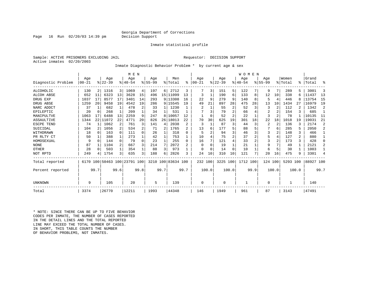### Georgia Department of Corrections<br>Decision Support

Inmate statistical profile

Sample: ACTIVE PRISONERS EXCLUDING JAIL **Requestor: DECISION SUPPORT** Active inmates 02/20/2003

Page 16 Run  $02/20/03$  14:39 pm

Inmate Diagnostic Behavior Problem \* by current age & sex

|                    |           |                |           |              | M E N                        |          |             |              |                    |              |                |          |          |                | WOMEN       |               |                |       |          |       |           |                |
|--------------------|-----------|----------------|-----------|--------------|------------------------------|----------|-------------|--------------|--------------------|--------------|----------------|----------|----------|----------------|-------------|---------------|----------------|-------|----------|-------|-----------|----------------|
|                    | Age       |                | Age       |              | Age                          |          | Aqe         |              | Men                |              | Age            |          | Age      |                | Aqe         |               | Aqe            |       | Women    |       | Grand     |                |
| Diagnostic Problem | $00 - 21$ |                | $8 22-39$ |              | $8140 - 54$                  |          | $8155 - 99$ |              | % Total            | ి            | $00 - 21$      |          | $ 22-39$ |                | $8140 - 54$ |               | $8155 - 99$    |       | % Total  |       | %   Total | ႜ              |
| ALCOHOLIC          | 130       | 2 <sub>1</sub> | 1316      | 3            | 1069                         | 4        | 197         | 6            | 2712               | 3            |                | 3        | 151      | 5              | 122         |               | 9              | 7     | 289      | 5.    | 3001      | 3              |
| ALCOH ABSE         | 652       | 11             | 6323      | 13           | 3628                         | 15       | 496         |              | 15   11099         | 13           | 3              |          | 190      | 6              | 133         | 8             | 12             | 10    | 338      | 6     | 11437     | 13             |
| DRUG EXP           | 1037      | 17             | 8577      | 17           | 3401                         | 14       | 293         |              | 9 13308            | 16           | 22             | 9        | 279      | 9              | 140         | 8             | 5              | 4     | 446      | 8     | 13754     | 15             |
| DRUG ABSE          | 1259      | 20             | 9458      | 19           | 4542                         | 19       | 286         |              | 9 15545            | 19           | 49             | 21       | 897      | 28             | 475         | 28            | 13             | 10    | 1434     | 27    | 16979     | 19             |
| NARC ADDCT         | 37        |                | 682       | $\mathbf{1}$ | 478                          | 2        | 33          | 1            | 1230               |              | $\overline{2}$ |          | 55       | 2              | 52          | 3             | 3              |       | 112      |       | 1342      | 2              |
| EPILEPTIC          | 20        | $\Omega$       | 268       | $\mathbf{1}$ | 209                          |          | 34          | 1            | 531                |              |                |          | 79       | $\overline{2}$ | 66          |               | $\overline{2}$ |       | 154      |       | 685       |                |
| MANIPULTVE         | 1063      |                | 6488      | 13           | 2259                         | 9        | 247         | 8            | 10057              | 12           |                | $\Omega$ | 52       | $\overline{a}$ | 22          |               | 3              |       | 78       |       | 10135     | 11             |
| ASSAULTIVE         | 1344      | 22             | 11072     | 22           | 4771                         | 20       | 826         | 26           | 18013              | 22           | 70             | 30       | 625      | 19             | 301         | 18            | 22             | 18    | 1018     | 19    | 19031     | 21             |
| ESCPE TEND         | 74        |                | 1062      | 2            | 761                          | 3        | 141         | 4            | 2038               | 2            | 3              |          | 87       | 3              | 44          | 3             | 2              | 2     | 136      |       | 2174      | 2              |
| SUICIDAL           | 104       | 2              | 1056      | 2            | 534                          | 2        | 71          | 2            | 1765               |              | 13             | 6        | 177      | 5              | 88          |               |                | 6     | 285      |       | 2050      | 2              |
| WITHDRAWN          | 18        | $\Omega$       | 163       | $\Omega$     | 111                          | 0        | 26          |              | 318                | <sup>0</sup> | 5              |          | 94       | 3              | 46          |               | 3              |       | 148      | 3     | 466       |                |
| PR RLTY CT         | 50        |                | 388       | 1            | 273                          |          | 42          | 1            | 753                |              | 10             |          | 75       | 2              | 37          | 2             | 5              |       | 127      | 2.    | 880       |                |
| HOMOSEXUAL         | 9         | ∩              | 144       | $\Omega$     | 79                           | $\Omega$ | 23          | $\mathbf{1}$ | 255                | $\Omega$     | 16             |          | 121      | 4              | 33          | 2             | 3              |       | 173      |       | 428       |                |
| <b>NONE</b>        | 87        |                | 1104      | 2            | 667                          | 3        | 214         | 7            | 2072               | 2            | <sup>0</sup>   |          | 19       |                | 21          |               | 9              |       | 49       | 1     | 2121      | $\mathcal{D}$  |
| OTHER              | 28        | $\Omega$       | 503       | 1            | 354                          |          | 88          | 3            | 973                |              | <sup>0</sup>   | $\Omega$ | 14       | O              | 10          |               | 6              | 5     | 30       |       | 1003      |                |
| NOT RPTD           | 249       |                | 1754      | 3            | 635                          | 3        | 188         | 6            | 2826               | ς            | 24             | 10       | 310      | 10             | 121         | $\mathcal{L}$ | 20             | 16    | 475      | 9     | 3301      | $\overline{4}$ |
| Total reported     |           |                |           |              | 6170 100 50463 100 23791 100 |          |             |              | 3210 100 83634 100 |              | 232 100        |          | 3225     | 100            | 1712 100    |               | 124 100        |       | 5293 100 |       | 88927 100 |                |
| Percent reported   |           | 99.7           |           | 99.6         |                              | 99.8     |             | 99.7         |                    | 99.7         |                | 100.0    |          | 100.0          |             | 99.9          |                | 100.0 |          | 100.0 |           | 99.7           |
| UNKNOWN            | 9         |                | 105       |              | 20                           |          | 5           |              | 139                |              | $\Omega$       |          | $\Omega$ |                |             |               | 0              |       |          |       | 140       |                |
| Total              | 3374      |                | 26770     |              | 12211                        |          | 1993        |              | 44348              |              | 146            |          | 1949     |                | 961         |               | 87             |       | 3143     |       | 47491     |                |

\* NOTE: SINCE THERE CAN BE UP TO FIVE BEHAVIOR CODES PER INMATE, THE NUMBER OF CASES REPORTED IN THE DETAIL LINES AND THE TOTAL REPORTED LINE MAY EXCEED THE TOTAL NUMBER OF CASES.IN SHORT, THIS TABLE COUNTS THE NUMBER OF BEHAVIOR PROBLEMS, NOT INMATES.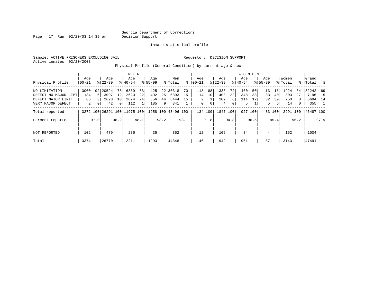Page 17 Run 02/20/03 14:39 pm

Inmate statistical profile

Sample: ACTIVE PRISONERS EXCLUDING JAIL **Requestor: DECISION SUPPORT** Active inmates 02/20/2003

Physical Profile (General Condition) by current age & sex

|                      |       |          |                              |                 | M E N     |      |             |                |                    |      |           |      |           |      | W O M E N |              |             |                 |          |              |           |      |
|----------------------|-------|----------|------------------------------|-----------------|-----------|------|-------------|----------------|--------------------|------|-----------|------|-----------|------|-----------|--------------|-------------|-----------------|----------|--------------|-----------|------|
|                      | Age   |          | Age                          |                 | Age       |      | Age         |                | Men                |      | Aqe       |      | Age       |      | Aqe       |              | Age         |                 | Women    |              | Grand     |      |
| Physical Profile     | 00-21 |          | $8 22-39$                    |                 | $8 40-54$ |      | $8155 - 99$ |                | % Total            | ႜ    | $00 - 21$ |      | $ 22-39 $ |      | $8 40-54$ |              | $8155 - 99$ |                 | % Total  | န္           | Total     | ိ    |
| NO LIMITATION        | 3000  |          | 92 20524                     | 78 I            | 6369      | 53   | 425         |                | 22 30318           | 70   | 118       | 88   | 1333      | 72   | 460       | 50           | 13          | 16 <sup>1</sup> | 1924     | 64           | 32242 69  |      |
| DEFECT NO MAJOR LIMT | 184   | 6 I      | 3097                         | 12              | 2620      | 22   | 492         | 25             | 6393               | 15   | 14        | 10   | 408       | 22   | 348       | 38           | 33          | 40              | 803      | 27           | 7196 15   |      |
| DEFECT MAJOR LIMIT   | 86    |          | 2628                         | 10 <sup>1</sup> | 2874      | 24   | 856         | 44             | 6444               | 15   | 2         |      | 102       | 6    | 114       | $12^{\circ}$ | 32          | 39              | 250      | 8            | 6694 14   |      |
| VERY MAJOR DEFECT    | 2     | $\Omega$ | 42                           | $\overline{0}$  | 112       |      | 185         | 9 <sup>1</sup> | 341                |      | 0         | 0    | 4         | 0    | 5         |              | 5.          | 6               | 14       | $\mathbf{0}$ | 355       |      |
| Total reported       |       |          | 3272 100 26291 100 11975 100 |                 |           |      |             |                | 1958 100 43496 100 |      | 134       | 100  | 1847      | 100  |           | 927 100      |             | 83 100          | 2991 100 |              | 46487 100 |      |
| Percent reported     |       | 97.0     |                              | 98.2            |           | 98.1 |             | 98.2           |                    | 98.1 |           | 91.8 |           | 94.8 |           | 96.5         |             | 95.4            |          | 95.2         |           | 97.9 |
| NOT REPORTED         | 102   |          | 479                          |                 | 236       |      | 35          |                | 852                |      | 12        |      | 102       |      | 34        |              | 4           |                 | 152      |              | 1004      |      |
| Total                | 3374  |          | 26770                        |                 | 12211     |      | 1993        |                | 44348              |      | 146       |      | 1949      |      | 961       |              | 87          |                 | 3143     |              | 47491     |      |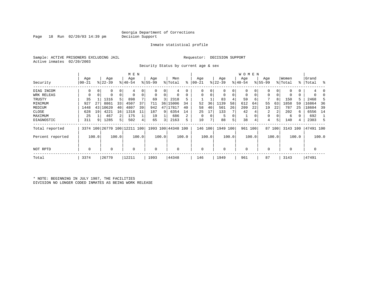Page 18 Run  $02/20/03$  14:39 pm

#### Inmate statistical profile

Sample: ACTIVE PRISONERS EXCLUDING JAIL **Requestor: DECISION SUPPORT** Active inmates 02/20/2003

Security Status by current age & sex

|                  |           |       |           |                | M E N                        |       |             |       |                    |       |           |       |             |          | W O M E N   |       |             |        |          |       |           |       |
|------------------|-----------|-------|-----------|----------------|------------------------------|-------|-------------|-------|--------------------|-------|-----------|-------|-------------|----------|-------------|-------|-------------|--------|----------|-------|-----------|-------|
|                  | Age       |       | Age       |                | Age                          |       | Age         |       | Men                |       | Age       |       | Age         |          | Age         |       | Age         |        | Women    |       | Grand     |       |
| Security         | $00 - 21$ |       | $8 22-39$ |                | $8 40-54$                    |       | $8 55-99$   |       | % Total            | ి     | $00 - 21$ |       | $ 22-39 $   |          | $ 40-54 $   |       | $8155 - 99$ |        | % Total  |       | %   Total | ႜ     |
| DIAG INCOM       | 0         | 0     |           | 0              | 4                            |       | $\Omega$    | 0     | 4                  |       | $\Omega$  |       | 0           | 0        | $\Omega$    |       |             | 0      |          | 0     |           |       |
| WRK RELEAS       | 0         | 0     | 0         | $\mathbf 0$    | $\Omega$                     |       | $\mathbf 0$ | 0     |                    | 0     | $\Omega$  |       | $\mathbf 0$ | 0        | $\mathbf 0$ |       | 0           | 0      |          | 0     |           |       |
| TRUSTY           | 35        |       | 1316      | 5              | 898                          |       | 69          | 3     | 2318               |       |           |       | 83          |          | 59          | 6     |             | 8      | 150      |       | 2468      | 5     |
| MINIMUM          | 927       | 27    | 8861      | 33             | 4507                         | 37    | 711         | 36    | 15006              | 34    | 52        | 36    | 1139        | 58       | 612         | 64    | 55          | 63     | 1858     | 59    | 16864     | 36    |
| MEDIUM           | 1448      | 43    | 10620     | 40             | 4807                         | 39    | 942         | 47 I  | 17817              | 40    | 58        | 40    | 501         | 26       | 209         | 22    | 19          | 22     | 787      | 25    | 18604     | 39    |
| CLOSE            | 628       | 19    | 4221      | 16             | 1318                         | 11    | 187         | 9     | 6354               | 14    | 25        | 17    | 133         |          | 42          |       | 2           | 2      | 202      | 6     | 6556      | 14    |
| MAXIMUM          | 25        |       | 467       | 2              | 175                          |       | 19          |       | 686                | 2     | $\Omega$  |       | 5           | $\Omega$ |             |       | 0           |        | 6        |       | 692       |       |
| DIAGNOSTIC       | 311       | 9     | 1285      | 5 <sup>1</sup> | 502                          |       | 65          | 3     | 2163               | 5     | 10        |       | 88          | 5        | 38          | 4     | 4           | 5      | 140      | 4     | 2303      | 5     |
| Total reported   |           |       |           |                | 3374 100 26770 100 12211 100 |       |             |       | 1993 100 44348 100 |       | 146       | 100   | 1949 100    |          | 961 100     |       |             | 87 100 | 3143 100 |       | 47491 100 |       |
| Percent reported |           | 100.0 |           | 100.0          |                              | 100.0 |             | 100.0 |                    | 100.0 |           | 100.0 |             | 100.0    |             | 100.0 |             | 100.0  |          | 100.0 |           | 100.0 |
| NOT RPTD         | 0         |       | $\Omega$  |                | 0                            |       | $\Omega$    |       |                    |       | $\Omega$  |       | $\mathbf 0$ |          | $\Omega$    |       |             |        | $\Omega$ |       |           |       |
| Total            | 3374      |       | 26770     |                | 12211                        |       | 1993        |       | 44348              |       | 146       |       | 1949        |          | 961         |       | 87          |        | 3143     |       | 47491     |       |

\* NOTE: BEGINNING IN JULY 1987, THE FACILITIES DIVISION NO LONGER CODED INMATES AS BEING WORK RELEASE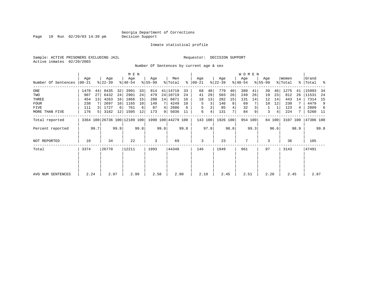Page 19 Run 02/20/03 14:39 pm

#### Inmate statistical profile

Sample: ACTIVE PRISONERS EXCLUDING JAIL **Requestor: DECISION SUPPORT** Active inmates 02/20/2003

Number Of Sentences by current age & sex

|                     |           |      |           |      | M E N                        |      |           |      |                    |      |               |         |           |      | <b>WOMEN</b> |         |             |        |          |      |             |      |
|---------------------|-----------|------|-----------|------|------------------------------|------|-----------|------|--------------------|------|---------------|---------|-----------|------|--------------|---------|-------------|--------|----------|------|-------------|------|
|                     | Age       |      | Age       |      | Age                          |      | Age       |      | Men                |      | Age           |         | Age       |      | Age          |         | Age         |        | Women    |      | Grand       |      |
| Number Of Sentences | $00 - 21$ |      | $ 22-39 $ |      | $ 40-54 $                    |      | $8 55-99$ |      | % Total            |      | $8   00 - 21$ |         | $ 22-39 $ |      | $ 40-54 $    |         | $8155 - 99$ |        | % Total  |      | %   Total % |      |
| ONE                 | 1478      | 44   | 8435      | 32   | 3991                         | 33   | 814       |      | 41 14718           | 33   | 68            | 48      | 779       | 40   | 389          | 41      | 39          | 46     | 1275     | 41   | 15993       | -34  |
| TWO                 | 907       | 27   | 6432      | 24   | 2901                         | 24   | 479       |      | 24 10719           | 24   | 41            | 29      | 503       | 26   | 249          | 26      | 19          | 23     | 812      | 26   | 11531       | -24  |
| THREE               | 454       | 13   | 4263      | 16   | 1866                         | 15   | 288       | 14   | 6871               | 16   | 18            | 13      | 282       | 15   | 131          | 14      | 12          | 14     | 443      | 14   | 7314        | 15   |
| <b>FOUR</b>         | 238       |      | 2697      | 10   | 1165                         | 10   | 149       |      | 4249               | 10   | 5.            | 3       | 146       | 8    | 69           |         | 10          | 12     | 230      |      | 4479        | 9    |
| FIVE                | 111       |      | 1727      | 6    | 761                          | 6    | 87        | 4    | 2686               | 6    | 5             |         | 85        |      | 32           |         |             |        | 123      |      | 2809        | -6   |
| MORE THAN FIVE      | 176       | 5    | 3182      | 12   | 1505                         | 12   | 173       | 9    | 5036               | 11   | 6             | 4       | 131       |      | 84           | 9       | 3           | 4      | 224      |      | 5260 11     |      |
| Total reported      |           |      |           |      | 3364 100 26736 100 12189 100 |      |           |      | 1990 100 44279 100 |      |               | 143 100 | 1926 100  |      |              | 954 100 |             | 84 100 | 3107 100 |      | 47386 100   |      |
| Percent reported    |           | 99.7 |           | 99.9 |                              | 99.8 |           | 99.8 |                    | 99.8 |               | 97.9    |           | 98.8 |              | 99.3    |             | 96.6   |          | 98.9 |             | 99.8 |
| NOT REPORTED        | 10        |      | 34        |      | 22                           |      | 3         |      | 69                 |      | 3             |         | 23        |      | 7            |         | 3           |        | 36       |      | 105         |      |
| Total               | 3374      |      | 26770     |      | 12211                        |      | 1993      |      | 44348              |      | 146           |         | 1949      |      | 961          |         | 87          |        | 3143     |      | 47491       |      |
|                     |           |      |           |      |                              |      |           |      |                    |      |               |         |           |      |              |         |             |        |          |      |             |      |
| AVG NUM SENTENCES   | 2.24      |      | 2.97      |      | 2.99                         |      | 2.58      |      | 2.90               |      | 2.10          |         | 2.45      |      | 2.51         |         | 2.20        |        | 2.45     |      | 2.87        |      |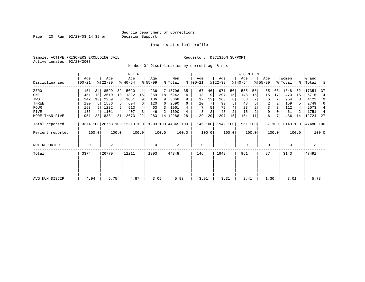Page 20 Run 02/20/03 14:39 pm

Inmate statistical profile

Sample: ACTIVE PRISONERS EXCLUDING JAIL **Requestor: DECISION SUPPORT** Active inmates 02/20/2003

Number Of Disciplinaries by current age & sex

|                     |                |                 |                  |       | M E N            |       |                 |                 |                                                 |       |                  |       |                  |                | W O M E N        |         |                  |        |                  |       |                      |                |
|---------------------|----------------|-----------------|------------------|-------|------------------|-------|-----------------|-----------------|-------------------------------------------------|-------|------------------|-------|------------------|----------------|------------------|---------|------------------|--------|------------------|-------|----------------------|----------------|
| Disciplinaries      | Age<br>  00-21 |                 | Age<br>$ 22-39 $ |       | Age<br>$ 40-54 $ |       | Age<br>$ 55-99$ |                 | Men<br>% Total                                  | ွေ    | Aqe<br>$00 - 21$ |       | Age<br>$ 22-39 $ |                | Age<br>$ 40-54 $ |         | Age<br>$8 55-99$ |        | Women<br>% Total |       | Grand<br>%   Total % |                |
| ZERO                | 1151           | 34              | 8599             | 32    | 5020             | 41    | 936             |                 | 47 15706                                        | 35    | 67               | 46    | 971              | 50             | 555              | 58      | 55               | 63     | 1648             | 52    | 17354                | -37            |
| ONE                 | 451            | 13              | 3610             | 13    | 1822             | 15    | 359             | 18 <sup>1</sup> | 6242                                            | 14    | 13               | 9     | 297              | 15             | 148              | 15      | 15               | 17     | 473              | 15    | 6715                 | 14             |
| TWO                 | 342            | 10 <sup>1</sup> | 2259             | 8     | 1081             | 9     | 186             | 9               | 3868                                            | 9     | 17               | 12    | 163              | 8              | 68               |         | 6                |        | 254              |       | 4122                 | 9              |
| THREE               | 190            |                 | 1586             |       | 694              | 6     | 120             | 6               | 2590                                            | 6     | 10               |       | 99               |                | 48               |         | 2                |        | 159              | 5     | 2749                 | 6              |
| <b>FOUR</b>         | 153            |                 | 1232             |       | 513              |       | 63              | 3               | 1961                                            |       |                  |       | 79               |                | 23               |         |                  |        | 112              |       | 2073                 | $\overline{4}$ |
| FIVE                | 136            |                 | 1101             |       | 407              |       | 46              |                 | 1690                                            |       |                  |       | 43               | $\overline{c}$ | 15               |         | 0                |        | 61               |       | 1751                 | $\overline{4}$ |
| MORE THAN FIVE      | 951            | 28              | 8381             | 31    | 2673             | 22    | 283             |                 | 14 12288                                        | 28    | 29               | 20    | 297              | 15             | 104              | 11      | 6                |        | 436              | 14    | 12724 27             |                |
| Total reported      |                |                 |                  |       |                  |       |                 |                 | 3374 100 26768 100 12210 100 1993 100 44345 100 |       | 146 100          |       | 1949 100         |                |                  | 961 100 |                  | 87 100 | 3143 100         |       | 47488 100            |                |
| Percent reported    |                | 100.0           |                  | 100.0 |                  | 100.0 |                 | 100.0           |                                                 | 100.0 |                  | 100.0 |                  | 100.0          |                  | 100.0   |                  | 100.0  |                  | 100.0 |                      | 100.0          |
| <b>NOT REPORTED</b> | 0              |                 | 2                |       |                  |       | 0               |                 | 3                                               |       | $\mathbf 0$      |       | $\mathbf 0$      |                | $\mathbf 0$      |         | 0                |        | 0                |       | 3                    |                |
| Total               | 3374           |                 | 26770            |       | 12211            |       | 1993            |                 | 44348                                           |       | 146              |       | 1949             |                | 961              |         | 87               |        | 3143             |       | 47491                |                |
|                     |                |                 |                  |       |                  |       |                 |                 |                                                 |       |                  |       |                  |                |                  |         |                  |        |                  |       |                      |                |
|                     |                |                 |                  |       |                  |       |                 |                 |                                                 |       |                  |       |                  |                |                  |         |                  |        |                  |       |                      |                |
| AVG NUM DISCIP      | 4.94           |                 | 6.75             |       | 4.87             |       | 3.05            |                 | 5.93                                            |       | 3.91             |       | 3.31             |                | 2.41             |         | 1.30             |        | 3.01             |       | 5.73                 |                |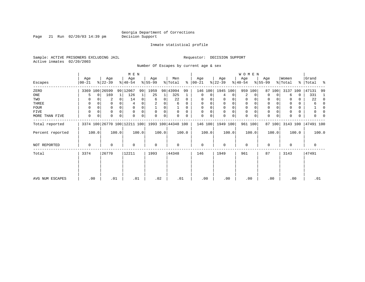Page 21 Run  $02/20/03$  14:39 pm

#### Inmate statistical profile

Sample: ACTIVE PRISONERS EXCLUDING JAIL **Requestor: DECISION SUPPORT** Active inmates 02/20/2003

Number Of Escapes by current age & sex

|                  |                  |          |                  |          | M E N                        |       |                 |       |                    |          |                 |       |                  |       | W O M E N        |             |                  |             |                  |       |                    |              |
|------------------|------------------|----------|------------------|----------|------------------------------|-------|-----------------|-------|--------------------|----------|-----------------|-------|------------------|-------|------------------|-------------|------------------|-------------|------------------|-------|--------------------|--------------|
| Escapes          | Age<br>$00 - 21$ |          | Age<br>$ 22-39 $ |          | Age<br>$ 40-54 $             |       | Age<br>$ 55-99$ |       | Men<br>% Total     | ႜႂ       | Age<br>$ 00-21$ |       | Age<br>$ 22-39 $ |       | Age<br>$ 40-54 $ |             | Age<br>$8 55-99$ |             | Women<br>% Total |       | Grand<br>%   Total | ಿ            |
| ZERO             |                  |          | 3369 100 26599   |          | 99 12067                     | 99    | 1959            |       | 98 43994           | 99       | 146             | 100   | 1945 100         |       | 959              | 100         | 87               | 100         | 3137             | 100   | 47131              | 99           |
| ONE              |                  | $\Omega$ | 169              | $1\vert$ | 126                          |       | 25              | 1     | 325                |          | $\mathbf 0$     | 0     | 4                | 0     | 2                | 0           | $\Omega$         | 0           | 6                | 0     | 331                | 1            |
| TWO              |                  |          | 2                | 0        | 14                           | 0     | 6               | 0     | 22                 | $\Omega$ | $\Omega$        |       |                  |       | 0                | $\Omega$    | 0                |             |                  | 0     | 22                 | $\Omega$     |
| THREE            | 0                |          |                  |          |                              |       |                 |       | 6                  | 0        | $\Omega$        |       | $\mathbf 0$      | 0     | $\mathbf 0$      |             | 0                |             |                  | 0     | 6                  | <sup>0</sup> |
| FOUR             | $\Omega$         |          |                  | $\Omega$ |                              |       |                 | 0     |                    | 0        | $\Omega$        |       | $\Omega$         | 0     | $\Omega$         | O           | $\Omega$         |             |                  | 0     |                    | <sup>0</sup> |
| FIVE             | $\Omega$         |          | 0                |          | $\Omega$                     |       | $\Omega$        | 0     | $\Omega$           | $\Omega$ |                 | 0     | 0                | 0     | $\mathbf 0$      | $\Omega$    | 0                |             |                  | 0     |                    |              |
| MORE THAN FIVE   | 0                | 0        |                  | $\Omega$ | $\Omega$                     | 0     | $\Omega$        | 0     |                    |          | $\Omega$        | 0     | $\Omega$         | 0     | $\mathbf 0$      | $\mathbf 0$ | $\Omega$         | $\mathbf 0$ |                  | 0     |                    |              |
| Total reported   |                  |          |                  |          | 3374 100 26770 100 12211 100 |       |                 |       | 1993 100 44348 100 |          | 146 100         |       | 1949 100         |       |                  | 961 100     |                  | 87 100      | 3143 100         |       | 47491 100          |              |
| Percent reported |                  | 100.0    |                  | 100.0    |                              | 100.0 |                 | 100.0 |                    | 100.0    |                 | 100.0 |                  | 100.0 |                  | 100.0       |                  | 100.0       |                  | 100.0 |                    | 100.0        |
| NOT REPORTED     | 0                |          | 0                |          | $\mathbf 0$                  |       | $\mathbf 0$     |       | 0                  |          | $\mathbf 0$     |       | 0                |       | $\mathbf 0$      |             | 0                |             | 0                |       | 0                  |              |
| Total            | 3374             |          | 26770            |          | 12211                        |       | 1993            |       | 44348              |          | 146             |       | 1949             |       | 961              |             | 87               |             | 3143             |       | 47491              |              |
|                  |                  |          |                  |          |                              |       |                 |       |                    |          |                 |       |                  |       |                  |             |                  |             |                  |       |                    |              |
| AVG NUM ESCAPES  | .00              |          | .01              |          | .01                          |       | .02             |       | .01                |          | .00             |       | .00              |       | .00              |             | .00              |             | .00              |       | .01                |              |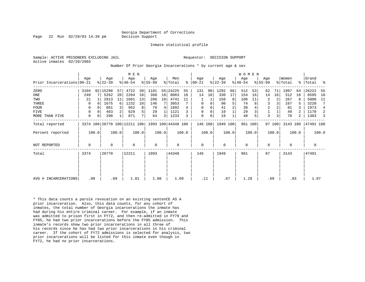Page 22 Run 02/20/03 14:39 pm Decision Support

Inmate statistical profile

Active inmates 02/20/2003

Sample: ACTIVE PRISONERS EXCLUDING JAIL **Requestor: DECISION SUPPORT** 

Number Of Prior Georgia Incarcerations \* by current age & sex

|                            |             |       |                  |          | M E N                                           |                |                  |       |                |       |                  |       |                  |       | <b>WOMEN</b>    |       |                  |        |                  |       |                |       |
|----------------------------|-------------|-------|------------------|----------|-------------------------------------------------|----------------|------------------|-------|----------------|-------|------------------|-------|------------------|-------|-----------------|-------|------------------|--------|------------------|-------|----------------|-------|
| Prior Incarcerations 00-21 | Age         |       | Age<br>$ 22-39 $ |          | Age<br>$ 40-54 $                                |                | Age<br>$ 55-99 $ |       | Men<br>% Total | ႜ     | Age<br>$ 00-21 $ |       | Age<br>$ 22-39 $ |       | Age<br>$ 40-54$ |       | Age<br>$ 55-99 $ |        | Women<br>% Total | ႜ     | Grand<br>Total | ್ಠಿ   |
| ZERO                       | 3104        |       | 92 15298         | 57       | 4722                                            | 39             | 1101             |       | 55 24225       | 55    | 131              | 90    | 1292             | 66    | 512             | 53    | 62               | 71     | 1997             | 64    | 26222          | -55   |
| ONE                        | 249         |       | 5262             | 20       | 2204                                            | 18             | 368              | 18    | 8083           | 18    | 14               | 10    | 330              | 17    | 154             | 16    | 14               | 16     | 512              | 16    | 8595           | 18    |
| TWO                        | 21          |       | 2913             | 11       | 1601                                            | 13             | 206              | 10    | 4741           | 11    |                  |       | 158              | 8     | 106             | 11    | 2                | 2      | 267              |       | 5008           | 11    |
| THREE                      | 0           |       | 1675             | $6 \mid$ | 1232                                            | 10             | 146              |       | 3053           |       | 0                | 0     | 90               | 5     | 74              | 8     | 3                | 3      | 167              |       | 3220           | 7     |
| <b>FOUR</b>                | $\Omega$    |       | 861              |          | 952                                             | 8              | 79               | 4     | 1892           | 4     | $\mathbf 0$      |       | 41               | 2     | 38              |       | 2                |        | 81               |       | 1973           | 4     |
| <b>FIVE</b>                | 0           |       | 463              |          | 629                                             | 5              | 29               |       | 1121           |       | $\Omega$         | 0     | 19               |       | 29              |       |                  |        | 49               |       | 1170           | -2    |
| MORE THAN FIVE             | 0           | 0     | 298              |          | 871                                             | 7 <sup>1</sup> | 64               | 3     | 1233           | 3     | 0                | 0     | 19               |       | 48              |       | 3                | 3      | 70               | 2     | 1303           |       |
| Total reported             |             |       |                  |          | 3374 100 26770 100 12211 100 1993 100 44348 100 |                |                  |       |                |       | 146 100          |       | 1949 100         |       | 961 100         |       |                  | 87 100 | 3143 100         |       | 47491 100      |       |
| Percent reported           |             | 100.0 |                  | 100.0    |                                                 | 100.0          |                  | 100.0 |                | 100.0 |                  | 100.0 |                  | 100.0 |                 | 100.0 |                  | 100.0  |                  | 100.0 |                | 100.0 |
| <b>NOT REPORTED</b>        | $\mathbf 0$ |       | $\Omega$         |          | 0                                               |                | $\mathbf 0$      |       | 0              |       | $\mathbf 0$      |       | $\Omega$         |       | $\mathbf 0$     |       | $\mathbf 0$      |        | $\Omega$         |       | 0              |       |
| Total                      | 3374        |       | 26770            |          | 12211                                           |                | 1993             |       | 44348          |       | 146              |       | 1949             |       | 961             |       | 87               |        | 3143             |       | 47491          |       |
|                            |             |       |                  |          |                                                 |                |                  |       |                |       |                  |       |                  |       |                 |       |                  |        |                  |       |                |       |
|                            |             |       |                  |          |                                                 |                |                  |       |                |       |                  |       |                  |       |                 |       |                  |        |                  |       |                |       |
| AVG # INCARCERATIONS       |             | .09   |                  | .89      | 1.81                                            |                | 1.08             |       | 1.09           |       | .11              |       | .67              |       | 1.28            |       | .69              |        | .83              |       | 1.07           |       |

\* This data counts a parole revocation on an existing sentenCE AS A prior incarceration. Also, this data counts, for any cohort of inmates, the total number of Georgia incarcerations the inmate has had during his entire criminal career. For example, if an inmate was admitted to prison first in FY72, and then re-admitted in FY79 and FY85, he had two prior incarcerations before the FY85 admission. This inmate's records show two prior incarcerations in all three of his records since he has had two prior incarcerations in his criminal career. If the cohort of FY72 admissions is selected for analysis, two prior incarcerations will be listed for this inmate even though in FY72, he had no prior incarcerations.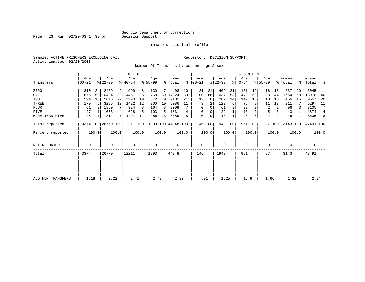Page 23 Run 02/20/03 14:39 pm

#### Inmate statistical profile

Sample: ACTIVE PRISONERS EXCLUDING JAIL **Requestor: DECISION SUPPORT** Active inmates 02/20/2003

Number Of Transfers by current age & sex

|                   |                |       |                  |       | M E N            |       |                  |       |                                                 |       |                  |       |                  |       | WOMEN            |         |                  |                |                              |       |                    |                |
|-------------------|----------------|-------|------------------|-------|------------------|-------|------------------|-------|-------------------------------------------------|-------|------------------|-------|------------------|-------|------------------|---------|------------------|----------------|------------------------------|-------|--------------------|----------------|
| Transfers         | Age<br>  00-21 |       | Age<br>$ 22-39 $ |       | Age<br>$ 40-54 $ |       | Age<br>$ 55-99 $ |       | Men<br>% Total                                  | ∻     | Age<br>$ 00-21 $ |       | Age<br>$ 22-39 $ |       | Age<br>$ 40-54 $ |         | Age<br>$ 55-99 $ |                | Women<br>$\frac{1}{2}$ Total |       | Grand<br>% Total % |                |
| ZERO              | 810            | 24    | 2469             | 9     | 999              |       | 130              |       | 4408                                            | 10    | 31               | 21    | 409              | 21    | 181              | 19      | 16               | 18             | 637                          | 20    | 5045               | -11            |
| ONE               | 1675           |       | 50 10424         | 39    | 4457             | 36    | 768              | 39    | 17324                                           | 39    | 100              | 68    | 1037             | 53    | 479              | 50      | 38               | 44             | 1654                         | 53    | 18978              | 40             |
| TWO               | 594            | 18    | 5845             | 22    | 2290             | 19    | 372              | 19    | 9101                                            | 21    | 12               | 8     | 282              | 14    | 149              | 16      | 13               | 15             | 456                          | 15    | 9557               | -20            |
| THREE             | 179            | 5     | 3285             | 12    | 1422             | 12    | 200              | 10    | 5086                                            | 11    | 3                | 2     | 122              | 6     | 75               | 8       | 11               | 13             | 211                          |       | 5297               | - 11           |
| <b>FOUR</b>       | 61             |       | 1860             |       | 924              |       | 164              | 8     | 3009                                            |       | $\Omega$         | 0     | 61               | 3     | 33               |         | 2                | 2              | 96                           |       | 3105               | 7              |
| FIVE              | 27             |       | 1073             | 4     | 628              |       | 103              | 5     | 1831                                            | 4     | 0                |       | 22               |       | 16               |         | 5                |                | 43                           |       | 1874               | $\overline{4}$ |
| MORE THAN FIVE    | 28             |       | 1814             | 7     | 1491             | 12    | 256              | 13    | 3589                                            | 8     | 0                | 0     | 16               |       | 28               | 3       | $\overline{a}$   | 2 <sub>1</sub> | 46                           |       | 3635               | 8              |
| Total reported    |                |       |                  |       |                  |       |                  |       | 3374 100 26770 100 12211 100 1993 100 44348 100 |       | 146 100          |       | 1949 100         |       |                  | 961 100 |                  | 87 100         | 3143 100                     |       | 47491 100          |                |
| Percent reported  |                | 100.0 |                  | 100.0 |                  | 100.0 |                  | 100.0 |                                                 | 100.0 |                  | 100.0 |                  | 100.0 |                  | 100.0   |                  | 100.0          |                              | 100.0 |                    | 100.0          |
| NOT REPORTED      | 0              |       | 0                |       | $\mathbf 0$      |       | 0                |       | $\mathbf 0$                                     |       | 0                |       | $\mathbf 0$      |       | $\mathbf 0$      |         | 0                |                | 0                            |       | 0                  |                |
| Total             | 3374           |       | 26770            |       | 12211            |       | 1993             |       | 44348                                           |       | 146              |       | 1949             |       | 961              |         | 87               |                | 3143                         |       | 47491              |                |
|                   |                |       |                  |       |                  |       |                  |       |                                                 |       |                  |       |                  |       |                  |         |                  |                |                              |       |                    |                |
|                   |                |       |                  |       |                  |       |                  |       |                                                 |       |                  |       |                  |       |                  |         |                  |                |                              |       |                    |                |
| AVG NUM TRANSFERS | 1.18           |       | 2.22             |       | 2.71             |       | 2.79             |       | 2.30                                            |       | .91              |       | 1.25             |       | 1.49             |         | 1.66             |                | 1.32                         |       | 2.24               |                |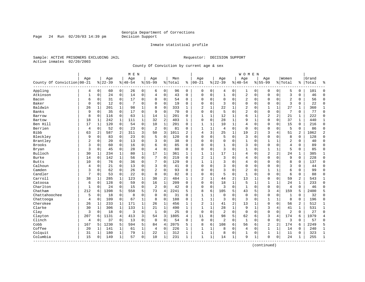Page 24 Run  $02/20/03$  14:39 pm

#### Inmate statistical profile

Sample: ACTIVE PRISONERS EXCLUDING JAIL **Requestor: DECISION SUPPORT** Active inmates 02/20/2003

County Of Conviction by current age & sex

| Age<br>County Of Conviction 00-21<br>Appling<br>4<br>Atkinson<br>$\mathbf{1}$ | $\mathbf 0$<br>$\mathbf 0$<br>$\mathbf 0$<br>$\mathbf 0$<br>$\mathbf{1}$ | Age<br>$ 22-39$<br>60<br>24<br>31<br>12 | $\mathbf 0$<br>$\mathbf 0$<br>$\Omega$ | Age<br>$ 40-54$<br>26<br>14 | $\mathbf 0$  | Aqe<br>$8 55-99$<br>6 | $\mathbf 0$    | Men<br>% Total | ి              | Age<br>$ 00-21$ |              | Aqe<br>$8 22-39$ |                | Age<br>$8140 - 54$ |              | Age<br>$8155 - 99$ |                | Women<br>% Total | ి              | Grand<br>Total | ٩,             |
|-------------------------------------------------------------------------------|--------------------------------------------------------------------------|-----------------------------------------|----------------------------------------|-----------------------------|--------------|-----------------------|----------------|----------------|----------------|-----------------|--------------|------------------|----------------|--------------------|--------------|--------------------|----------------|------------------|----------------|----------------|----------------|
|                                                                               |                                                                          |                                         |                                        |                             |              |                       |                |                |                |                 |              |                  |                |                    |              |                    |                |                  |                |                |                |
|                                                                               |                                                                          |                                         |                                        |                             |              |                       |                |                |                |                 |              |                  |                |                    |              |                    |                |                  |                |                |                |
|                                                                               |                                                                          |                                         |                                        |                             |              |                       |                | 96             | $\mathbf 0$    | 0               | $\mathbf 0$  | 4                | 0              | 1                  | 0            | $\Omega$           | $\mathbf 0$    | 5                | 0              | 101            | $\Omega$       |
|                                                                               |                                                                          |                                         |                                        |                             | $\mathbf 0$  | $\overline{4}$        | $\mathbf 0$    | 43             | $\Omega$       | $\mathbf 0$     | $\mathbf 0$  | $\mathbf 1$      | $\mathbf 0$    | $\overline{c}$     | $\mathbf 0$  | $\mathbf{0}$       | $\mathbf 0$    | $\overline{3}$   | $\Omega$       | 46             | $\Omega$       |
| Bacon<br>6                                                                    |                                                                          |                                         |                                        | 17                          | 0            | $\Omega$              | $\mathbf 0$    | 54             | 0              | $\mathbf 0$     | 0            | $\mathbf 0$      | $\mathbf 0$    | 2                  | $\mathbf 0$  | $\mathbf 0$        | $\mathbf 0$    | $\overline{c}$   | 0              | 56             | $\Omega$       |
| Baker<br>$\Omega$                                                             |                                                                          |                                         | $\mathbf 0$                            | 7                           | 0            | $\Omega$              | $\mathbf 0$    | 19             | 0              | $\Omega$        | $\mathbf 0$  | 3                | $\mathbf 0$    | $\Omega$           | $\mathbf 0$  | $\Omega$           | $\mathbf 0$    | 3                | $\Omega$       | 22             | $\mathbf{0}$   |
| Baldwin<br>26                                                                 |                                                                          | 201                                     | 1                                      | 98                          | $\mathbf{1}$ | 8                     | $\Omega$       | 333            | 1              | $\overline{c}$  | 1            | 22               | 1              | 2                  | $\mathbf 0$  | $\mathbf{1}$       | $\mathbf{1}$   | 27               | $\mathbf{1}$   | 360            | 1              |
| Banks<br>9                                                                    | $\overline{0}$                                                           | 35                                      | $\mathbf 0$                            | 17                          | $\mathbf 0$  | 9                     | $\mathbf 0$    | 70             | $\Omega$       | $\mathbf 0$     | $\mathbf 0$  | 5                | $\mathbf 0$    | $\overline{2}$     | $\mathbf 0$  | $\mathbf 0$        | $\mathbf 0$    | 7                | 0              | 77             | $\mathbf{0}$   |
| 8<br>Barrow                                                                   | $\overline{0}$                                                           | 116                                     | $\mathbf 0$                            | 63                          | $\mathbf 1$  | 14                    | $\mathbf{1}$   | 201            | $\Omega$       | $\mathbf{1}$    | $\mathbf 1$  | 12               | 1              | 6                  | $\mathbf{1}$ | $\overline{2}$     | 2              | 21               | $\mathbf{1}$   | 222            | $\mathbf{0}$   |
| 18<br>Bartow                                                                  | $\mathbf{1}$                                                             | 242                                     | $\mathbf{1}$                           | 111                         | $\mathbf 1$  | 32                    | $\overline{2}$ | 403            | $\mathbf{1}$   | $\mathbf 0$     | $\Omega$     | 28               | $\mathbf{1}$   | 9                  | $\mathbf 1$  | $\mathbf{0}$       | $\mathbf 0$    | 37               | $\mathbf{1}$   | 440            | $\mathbf{1}$   |
| Ben Hill<br>17                                                                | 1                                                                        | 120                                     | $\Omega$                               | 54                          | $\mathbf 0$  | 10                    | $\mathbf{1}$   | 201            | $\Omega$       | $\mathbf{1}$    | 1            | 10               | $\mathbf{1}$   | 4                  | $\mathbf 0$  | $\mathbf{0}$       | $\Omega$       | 15               | 0              | 216            | $\Omega$       |
| Berrien<br>$\overline{4}$                                                     | 0                                                                        | 52                                      | $\mathbf 0$                            | 23                          | $\mathbf 0$  | $\overline{2}$        | $\mathbf 0$    | 81             | $\Omega$       | 1               | $\mathbf{1}$ | 4                | $\mathbf 0$    | $\mathbf 0$        | $\mathbf 0$  | $\mathbf{0}$       | $\Omega$       | 5                | $\Omega$       | 86             | $\Omega$       |
| <b>Bibb</b><br>63                                                             | $\overline{2}$                                                           | 587                                     | 2                                      | 311                         | 3            | 50                    | 3              | 1011           | $\overline{a}$ | $\overline{4}$  | 3            | 25               | $\mathbf 1$    | 19                 | 2            | 3                  | 4              | 51               | 2              | 1062           | $\overline{2}$ |
| Bleckley<br>9                                                                 | $\mathbf 0$                                                              | 83                                      | $\mathbf 0$                            | 23                          | $\mathbf 0$  | 5                     | $\mathbf 0$    | 120            | 0              | $\Omega$        | $\Omega$     | 5                | $\mathbf 0$    | 3                  | $\mathbf 0$  | $\mathbf{0}$       | $\Omega$       | 8                | 0              | 128            | $\Omega$       |
| Brantley<br>$\overline{2}$                                                    | 0                                                                        | 20                                      | $\mathbf 0$                            | 13                          | 0            | 3                     | $\mathbf 0$    | 38             | 0              | 0               | 0            | 0                | $\mathbf 0$    | $\mathbf{1}$       | $\mathbf 0$  | 1                  | $\mathbf 1$    | $\overline{2}$   | 0              | 40             | $\Omega$       |
| Brooks<br>3                                                                   | $\Omega$                                                                 | 60                                      | $\Omega$                               | 16                          | $\Omega$     | 6                     | $\Omega$       | 85             | $\Omega$       | $\Omega$        | $\Omega$     | $\mathbf{1}$     | $\Omega$       | 3                  | $\mathbf 0$  | $\mathbf{0}$       | $\Omega$       | $\overline{4}$   | $\Omega$       | 89             | $\Omega$       |
| Bryan<br>3                                                                    | 0                                                                        | 45                                      | $\mathbf 0$                            | 28                          | $\mathbf 0$  | 4                     | $\mathbf 0$    | 80             | $\Omega$       | $\Omega$        | $\Omega$     | 3                | $\Omega$       | 1                  | $\mathbf 0$  | $\mathbf{1}$       | 1              | 5                | 0              | 85             | $\Omega$       |
| Bulloch<br>30                                                                 | 1                                                                        | 234                                     | 1                                      | 80                          | 1            | 17                    | 1              | 361            | 1              | 1               | 1            | 17               | $\mathbf{1}$   | 4                  | $\mathbf 0$  | $\overline{2}$     | $\overline{2}$ | 24               | 1              | 385            | 1              |
| Burke<br>14                                                                   | $\Omega$                                                                 | 142                                     | $\mathbf{1}$                           | 56                          | $\mathbf 0$  | 7                     | $\Omega$       | 219            | $\Omega$       | $\overline{c}$  | $\mathbf{1}$ | 3                | $\Omega$       | 4                  | $\mathbf 0$  | $\Omega$           | $\Omega$       | 9                | $\Omega$       | 228            | $\Omega$       |
| <b>Butts</b><br>10                                                            | 0                                                                        | 76                                      | $\mathbf 0$                            | 36                          | $\mathbf 0$  | 7                     | $\mathbf 0$    | 129            | 0              | 1               | 1            | 3                | 0              | 4                  | $\mathbf 0$  | $\mathbf 0$        | $\Omega$       | 8                | 0              | 137            | $\Omega$       |
| Calhoun<br>4                                                                  | 0                                                                        | 21                                      | $\mathbf 0$                            | 13                          | $\mathbf 0$  | 3                     | $\mathbf 0$    | 41             | 0              | $\mathbf 0$     | $\mathbf 0$  | 3                | 0              | $\mathbf 0$        | $\mathbf 0$  | $\mathbf{0}$       | 0              | 3                | 0              | 44             | $\Omega$       |
| Camden<br>3                                                                   | $\mathbf 0$                                                              | 62                                      | $\Omega$                               | 26                          | $\Omega$     | $\overline{2}$        | $\Omega$       | 93             | $\Omega$       | $\Omega$        | $\Omega$     | 3                | $\Omega$       | $\overline{2}$     | $\mathbf 0$  | $\mathbf{1}$       | $\mathbf{1}$   | 6                | $\Omega$       | 99             | $\Omega$       |
| Candler<br>7                                                                  | 0                                                                        | 53                                      | $\mathbf 0$                            | 22                          | $\mathbf 0$  | $\Omega$              | $\mathbf 0$    | 82             | $\Omega$       | $\Omega$        | $\Omega$     | 5                | $\Omega$       | 1                  | $\mathbf 0$  | $\mathbf{0}$       | $\Omega$       | 6                | 0              | 88             | $\Omega$       |
| Carroll<br>38                                                                 | 1                                                                        | 285                                     | 1                                      | 123                         | 1            | 38                    | $\overline{2}$ | 484            | 1              | $\overline{c}$  | 1            | 44               | $\overline{c}$ | 13                 | 1            | $\Omega$           | $\mathbf 0$    | 59               | $\overline{a}$ | 543            | 1              |
| Catoosa<br>6                                                                  | $\Omega$                                                                 | 128                                     | $\Omega$                               | 59                          | $\mathbf 0$  | 16                    | $\mathbf{1}$   | 209            | $\Omega$       | $\mathbf 0$     | $\Omega$     | 18               | $\mathbf{1}$   | 5                  | 1            | $\mathbf{1}$       | $\mathbf{1}$   | 24               | $\mathbf{1}$   | 233            | $\Omega$       |
| Charlton<br>1                                                                 | $\mathbf{0}$                                                             | 24                                      | $\mathbf 0$                            | 15                          | $\mathbf 0$  | $\overline{2}$        | $\mathbf 0$    | 42             | 0              | $\mathbf 0$     | $\mathbf 0$  | 3                | $\mathbf 0$    | $\mathbf{1}$       | $\mathbf 0$  | $\mathbf{0}$       | $\mathbf 0$    | $\overline{4}$   | $\mathbf 0$    | 46             | $\Omega$       |
| Chatham<br>212                                                                | 6                                                                        | 1398                                    | 5                                      | 558                         | 5            | 73                    | 4              | 2241           | 5              | 8               | 6            | 105              | 5              | 43                 | 5            | 3                  | 4              | 159              | 5              | 2400           | 5              |
| Chattahoochee<br>5                                                            | $\mathbf 0$                                                              | 18                                      | 0                                      | 8                           | $\mathbf 0$  | $\mathbf 0$           | 0              | 31             | $\Omega$       | 1               | 1            | $\mathbf 0$      | $\mathbf 0$    | $\mathbf 0$        | $\mathbf 0$  | $\mathbf{0}$       | 0              | 1                | 0              | 32             | $\mathbf{0}$   |
| Chattooga<br>4                                                                | 0                                                                        | 109                                     | $\mathbf 0$                            | 67                          | $\mathbf 1$  | 8                     | $\mathbf 0$    | 188            | $\Omega$       | $\mathbf{1}$    | $\mathbf 1$  | 3                | $\Omega$       | 3                  | $\mathbf 0$  | 1                  | $\mathbf{1}$   | 8                | $\mathbf 0$    | 196            | $\Omega$       |
| Cherokee<br>26                                                                | 1                                                                        | 233                                     | 1                                      | 171                         | 1            | 26                    | 1              | 456            | $\mathbf{1}$   | $\overline{c}$  | $\mathbf{1}$ | 41               | $\overline{c}$ | 13                 | $\mathbf{1}$ | $\mathbf 0$        | $\Omega$       | 56               | $\overline{a}$ | 512            | 1              |
| Clarke<br>30                                                                  | 1                                                                        | 306                                     | $\mathbf{1}$                           | 133                         | $\mathbf 1$  | 21                    | $\mathbf{1}$   | 490            | $\mathbf{1}$   | $\mathbf{1}$    | 1            | 28               | $\mathbf{1}$   | 9                  | 1            | 3                  | 4              | 41               | $\mathbf{1}$   | 531            | $\mathbf 1$    |
| 3<br>Clay                                                                     | 0                                                                        | 18                                      | $\mathbf 0$                            | 3                           | $\mathbf 0$  | 1                     | $\mathbf 0$    | 25             | $\Omega$       | $\mathbf 0$     | $\Omega$     | $\overline{a}$   | $\mathbf 0$    | $\mathbf 0$        | $\mathbf 0$  | $\mathbf 0$        | $\mathbf 0$    | $\overline{c}$   | $\mathbf 0$    | 27             | $\Omega$       |
| 207<br>Clayton                                                                | 6                                                                        | 1131                                    | $\overline{4}$                         | 413                         | 3            | 54                    | 3              | 1805           | 4              | 11              | 8            | 98               | 5              | 62                 | 6            | 3                  | 4              | 174              | 6              | 1979           | $\overline{4}$ |
| Clinch<br>4                                                                   | $\mathbf 0$                                                              | 37                                      | 0                                      | 13                          | $\mathbf 0$  | $\mathbf 0$           | $\mathbf 0$    | 54             | $\Omega$       | $\mathbf 0$     | $\mathbf 0$  | $\overline{a}$   | $\mathbf 0$    | $\mathbf{1}$       | $\mathbf 0$  | $\mathbf 0$        | $\mathbf 0$    | 3                | $\Omega$       | 57             | $\Omega$       |
| Cobb<br>167                                                                   | 5                                                                        | 1230                                    | 5                                      | 594                         | 5            | 84                    | $\overline{4}$ | 2075           | 5              | 8               | 6            | 108              | 6              | 56                 | 6            | $\overline{2}$     | $\overline{2}$ | 174              | 6              | 2249           | 5              |
| Coffee<br>20                                                                  | 1                                                                        | 141                                     | 1                                      | 61                          | $\mathbf 1$  | $\overline{4}$        | $\mathbf 0$    | 226            | 1              | 1               | $\mathbf{1}$ | 8                | $\mathbf 0$    | 4                  | $\mathbf 0$  | $\mathbf{1}$       | $\mathbf 1$    | 14               | 0              | 240            | $\mathbf 1$    |
| Colquit<br>31                                                                 | 1                                                                        | 180                                     | 1                                      | 79                          | $\mathbf{1}$ | 22                    | 1              | 312            | 1              | 1               | 1            | 8                | 0              | 1                  | $\mathbf 0$  | $\mathbf{1}$       | 1              | 11               | $\Omega$       | 323            | $\mathbf{1}$   |
| Columbia<br>15                                                                | 0                                                                        | 149                                     | 1                                      | 57                          | 0            | 10                    | 1              | 231            | $\mathbf{1}$   | $\mathbf{1}$    | $\mathbf 1$  | 14               | $\mathbf 1$    | 9                  | 1            | $\Omega$           | $\mathbf 0$    | 24               | 1              | 255            | $\mathbf{1}$   |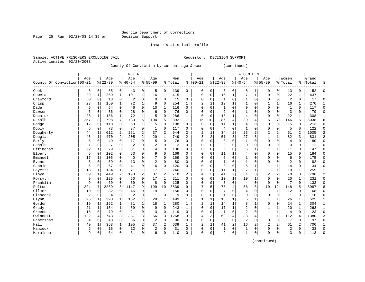### Inmate statistical profile

Active inmates 02/20/2003

Page 25 Run  $02/20/03$  14:39 pm

Sample: ACTIVE PRISONERS EXCLUDING JAIL **Requestor: DECISION SUPPORT** 

County Of Conviction by current age & sex (continued)

|                            |                |              |                |                | M E N          |              |                |              |         |                |              |              |                |                | WOMEN          |              |                |                |                |                |       |                |
|----------------------------|----------------|--------------|----------------|----------------|----------------|--------------|----------------|--------------|---------|----------------|--------------|--------------|----------------|----------------|----------------|--------------|----------------|----------------|----------------|----------------|-------|----------------|
|                            | Aqe            |              | Age            |                | Age            |              | Age            |              | Men     |                | Age          |              | Age            |                | Age            |              | Age            |                | Women          |                | Grand |                |
| County Of Conviction 00-21 |                |              | $8 22-39$      |                | $8 40-54$      |              | $8155 - 99$    |              | % Total | ႜ              | $ 00 - 21$   | %            | $22 - 39$      |                | $8 40-54$      |              | $8155 - 99$    |                | % Total        | $\frac{1}{6}$  | Total | န္             |
| Cook                       | 6              | 0            | 85             | $\mathbf 0$    | 43             | 0            | 5              | 0            | 139     | 0              | 0            | 0            | 5              | 0              | 8              |              | $\Omega$       | $\mathbf 0$    | 13             | 0              | 152   | $\Omega$       |
| Coweta                     | 29             | $\mathbf{1}$ | 269            | $\mathbf 1$    | 101            | $\mathbf 1$  | 16             | $\mathbf{1}$ | 415     | $\mathbf{1}$   | $\Omega$     | 0            | 15             | 1              | 7              | $\mathbf{1}$ | $\Omega$       | 0              | 22             | $\mathbf{1}$   | 437   | $\mathbf{1}$   |
| Crawford                   | 0              | 0            | 13             | $\mathbf 0$    | $\overline{2}$ | $\mathbf 0$  | $\mathbf 0$    | $\mathbf 0$  | 15      | 0              | $\Omega$     | 0            | $\mathbf{1}$   | 0              | 1              | $\mathbf 0$  | $\Omega$       | 0              | $\overline{2}$ | 0              | 17    | $\Omega$       |
| Crisp                      | 23             | 1            | 150            | 1              | 72             | $\mathbf{1}$ | 9              | $\mathbf 0$  | 254     | $\mathbf{1}$   | 2            | $\mathbf{1}$ | 12             | 1              | 1              | $\mathbf 0$  | 1              | 1              | 16             | 1              | 270   | $\mathbf{1}$   |
| Dade                       | 6              | $\mathbf 0$  | 54             | $\mathbf 0$    | 46             | 0            | 10             | $\mathbf 1$  | 116     | 0              | 0            | 0            | $\mathbf{1}$   | 0              | $\Omega$       | $\Omega$     | $\Omega$       | 0              | $\mathbf{1}$   | 0              | 117   | $\Omega$       |
| Dawson                     | 6              | 0            | 36             | $\mathbf 0$    | 28             | $\mathsf 0$  | 6              | $\mathbf 0$  | 76      | 0              | $\Omega$     | 0            | $\overline{2}$ | $\Omega$       | $\mathbf{1}$   | $\Omega$     | $\Omega$       | 0              | 3              | 0              | 79    | $\Omega$       |
| Decatur                    | 23             | 1            | 186            | $\mathbf{1}$   | 72             | $\mathbf{1}$ | 5              | $\mathbf 0$  | 286     | 1              | $\Omega$     | $\mathbf 0$  | 18             | $\mathbf{1}$   | $\overline{4}$ | $\Omega$     | $\Omega$       | 0              | 22             | 1              | 308   | $\mathbf{1}$   |
| DeKalb                     | 257            | 8            | 1798           | 7              | 733            | 6            | 104            | 5            | 2892    | 7              | 15           | 10           | 86             | 4              | 39             | 4            | 6              | 7              | 146            | 5              | 3038  | 6              |
| Dodge                      | 12             | 0            | 118            | $\mathbf 0$    | 63             | $\mathbf 1$  | 5              | $\mathbf 0$  | 198     | 0              | $\Omega$     | 0            | 11             | 1              | 4              | 0            | $\mathbf 0$    | 0              | 15             | 0              | 213   | $\mathbf 0$    |
| Dooly                      | 6              | 0            | 73             | $\mathbf 0$    | 37             | $\mathbf 0$  | 1              | $\mathbf 0$  | 117     | 0              | 0            | 0            | 4              | $\Omega$       | $\mathbf{1}$   | $\Omega$     | $\Omega$       | 0              | 5              | $\Omega$       | 122   | $\Omega$       |
| Dougherty                  | 44             | 1            | 612            | 2              | 251            | 2            | 37             | 2            | 944     | $\overline{a}$ | 2            | 1            | 34             | $\overline{2}$ | 23             | 2            | $\overline{c}$ | $\overline{2}$ | 61             | $\overline{a}$ | 1005  | $\overline{2}$ |
| Douglas                    | 45             | 1            | 470            | $\overline{a}$ | 205            | 2            | 29             | $\mathbf{1}$ | 749     | $\overline{a}$ | 3            | 2            | 51             | 3              | 27             | 3            | $\mathbf{1}$   | 1              | 82             | 3              | 831   | $\overline{2}$ |
| Early                      | 5              | $\mathbf 0$  | 49             | $\mathbf 0$    | 17             | 0            | 5              | $\mathbf 0$  | 76      | 0              | 0            | 0            | 3              | 0              | 1              | $\mathbf 0$  | $\Omega$       | 0              | $\overline{4}$ | 0              | 80    | $\Omega$       |
| Echols                     | $\mathbf{1}$   | 0            | 7              | $\mathbf 0$    | $\overline{2}$ | 0            | 2              | $\mathbf 0$  | 12      | 0              | $\Omega$     | 0            | $\Omega$       | $\Omega$       | $\mathbf 0$    | 0            | $\Omega$       | 0              | $\mathbf 0$    | 0              | 12    | $\Omega$       |
| Effingham                  | 22             | $\mathbf{1}$ | 79             | $\mathbf 0$    | 31             | 0            | 4              | $\mathbf 0$  | 136     | $\Omega$       | $\Omega$     | 0            | 5              | $\Omega$       | 5              | 1            | $\mathbf{1}$   | $\mathbf 1$    | 11             | $\mathbf 0$    | 147   | $\Omega$       |
| Elbert                     | 5              | 0            | 102            | $\mathbf 0$    | 53             | $\mathbf 0$  | 9              | $\mathbf 0$  | 169     | 0              | $\Omega$     | 0            | 11             | 1              | 4              | $\mathbf 0$  | $\Omega$       | 0              | 15             | 0              | 184   | $\Omega$       |
| Emanuel                    | 17             | $\mathbf{1}$ | 105            | $\mathbf 0$    | 40             | $\mathbf 0$  |                | $\mathbf 0$  | 169     | 0              | $\Omega$     | 0            | 5              | 0              | 1              | $\mathbf 0$  | 0              | 0              | 6              | 0              | 175   | $\Omega$       |
| Evans                      | 6              | 0            | 59             | 0              | 13             | $\mathbf 0$  | $\overline{2}$ | $\mathbf 0$  | 80      | 0              | 0            | 0            |                | $\Omega$       | $\mathbf{1}$   | $\Omega$     | $\Omega$       | 0              | $\overline{2}$ | 0              | 82    | $\Omega$       |
| Fannin                     | 6              | 0            | 67             | 0              | 41             | $\mathbf 0$  | 6              | $\mathbf 0$  | 120     | 0              | $\Omega$     | 0            | 8              | $\Omega$       | 5              | $\mathbf{1}$ | $\mathbf{1}$   | $\mathbf{1}$   | 14             | 0              | 134   | $\Omega$       |
| Fayette                    | 18             | 1            | 134            | 1              | 71             | $\mathbf{1}$ | 17             | 1            | 240     | 1              | $\Omega$     | 0            | 11             | 1              | 7              | 1            | $\mathbf{1}$   | 1              | 19             | $\mathbf{1}$   | 259   | -1             |
| Floyd                      | 39             | 1            | 449            | 2              | 193            | 2            | 37             | 2            | 718     | 2              | 4            | 3            | 41             | 2              | 31             | 3            | $\overline{2}$ | 2              | 78             | 3              | 796   | $\overline{2}$ |
| Forsyth                    | 9              | $\mathbf 0$  | 125            | $\mathbf 0$    | 60             | $\mathsf 0$  | 17             | 1            | 211     | 0              | 0            | 0            | 10             | 1              | 10             | 1            | $\mathbf 0$    | 0              | 20             | 1              | 231   | $\Omega$       |
| Franklin                   | 9              | 0            | 69             | $\mathbf 0$    | 39             | $\mathbf 0$  | 8              | $\mathbf 0$  | 125     | 0              | 0            | 0            | 3              | 0              | $\overline{4}$ | $\mathbf 0$  | $\mathbf{0}$   | $\mathbf 0$    | 7              | $\mathbf 0$    | 132   | $\Omega$       |
| Fulton                     | 224            | 7            | 2269           | 8              | 1147           | 9            | 199            | 10           | 3839    | 9              | 7            | 5            | 75             | 4              | 56             | 6            | 10             | 12             | 148            | 5              | 3987  | $\mathsf{R}$   |
| Gilmer                     | 10             | 0            | 82             | $\mathbf 0$    | 45             | $\mathbf 0$  | 19             | 1            | 156     | 0              | $\Omega$     | 0            | 7              | 0              | 4              | $\mathbf 0$  | 1              | 1              | 12             | 0              | 168   | $\Omega$       |
| Glascock                   | $\overline{2}$ | 0            | $\overline{4}$ | $\mathbf 0$    | $\overline{2}$ | $\mathbf 0$  | 1              | $\mathbf 0$  | 9       | 0              | $\Omega$     | 0            | 1              | $\Omega$       | 0              | $\Omega$     | $\mathbf 0$    | 0              | 1              | 0              | 10    | $\Omega$       |
| Glynn                      | 26             | 1            | 293            | $\mathbf{1}$   | 152            | $\mathbf{1}$ | 28             | 1            | 499     | 1              | $\mathbf{1}$ | 1            | 18             | 1              | б              | 1            | $\mathbf{1}$   | 1              | 26             | 1              | 525   | 1              |
| Gordon                     | 19             | 1            | 162            | 1              | 81             | $\mathbf 1$  | 18             | 1            | 280     | $\mathbf{1}$   | 2            | 1            | 14             | 1              | 8              | $\mathbf{1}$ | $\Omega$       | $\Omega$       | 24             | $\mathbf{1}$   | 304   | 1              |
| Grady                      | 21             | 1            | 154            | 1              | 59             | $\mathbf 0$  | 9              | 0            | 243     | $\mathbf{1}$   | $\Omega$     | 0            | 17             | 1              | $\overline{2}$ | $\mathbf 0$  | 1              | 1              | 20             | $\mathbf{1}$   | 263   | $\mathbf{1}$   |
| Greene                     | 16             | 0            | 79             | $\mathbf 0$    | 21             | $\mathbf 0$  | 3              | $\mathbf 0$  | 119     | 0              | 0            | 0            | 1              | 0              | $\overline{2}$ | $\mathbf 0$  | 1              | 1              | $\overline{4}$ | 0              | 123   | $\Omega$       |
| Gwinnett                   | 122            | 4            | 743            | 3              | 337            | 3            | 66             | 3            | 1268    | 3              | 4            | 3            | 69             | 4              | 38             | 4            | $\mathbf{1}$   | 1              | 112            | 4              | 1380  | 3              |
| Habersham                  | 4              | 0            | 48             | $\mathbf 0$    | 36             | $\mathbf 0$  | $\overline{2}$ | $\mathbf 0$  | 90      | 0              | $\Omega$     | 0            | 5              | 0              | $\overline{2}$ | 0            | $\Omega$       | 0              | 7              | 0              | 97    | $\Omega$       |
| Hall                       | 49             | 1            | 358            | $\mathbf{1}$   | 195            | $\sqrt{2}$   | 37             | 2            | 639     | $\mathbf{1}$   | 2            | $\mathbf{1}$ | 41             | 2              | 16             | 2            | $\overline{2}$ | 2              | 61             | 2              | 700   | 1              |
| Hancock                    | 2              | 0            | 15             | 0              | 12             | 0            | 2              | 0            | 31      | $\Omega$       | 0            | 0            | 1              | 0              | 1              | 0            | $\Omega$       | 0              | 2              | 0              | 33    | $\Omega$       |
| Haralson                   | 9              | 0            | 64             | 0              | 31             | $\mathbf 0$  | 6              | 0            | 110     | 0              | 0            | 0            | $\overline{2}$ | 0              | $\mathbf{1}$   | 0            | $\Omega$       | 0              | 3              | 0              | 113   | $\Omega$       |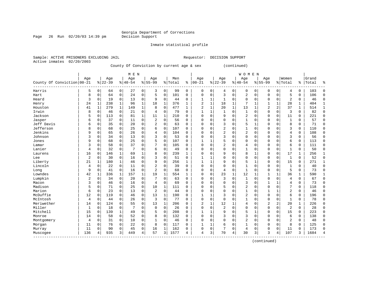Page 26 Run  $02/20/03$  14:39 pm

Inmate statistical profile

Active inmates 02/20/2003

Sample: ACTIVE PRISONERS EXCLUDING JAIL **Requestor: DECISION SUPPORT** 

County Of Conviction by current age & sex (continued)

|                            |     |              |           |              | M E N     |             |                |              |         |          |              |              |                |              | <b>WOMEN</b>   |              |             |             |                |             |       |              |
|----------------------------|-----|--------------|-----------|--------------|-----------|-------------|----------------|--------------|---------|----------|--------------|--------------|----------------|--------------|----------------|--------------|-------------|-------------|----------------|-------------|-------|--------------|
|                            | Age |              | Age       |              | Age       |             | Age            |              | Men     |          | Age          |              | Age            |              | Age            |              | Age         |             | Women          |             | Grand |              |
| County Of Conviction 00-21 |     |              | $8 22-39$ |              | $8 40-54$ |             | $8 55-99$      |              | % Total | ి        | $ 00 - 21$   |              | $ 22-39$       |              | $8 40-54$      |              | $8 55-99$   |             | % Total        | %           | Total | န္           |
| Harris                     | 5   | 0            | 64        | $\circ$      | 27        | 0           | 3              | 0            | 99      | 0        | 0            | 0            | 4              | 0            | 0              | 0            | $\Omega$    | 0           | 4              | 0           | 103   | $\Omega$     |
| Hart                       | 8   | $\Omega$     | 64        | 0            | 24        | 0           | 5              | 0            | 101     | $\Omega$ | $\Omega$     | 0            | 3              | 0            | 2              | $\mathbf 0$  | $\Omega$    | $\mathbf 0$ | 5              | 0           | 106   | $\Omega$     |
| Heard                      | 3   | 0            | 19        | $\mathbf 0$  | 13        | 0           | 9              | $\mathbf 0$  | 44      | 0        | 1            | 1            | 1              | 0            | 0              | $\mathbf 0$  | 0           | $\mathbf 0$ | $\overline{2}$ | 0           | 46    | $\Omega$     |
| Henry                      | 24  | 1            | 238       | $\mathbf{1}$ | 96        | $\mathbf 1$ | 18             | $\mathbf 1$  | 376     | 1        | 2            | 1            | 18             | 1            |                | $\mathbf{1}$ |             | 1           | 28             | 1           | 404   |              |
| Houston                    | 41  | $\mathbf{1}$ | 279       | $\mathbf{1}$ | 149       | $\mathbf 1$ | 8              | $\mathbf 0$  | 477     | 1        | 2            | 1            | 20             | 1            | 13             | $\mathbf{1}$ | 2           | 2           | 37             | $\mathbf 1$ | 514   | $\mathbf{1}$ |
| Irwin                      | 8   | 0            | 46        | 0            | 21        | 0           | 4              | 0            | 79      | $\Omega$ | $\mathbf{1}$ | 1            | $\mathbf{1}$   | $\Omega$     | $\mathbf{1}$   | $\Omega$     | $\Omega$    | 0           | 3              | 0           | 82    | $\Omega$     |
| Jackson                    | 5   | 0            | 113       | 0            | 81        | $\mathbf 1$ | 11             | 1            | 210     | 0        | $\Omega$     | 0            | 9              | 0            | $\overline{2}$ | $\Omega$     | $\Omega$    | 0           | 11             | 0           | 221   | $\Omega$     |
| Jasper                     | 6   | 0            | 37        | 0            | 11        | 0           | 2              | 0            | 56      | 0        | $\Omega$     | 0            | $\mathbf 0$    | $\Omega$     |                | 0            | 0           | 0           | $\mathbf{1}$   | 0           | 57    | $\Omega$     |
| Jeff Davis                 | 6   | 0            | 35        | 0            | 20        | 0           | $\overline{2}$ | $\mathbf 0$  | 63      | 0        | $\Omega$     | 0            | 3              | $\Omega$     | 5              | $\mathbf{1}$ | $\Omega$    | 0           | 8              | 0           | 71    | $\Omega$     |
| Jefferson                  | 8   | 0            | 68        | 0            | 25        | 0           | 6              | 0            | 107     | 0        | O            | O            | 2              | $\Omega$     | $\mathbf{1}$   | $\mathbf 0$  | $\Omega$    | $\Omega$    | 3              | 0           | 110   | $\Omega$     |
| Jenkins                    | 9   | $\Omega$     | 65        | 0            | 26        | 0           | 4              | $\Omega$     | 104     | 0        | O            | O            | $\overline{2}$ | $\Omega$     | 2              | $\Omega$     | $\Omega$    | $\Omega$    | 4              | 0           | 108   | ∩            |
| Johnson                    | 3   | 0            | 34        | 0            | 13        | 0           | 3              | $\mathbf 0$  | 53      | 0        | 0            | O            | 3              | $\Omega$     | 0              | $\Omega$     | $\Omega$    | $\Omega$    | 3              | 0           | 56    | ∩            |
| Jones                      | 9   | 0            | 68        | 0            | 25        | 0           | 5              | $\mathbf 0$  | 107     | 0        | $\mathbf{1}$ | 1            |                | $\Omega$     | 0              | 0            | $\Omega$    | 0           | 6              | 0           | 113   | $\Omega$     |
| Lamar                      | 3   | 0            | 58        | 0            | 37        | 0           |                | 0            | 105     | $\Omega$ | $\Omega$     | 0            | $\overline{2}$ | $\Omega$     | 4              | 0            | $\Omega$    | 0           | 6              | 0           | 111   | $\Omega$     |
| Lanier                     | 4   | 0            | 32        | 0            | 7         | 0           | 6              | 0            | 49      | 0        | $\Omega$     | 0            | $\mathbf 0$    | $\Omega$     | 1              | $\mathbf 0$  | $\Omega$    | 0           | $\mathbf{1}$   | 0           | 50    | $\Omega$     |
| Laurens                    | 16  | 0            | 146       | 1            | 69        | 1           | 8              | 0            | 239     | 1        | $\Omega$     | 0            | 9              | $\Omega$     | 8              | 1            | $\Omega$    | $\Omega$    | 17             | 1           | 256   | 1            |
| Lee                        | 2   | 0            | 30        | 0            | 16        | 0           | 3              | 0            | 51      | 0        |              |              | 0              | 0            | 0              | 0            | $\Omega$    | 0           | 1              | 0           | 52    | $\Omega$     |
| Liberty                    | 21  | 1            | 180       | 1            | 46        | 0           | 9              | $\Omega$     | 256     | 1        |              |              | 9              | $\Omega$     | 5              | 1            | $\Omega$    | $\Omega$    | 15             | 0           | 271   | 1            |
| Lincoln                    | 4   | 0            | 22        | $\Omega$     | 11        | 0           | $\overline{c}$ | $\Omega$     | 39      | $\Omega$ | $\Omega$     | 0            | $\Omega$       | $\Omega$     | $\mathbf{1}$   | $\Omega$     | $\Omega$    | O           | $\mathbf{1}$   | $\Omega$    | 40    | $\Omega$     |
| Long                       | 9   | 0            | 41        | $\Omega$     | 16        | 0           | $\overline{2}$ | $\Omega$     | 68      | 0        | 0            | 0            | 4              | $\Omega$     | $\mathbf{1}$   | $\Omega$     | $\Omega$    | $\Omega$    | 5              | 0           | 73    | ∩            |
| Lowndes                    | 42  | 1            | 336       | 1            | 157       | 1           | 19             | 1            | 554     | 1        | 0            | 0            | 23             | $\mathbf{1}$ | 12             | 1            |             | 1           | 36             | 1           | 590   |              |
| Lumpkin                    | 2   | 0            | 34        | $\mathbf 0$  | 20        | 0           |                | $\mathbf 0$  | 63      | $\Omega$ | 0            | 0            | 3              | 0            | $\mathbf{1}$   | $\Omega$     | 0           | 0           | 4              | 0           | 67    | $\Omega$     |
| Macon                      | 3   | 0            | 46        | 0            | 16        | 0           | $\overline{4}$ | $\Omega$     | 69      | $\Omega$ | $\Omega$     | O            | $\Omega$       | $\Omega$     | 3              | $\Omega$     | 1           | 1           | 4              | 0           | 73    | $\Omega$     |
| Madison                    | 5   | 0            | 71        | 0            | 25        | 0           | 10             | 1            | 111     | $\Omega$ | $\Omega$     | 0            | 5              | $\Omega$     | 2              | $\Omega$     | $\mathbf 0$ | $\Omega$    | 7              | 0           | 118   | $\Omega$     |
| Marion                     | 6   | 0            | 23        | 0            | 13        | 0           | 2              | $\Omega$     | 44      | $\Omega$ | $\Omega$     | O            | $\Omega$       | $\Omega$     | 1              | $\Omega$     | 1           |             | 2              | 0           | 46    | $\Omega$     |
| McDuffie                   | 12  | 0            | 119       | 0            | 46        | 0           | 13             | $\mathbf{1}$ | 190     | O        | $\mathbf{1}$ | 1            | 3              | $\Omega$     | $\overline{2}$ | $\Omega$     | $\Omega$    | 0           | 6              | 0           | 196   | $\Omega$     |
| McIntosh                   | 4   | 0            | 44        | 0            | 26        | 0           | 3              | $\Omega$     | 77      | O        | $\Omega$     | 0            | $\Omega$       | $\Omega$     | 1              | $\Omega$     | $\Omega$    | $\Omega$    | $\mathbf{1}$   | 0           | 78    | $\Omega$     |
| Meriwether                 | 14  | 0            | 124       | 0            | 55        | 0           | 13             | $\mathbf{1}$ | 206     | 0        | 2            | $\mathbf{1}$ | 12             | 1            | 4              | $\Omega$     | 2           | 2           | 20             | 1           | 226   | ∩            |
| Miller                     | 1   | $\Omega$     | 18        | 0            | 7         | 0           | $\mathbf 0$    | $\Omega$     | 26      | $\Omega$ | $\Omega$     | 0            | $\overline{c}$ | $\Omega$     | 0              | $\Omega$     | $\Omega$    | 0           | $\overline{c}$ | 0           | 28    | ∩            |
| Mitchell                   | 15  | $\Omega$     | 139       | $\mathbf 1$  | 49        | 0           | 5              | $\mathbf 0$  | 208     | $\Omega$ | 1            | 1            | 9              | 0            | 5              | 1            | $\Omega$    | $\mathbf 0$ | 15             | 0           | 223   | ∩            |
| Monroe                     | 14  | 0            | 58        | $\mathbf 0$  | 52        | 0           | 8              | 0            | 132     | 0        | $\Omega$     | 0            | 3              | $\Omega$     | 3              | $\mathbf 0$  | $\Omega$    | 0           | 6              | 0           | 138   | $\Omega$     |
| Montgomery                 | 4   | 0            | 31        | $\mathbf 0$  | 10        | 0           | 1              | 0            | 46      | $\Omega$ | $\Omega$     | 0            | $\Omega$       | $\Omega$     | 2              | 0            | $\Omega$    | 0           | $\overline{2}$ | 0           | 48    | $\Omega$     |
| Morgan                     | 11  | 0            | 76        | 0            | 22        | 0           | 8              | 0            | 117     | 0        | 1            | 1            | 6              | 0            | 1              | 0            | 0           | 0           | 8              | 0           | 125   | $\Omega$     |
| Murray                     | 11  | 0            | 90        | 0            | 45        | 0           | 16             | 1            | 162     | 0        | $\Omega$     | 0            |                | 0            | 4              | 0            | $\Omega$    | $\mathbf 0$ | 11             | 0           | 173   | ∩            |
| Muscogee                   | 136 | 4            | 935       | 3            | 449       | 4           | 57             | 3            | 1577    | 4        | 4            | 3            | 70             | 4            | 30             | 3            | 3           | 4           | 107            | 3           | 1684  |              |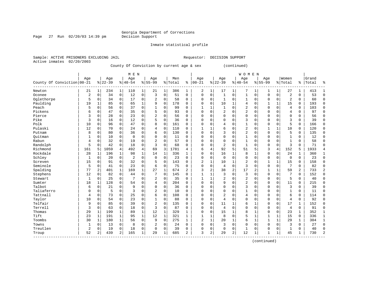# Georgia Department of Corrections<br>Decision Support

Page 27 Run 02/20/03 14:39 pm

Inmate statistical profile

|                           | Sample: ACTIVE PRISONERS EXCLUDING JAIL |                                           | Requestor: DECISION SUPPORT |               |
|---------------------------|-----------------------------------------|-------------------------------------------|-----------------------------|---------------|
| Active inmates 02/20/2003 |                                         |                                           |                             |               |
|                           |                                         | County Of Conviction by current age 6 cey |                             | $l$ continued |

County Of Conviction by current age & sex (continued)

|                            |                |          |           |             | M E N          |                |                |             |         |              |           |              |                |                | WOMEN        |              |              |              |                |               |       |                |
|----------------------------|----------------|----------|-----------|-------------|----------------|----------------|----------------|-------------|---------|--------------|-----------|--------------|----------------|----------------|--------------|--------------|--------------|--------------|----------------|---------------|-------|----------------|
|                            | Age            |          | Age       |             | Age            |                | Age            |             | Men     |              | Age       |              | Age            |                | Age          |              | Age          |              | Women          |               | Grand |                |
| County Of Conviction 00-21 |                |          | $8 22-39$ |             | $8 40-54$      |                | $8155 - 99$    |             | % Total | ి            | $00 - 21$ | %            | $22 - 39$      |                | $8140 - 54$  |              | $8155 - 99$  |              | % Total        | $\frac{1}{6}$ | Total | ႜ              |
| Newton                     | 21             | 1        | 234       | 1           | 110            | 1              | 21             | 1           | 386     | 1            | 2         | 1            | 17             | 1              | 7            |              | 1            | 1            | 27             | 1             | 413   | 1              |
| Oconee                     | $\overline{c}$ | $\Omega$ | 34        | $\mathbf 0$ | 12             | $\mathbf 0$    | $\overline{3}$ | $\Omega$    | 51      | $\Omega$     | $\Omega$  | 0            | $\mathbf{1}$   | $\Omega$       | $\mathbf{1}$ | $\Omega$     | $\Omega$     | 0            | $\overline{2}$ | $\Omega$      | 53    | $\Omega$       |
| Oglethorpe                 | 5              | $\Omega$ | 34        | 0           | 17             | $\mathbf 0$    | 2              | $\mathbf 0$ | 58      | $\Omega$     | $\Omega$  | $\Omega$     | -1             | $\Omega$       | 1            | $\Omega$     | $\Omega$     | $\Omega$     | $\overline{2}$ | $\Omega$      | 60    | $\Omega$       |
| Paulding                   | 19             | 1        | 85        | $\mathbf 0$ | 65             | 1              | 9              | $\mathbf 0$ | 178     | $\Omega$     | 0         | $\Omega$     | 10             | 1              | 4            | $\mathbf 0$  | 1            | 1            | 15             | 0             | 193   | $\Omega$       |
| Peach                      | 5              | 0        | 56        | 0           | 37             | $\mathbf 0$    | $\mathbf{1}$   | $\mathbf 0$ | 99      | $\Omega$     |           | 1            |                | $\mathbf 0$    | 2            | $\mathbf 0$  | $\Omega$     | 0            | $\overline{4}$ | 0             | 103   | $\Omega$       |
| Pickens                    | 6              | $\Omega$ | 47        | 0           | 35             | $\mathbf 0$    | 5              | $\mathbf 0$ | 93      | $\Omega$     | $\Omega$  | $\Omega$     | $\overline{2}$ | $\Omega$       | 2            | $\Omega$     | $\Omega$     | $\Omega$     | $\overline{4}$ | 0             | 97    | $\Omega$       |
| Pierce                     | 3              | 0        | 28        | 0           | 23             | $\mathbf 0$    | 2              | $\mathbf 0$ | 56      | $\Omega$     | $\Omega$  | 0            | $\Omega$       | $\Omega$       | $\Omega$     | $\Omega$     | $\Omega$     | $\Omega$     | $\Omega$       | 0             | 56    | $\Omega$       |
| Pike                       | 3              | 0        | 16        | 0           | 12             | $\mathbf 0$    | 5              | $\mathbf 0$ | 36      | 0            | $\Omega$  | 0            | $\Omega$       | $\Omega$       | 3            | $\Omega$     | $\Omega$     | 0            | 3              | 0             | 39    | $\Omega$       |
| Polk                       | 10             | $\Omega$ | 96        | 0           | 47             | $\mathbf 0$    | 8              | $\mathbf 0$ | 161     | $\Omega$     | 0         | $\Omega$     | 4              | $\Omega$       | 1            | $\Omega$     | $\Omega$     | $\Omega$     | 5              | 0             | 166   | $\Omega$       |
| Pulaski                    | 12             | 0        | 70        | 0           | 24             | $\mathbf 0$    | 4              | $\mathbf 0$ | 110     | 0            | -1        | 1            | 6              | $\Omega$       | 2            | 0            | $\mathbf{1}$ | $\mathbf{1}$ | 10             | 0             | 120   | $\Omega$       |
| Putnam                     | 8              | $\Omega$ | 80        | $\Omega$    | 36             | $\Omega$       | 6              | $\Omega$    | 130     | $\Omega$     | U         | $\Omega$     | ζ              | $\Omega$       | 2            | $\Omega$     | $\Omega$     | $\Omega$     | 5              | $\Omega$      | 135   | $\Omega$       |
| Ouitman                    | 1              | $\Omega$ | 10        | 0           | $\Omega$       | $\Omega$       | $\Omega$       | $\Omega$    | 11      | $\Omega$     | 0         | $\Omega$     | $\Omega$       | $\Omega$       | $\mathbf{1}$ | $\Omega$     | $\Omega$     | $\Omega$     | $\mathbf{1}$   | $\Omega$      | 12    | ∩              |
| Rabun                      | $\overline{4}$ | $\Omega$ | 32        | $\mathbf 0$ | 19             | $\mathbf 0$    | 2              | $\Omega$    | 57      | $\Omega$     | 0         | $\Omega$     | $\Omega$       | $\Omega$       | 1            | $\Omega$     | $\Omega$     | $\Omega$     | $\mathbf{1}$   | 0             | 58    | $\Omega$       |
| Randolph                   | 5              | 0        | 42        | 0           | 18             | $\mathbf 0$    | $\overline{3}$ | $\mathbf 0$ | 68      | $\Omega$     | $\Omega$  | 0            | 2              | $\mathbf 0$    | $\mathbf{1}$ | $\Omega$     | $\Omega$     | 0            | 3              | 0             | 71    | $\Omega$       |
| Richmond                   | 161            | 5        | 1059      | 4           | 492            | $\overline{4}$ | 69             | 3           | 1781    | 4            | 6         | 4            | 92             | 5              | 51           | 5            | 3            | 4            | 152            | 5             | 1933  | $\overline{4}$ |
| Rockdale                   | 28             | 1        | 196       | $\mathbf 1$ | 98             | $\mathbf 1$    | 14             | 1           | 336     | 1            | $\Omega$  | 0            | 16             | $\mathbf{1}$   | 8            | 1            | $\Omega$     | 0            | 24             | $\mathbf{1}$  | 360   | $\mathbf{1}$   |
| Schley                     | $\mathbf{1}$   | 0        | 20        | $\mathbf 0$ | $\overline{2}$ | $\mathbf 0$    | $\mathbf 0$    | $\mathbf 0$ | 23      | 0            | $\Omega$  | 0            | $\mathbf 0$    | $\mathbf 0$    | 0            | $\mathbf 0$  | $\Omega$     | 0            | $\mathbf 0$    | $\mathbf 0$   | 23    | $\Omega$       |
| Screven                    | 15             | 0        | 91        | 0           | 32             | $\mathbf 0$    | 5              | $\mathbf 0$ | 143     | $\Omega$     | 2         | 1            | 10             | 1              | 2            | 0            |              |              | 15             | 0             | 158   | $\Omega$       |
| Seminole                   | 5              | 0        | 41        | 0           | 23             | $\mathbf 0$    | 6              | $\mathbf 0$ | 75      | 0            | $\Omega$  | 0            | 4              | $\mathbf 0$    | 3            | $\Omega$     | $\Omega$     | 0            | 7              | 0             | 82    | $\Omega$       |
| Spalding                   | 77             | 2        | 401       | 1           | 169            | 1              | 27             | 1           | 674     | 2            | 3         | 2            | 38             | $\overline{2}$ | 17           | 2            | 1            | $\mathbf{1}$ | 59             | 2             | 733   | $\overline{2}$ |
| Stephens                   | 12             | $\Omega$ | 82        | $\mathbf 0$ | 44             | $\mathbf 0$    | 7              | $\Omega$    | 145     | $\Omega$     |           | 1            | 3              | $\Omega$       | 3            | $\Omega$     | $\Omega$     | $\Omega$     | 7              | $\Omega$      | 152   | $\Omega$       |
| Stewart                    | 1              | $\Omega$ | 25        | 0           | 7              | $\mathbf 0$    | 2              | $\mathbf 0$ | 35      | $\Omega$     |           |              | 2              | $\Omega$       | 2            | $\Omega$     | $\Omega$     | 0            | 5              | 0             | 40    | $\Omega$       |
| Sumter                     | 18             | 1        | 128       | 0           | 54             | $\mathbf 0$    | 4              | 0           | 204     | $\Omega$     | 0         | $\Omega$     | 9              | 0              | 2            | $\mathbf 0$  | $\Omega$     | 0            | 11             | 0             | 215   | $\Omega$       |
| Talbot                     | 6              | 0        | 21        | 0           | 9              | 0              | 0              | 0           | 36      | $\Omega$     | $\Omega$  | 0            | $\Omega$       | $\Omega$       | 3            | $\Omega$     | $\Omega$     | 0            | 3              | 0             | 39    | $\Omega$       |
| Taliaferro                 | $\Omega$       | 0        | 5         | 0           | 3              | $\mathbf 0$    | 2              | $\mathbf 0$ | 10      | $\Omega$     | $\Omega$  | $\Omega$     | $\Omega$       | $\Omega$       | 1            | 0            | $\Omega$     | $\Omega$     | $\mathbf{1}$   | 0             | 11    | $\Omega$       |
| Tattnall                   | $\overline{4}$ | $\Omega$ | 73        | 0           | 25             | $\mathbf 0$    | 6              | $\mathbf 0$ | 108     | 0            | $\Omega$  | 0            | $\overline{2}$ | $\Omega$       | 4            | $\Omega$     | $\Omega$     | 0            | 6              | 0             | 114   | $\Omega$       |
| Taylor                     | 10             | $\Omega$ | 54        | 0           | 23             | 0              | 1              | $\mathbf 0$ | 88      | $\Omega$     | $\Omega$  | 0            | 4              | $\Omega$       | 0            | $\Omega$     | $\Omega$     | $\Omega$     | 4              | 0             | 92    | $\Omega$       |
| Telfair                    | 9              | $\Omega$ | 85        | 0           | 39             | $\mathbf 0$    | $\overline{2}$ | $\mathbf 0$ | 135     | 0            | 0         | $\Omega$     | 11             |                | 6            |              | $\Omega$     | $\Omega$     | 17             | 1             | 152   | $\Omega$       |
| Terrell                    | 3              | $\Omega$ | 63        | 0           | 18             | $\mathbf 0$    | 3              | $\mathbf 0$ | 87      | $\Omega$     | 0         | $\Omega$     | 4              | $\Omega$       | 0            | $\Omega$     | $\Omega$     | $\Omega$     | $\overline{4}$ | 0             | 91    | $\Omega$       |
| Thomas                     | 29             | 1        | 199       | 1           | 89             | $\mathbf{1}$   | 12             | 1           | 329     | $\mathbf{1}$ | $\Omega$  | $\Omega$     | 15             | 1              | 8            | -1           | $\Omega$     | $\Omega$     | 23             | $\mathbf{1}$  | 352   | 1              |
| Tift                       | 23             | 1        | 191       | 1           | 95             | $\mathbf{1}$   | 12             | 1           | 321     | $\mathbf{1}$ | -1        | $\mathbf{1}$ | 8              | $\Omega$       | 5            | $\mathbf{1}$ | 1            | $\mathbf{1}$ | 15             | 0             | 336   | 1              |
| Toombs                     | 30             | 1        | 180       | 1           | 56             | $\mathbf 0$    | 9              | $\mathbf 0$ | 275     | $\mathbf{1}$ | 2         | $\mathbf 1$  | 20             | 1              | 6            | $\mathbf{1}$ | 1            | $\mathbf 1$  | 29             | 1             | 304   | $\mathbf{1}$   |
| Towns                      | 1              | 0        | 13        | 0           | 8              | $\mathbf 0$    | 2              | 0           | 24      | $\mathbf 0$  | $\Omega$  | 0            | 3              | $\mathbf 0$    | $\Omega$     | $\Omega$     | $\Omega$     | 0            | 3              | 0             | 27    | $\Omega$       |
| Treutlen                   | $\overline{c}$ | $\Omega$ | 19        | 0           | 18             | 0              | $\Omega$       | $\mathbf 0$ | 39      | $\mathbf 0$  | $\Omega$  | 0            | $\Omega$       | $\mathbf 0$    | $\mathbf{1}$ | $\Omega$     | $\Omega$     | 0            | $\mathbf{1}$   | 0             | 40    | $\Omega$       |
| Troup                      | 52             | 2        | 439       | 2           | 165            | $\mathbf 1$    | 29             | 1           | 685     | 2            | 3         | 2            | 29             | $\overline{2}$ | 12           | 1            | 1            | 1            | 45             | $\mathbf{1}$  | 730   | $\overline{2}$ |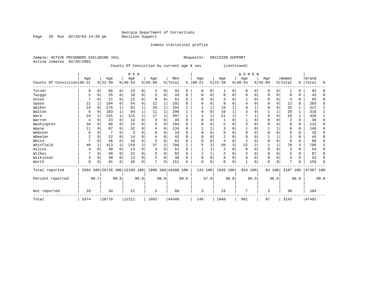## Georgia Department of Corrections<br>Decision Support

Inmate statistical profile

Page 28 Run 02/20/03 14:39 pm

Sample: ACTIVE PRISONERS EXCLUDING JAIL **Requestor: DECISION SUPPORT** Active inmates 02/20/2003 County Of Conviction by current age & sex (continued) | M E N | W O M E N | Age | Age | Age | Age | Men | Age | Age | Age | Age |Women |Grand

|                            | Age  |          | Age                          |          | Age       |      | Age       |          | Men                |          | age        |          | Age       |          | Age            |          | Age       |          | WONEN          |          | Grand     |          |
|----------------------------|------|----------|------------------------------|----------|-----------|------|-----------|----------|--------------------|----------|------------|----------|-----------|----------|----------------|----------|-----------|----------|----------------|----------|-----------|----------|
| County Of Conviction 00-21 |      |          | $8 22-39$                    |          | $8 40-54$ |      | $8 55-99$ |          | % Total            | နွ       | $ 00 - 21$ |          | $ 22-39 $ |          | $8 40-54$      |          | $ 55-99 $ |          | % Total        | ႜ        | Total     | ⊱        |
| Turner                     | 8    |          | 56                           | 0        | 23        | 0    |           | 0        | 91                 | $\Omega$ | O          | 0        |           | 0        | $\Omega$       | 0        | O         | 0        |                | 0        | 92        |          |
| Twiggs                     | 5    | $\Omega$ | 25                           | 0        | 10        | 0    |           | 0        | 43                 | $\Omega$ |            | $\Omega$ | $\Omega$  | $\Omega$ | $\Omega$       | 0        | 0         | $\Omega$ | $\Omega$       | 0        | 43        | $\Omega$ |
| Union                      |      |          | 21                           | $\Omega$ | 15        | 0    | R         | $\Omega$ | 51                 | $\Omega$ |            |          | 3         |          |                |          |           | 0        | 4              | 0        | 55        | $\Omega$ |
| Upson                      | 21   |          | 104                          |          | 54        | 0    | 12        |          | 191                | U        |            |          |           |          | 4              | $\Omega$ | ი         | $\Omega$ | 12             | 0        | 203       | 0        |
| Walker                     | 14   | $\Omega$ | 176                          |          | 82        |      | 20        |          | 292                |          |            |          | 15        |          | q              |          | ი         | 0        | 25             | 1        | 317       |          |
| Walton                     | 8    | $\Omega$ | 183                          |          | 94        |      | 11        |          | 296                |          |            |          | 16        |          |                | $\Omega$ |           |          | 20             | 1        | 316       |          |
| Ware                       | 24   |          | 241                          |          | 115       |      | 17        |          | 397                |          |            |          | 21        |          |                |          | ი         | 0        | 29             |          | 426       |          |
| Warren                     | 4    |          | 23                           | $\Omega$ | 16        | 0    |           | 0        | 46                 | $\Omega$ |            |          |           |          |                | $\Omega$ | 0         | O        |                | 0        | 48        | 0        |
| Washington                 | 10   |          | 66                           | $\Omega$ | 25        | 0    |           | $\Omega$ | 104                | $\Omega$ |            |          | 5         | N        |                | $\Omega$ |           | $\Omega$ | 8              | 0        | 112       | 0        |
| Wayne                      | 11   | ∩        | 87                           |          | 32        | O    |           | $\Omega$ | 134                | $\Omega$ |            |          | 3         |          |                | $\Omega$ |           |          | 6              | 0        | 140       | 0        |
| Webster                    | 0    |          |                              |          | 3         | 0    |           | 0        | 10                 | $\Omega$ |            |          | $\Omega$  | N        | $\Omega$       |          |           | $\Omega$ | $\Omega$       | 0        | 10        | 0        |
| Wheeler                    |      |          | 22                           |          | 14        | 0    |           | 0        | 42                 | $\Omega$ | n          |          | 2         |          | $\Omega$       | ∩        |           |          |                | 0        | 45        | 0        |
| White                      | 7    | $\Omega$ | 36                           | $\Omega$ | 16        | 0    |           | $\Omega$ | 62                 | $\Omega$ |            |          | 4         | 0        | $\overline{2}$ |          |           | $\Omega$ | 6              | 0        | 68        | 0        |
| Whitfield                  | 48   |          | 413                          | 2        | 210       | 2    | 37        | 2        | 708                | 2        |            |          | 50        | 3        | 22             |          |           |          | 78             | 3        | 786       | 2        |
| Wilcox                     |      |          | 30                           | $\Omega$ | 13        | 0    |           | 0        | 51                 | $\Omega$ |            |          | 2         | 0        | $\Omega$       | $\Omega$ | 0         | $\Omega$ | 3              | 0        | 54        | 0        |
| Wilkes                     |      |          | 50                           | $\Omega$ | 22        | 0    |           | $\Omega$ | 82                 | $\Omega$ |            |          | 2         | O        |                | $\Omega$ | 0         | $\Omega$ | 5              | $\Omega$ | 87        | 0        |
| Wilkinson                  | 3    | $\Omega$ | 30                           | $\Omega$ | 13        | 0    |           | 0        | 48                 | $\Omega$ |            |          | 4         | $\Omega$ | 0              | $\Omega$ | 0         | $\Omega$ |                | $\Omega$ | 52        | $\Omega$ |
| Worth                      | 8    |          | 91                           | 0        | 45        | 0    | 7         | $\Omega$ | 151                | 0        | $\Omega$   | 0        | 6         | 0        |                | 0        | 0         | 0        | $\overline{ }$ | 0        | 158       | $\Omega$ |
| Total reported             |      |          | 3364 100 26736 100 12190 100 |          |           |      |           |          | 1990 100 44280 100 |          | 143 100    |          | 1926 100  |          | 954 100        |          |           | 84 100   | 3107 100       |          | 47387 100 |          |
| Percent reported           |      | 99.7     |                              | 99.9     |           | 99.8 |           | 99.8     |                    | 99.8     |            | 97.9     |           | 98.8     |                | 99.3     |           | 96.6     |                | 98.9     |           | 99.8     |
| Not reported               | 10   |          | 34                           |          | 21        |      | 3         |          | 68                 |          | 3          |          | 23        |          | 7              |          | 3         |          | 36             |          | 104       |          |
| Total                      | 3374 |          | 26770                        |          | 12211     |      | 1993      |          | 44348              |          | 146        |          | 1949      |          | 961            |          | 87        |          | 3143           |          | 47491     |          |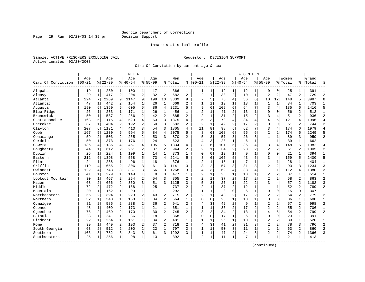Page 29 Run 02/20/03 14:39 pm

#### Inmate statistical profile

Sample: ACTIVE PRISONERS EXCLUDING JAIL **Requestor: DECISION SUPPORT** Active inmates 02/20/2003

Circ Of Conviction by current age & sex

| Circ Of Conviction<br>Alapaha<br>Alcovy | Age<br>$ 00 - 21$<br>19<br>29<br>224<br>47<br>190 | $1\vert$<br>$\mathbf{1}$<br>7 | Age<br>$8 22-39$<br>230<br>417 | 1<br>2         | Age<br>$8 40-54$<br>100 | $\mathbf{1}$   | Aqe<br>$8155 - 99$ |                | Men<br>% Total | ి              | Aqe<br>$00 - 21$ |                | Aqe<br>$8 22-39$ |                         | Aqe<br>$ 40-54$ |                | Aqe<br>$8155 - 99$ |                | Women<br>% Total | ႜ              | Grand<br>Total | ু              |
|-----------------------------------------|---------------------------------------------------|-------------------------------|--------------------------------|----------------|-------------------------|----------------|--------------------|----------------|----------------|----------------|------------------|----------------|------------------|-------------------------|-----------------|----------------|--------------------|----------------|------------------|----------------|----------------|----------------|
|                                         |                                                   |                               |                                |                |                         |                |                    |                |                |                |                  |                |                  |                         |                 |                |                    |                |                  |                |                |                |
|                                         |                                                   |                               |                                |                |                         |                | 17                 | 1              | 366            | 1              | 1                | $\mathbf 1$    | 12               | 1                       | 12              | 1              | $\Omega$           | 0              | 25               | 1              | 391            | $\mathbf{1}$   |
|                                         |                                                   |                               |                                |                | 204                     | $\overline{2}$ | 32                 | $\overline{2}$ | 682            | 2              | 2                | $\mathbf{1}$   | 33               | $\overline{2}$          | 10              | $\mathbf{1}$   | $\overline{a}$     | 2              | 47               | 2              | 729            | $\overline{2}$ |
| Atlanta                                 |                                                   |                               | 2269                           | 9              | 1147                    | 9              | 199                | 10             | 3839           | 9              | 7                | 5              | 75               | $\overline{4}$          | 56              | 6              | 10                 | 12             | 148              | 5              | 3987           | 8              |
| Atlantic                                |                                                   | 1                             | 442                            | 2              | 154                     | 1              | 26                 | 1              | 669            | 2              | $\mathbf{1}$     | $\mathbf{1}$   | 19               | $\mathbf{1}$            | 13              | 1              | $\mathbf{1}$       | $\mathbf{1}$   | 34               | 1              | 703            | $\mathbf{1}$   |
| Augusta                                 |                                                   | 6                             | 1350                           | 5              | 605                     | 5              | 86                 | 4              | 2231           | 5              | 9                | 6              | 109              | 6                       | 64              | 7              | 3                  | 4              | 185              | 6              | 2416           | 5              |
| Blue Ridge                              | 26                                                | 1                             | 233                            | 1              | 171                     | $\mathbf 1$    | 26                 | $\mathbf{1}$   | 456            | $\mathbf{1}$   | $\overline{2}$   | $\mathbf{1}$   | 41               | $\overline{c}$          | 13              | $\mathbf{1}$   | $\mathbf 0$        | $\Omega$       | 56               | 2              | 512            | $\mathbf{1}$   |
| Brunswick                               | 50                                                | $\mathbf{1}$                  | 537                            | 2              | 256                     | 2              | 42                 | 2              | 885            | $\overline{a}$ | $\overline{2}$   | $\mathbf{1}$   | 31               | $\overline{c}$          | 15              | 2              | 3                  | 4              | 51               | $\overline{2}$ | 936            | $\overline{2}$ |
| Chattahoochee                           | 168                                               | 5                             | 1115                           | 4              | 529                     | 4              | 63                 | 3              | 1875           | 4              | 5                | 3              | 78               | $\overline{4}$          | 34              | 4              | 4                  | 5              | 121              | 4              | 1996           | $\overline{4}$ |
| Cherokee                                | 37                                                | 1                             | 404                            | 2              | 192                     | 2              | 50                 | 3              | 683            | 2              | $\overline{2}$   | $\mathbf{1}$   | 42               | $\overline{c}$          | 17              | $\overline{2}$ | $\mathbf 0$        | $\Omega$       | 61               | 2              | 744            | $\overline{2}$ |
| Clayton                                 | 207                                               | 6                             | 1131                           | 4              | 413                     | 3              | 54                 | 3              | 1805           | 4              | 11               | 8              | 98               | 5                       | 62              | 7              | 3                  | 4              | 174              | 6              | 1979           | $\overline{4}$ |
| Cobb                                    | 167                                               | 5                             | 1230                           | 5              | 594                     | 5              | 84                 | 4              | 2075           | 5              | 8                | 6              | 108              | 6                       | 56              | 6              | $\overline{2}$     | 2              | 174              | 6              | 2249           | 5              |
| Conasauga                               | 59                                                | 2                             | 503                            | 2              | 255                     | $\overline{2}$ | 53                 | 3              | 870            | $\overline{a}$ | 5                | 3              | 57               | 3                       | 26              | 3              | $\mathbf 1$        | $\mathbf{1}$   | 89               | 3              | 959            | $\overline{2}$ |
| Cordele                                 | 50                                                | $\mathbf{1}$                  | 373                            | $\mathbf{1}$   | 176                     | $\mathbf{1}$   | 24                 | $\mathbf{1}$   | 623            | $\mathbf{1}$   | $\overline{4}$   | 3              | 28               | $\mathbf{1}$            | 6               | $\mathbf{1}$   | $\mathbf{1}$       | $\mathbf{1}$   | 39               | $\mathbf{1}$   | 662            | $\overline{1}$ |
| Coweta                                  | 136                                               | 4                             | 1136                           | 4              | 457                     | 4              | 105                | 5              | 1834           | 4              | 8                | 6              | 101              | 5                       | 36              | $\overline{4}$ | 3                  | 4              | 148              | 5              | 1982           | $\overline{4}$ |
| Dougherty                               | 44                                                | 1                             | 612                            | 2              | 251                     | 2              | 37                 | 2              | 944            | 2              | $\overline{c}$   | 1              | 34               | $\overline{\mathbf{c}}$ | 23              | $\sqrt{2}$     | $\overline{2}$     | 2              | 61               | 2              | 1005           | $\overline{c}$ |
| Dublin                                  | 26                                                | 1                             | 224                            | $\mathbf 1$    | 109                     | 1              | 14                 | 1              | 373            | 1              | $\mathbf 0$      | $\mathbf 0$    | 12               | $\mathbf{1}$            | 9               | 1              | $\mathbf 0$        | 0              | 21               | 1              | 394            | $\mathbf{1}$   |
| Eastern                                 | 212                                               | 6                             | 1398                           | 5              | 558                     | 5.             | 73                 | $\overline{4}$ | 2241           | 5              | 8                | 6              | 105              | 5                       | 43              | 5              | 3                  | 4              | 159              | 5              | 2400           | 5              |
| Flint                                   | 24                                                | 1                             | 238                            | $\mathbf{1}$   | 96                      | $\mathbf 1$    | 18                 | $\mathbf{1}$   | 376            | $\mathbf{1}$   | $\overline{c}$   | $\mathbf{1}$   | 18               | $\mathbf{1}$            | 7               | $\mathbf{1}$   | $\mathbf 1$        | $\mathbf{1}$   | 28               | $\mathbf{1}$   | 404            | $\mathbf{1}$   |
| Griffin                                 | 119                                               | 4                             | 655                            | 2              | 306                     | 3              | 61                 | 3              | 1141           | 3              | $\mathbf{z}$     | 2              | 57               | 3                       | 31              | 3              | $\overline{2}$     | $\overline{c}$ | 93               | ζ              | 1234           | $\overline{3}$ |
| Gwinnett                                | 122                                               | 4                             | 743                            | 3              | 337                     | 3              | 66                 | 3              | 1268           | 3              | $\overline{4}$   | 3              | 69               | $\overline{4}$          | 38              | 4              | $\mathbf{1}$       | $\mathbf{1}$   | 112              | 4              | 1380           | $\overline{3}$ |
| Houston                                 | 41                                                | 1                             | 279                            | 1              | 149                     | 1              | 8                  | 0              | 477            | 1              | $\overline{c}$   | 1              | 20               | $\mathbf 1$             | 13              | 1              | $\overline{2}$     | $\overline{c}$ | 37               | 1              | 514            | $\mathbf{1}$   |
| Lookout Mountain                        | 30                                                | $\mathbf{1}$                  | 467                            | 2              | 254                     | $\overline{a}$ | 54                 | 3              | 805            | $\overline{a}$ | $\overline{a}$   | $\mathbf{1}$   | 37               | $\overline{2}$          | 17              | 2              | $\overline{2}$     | $\overline{a}$ | 58               | 2              | 863            | $\overline{2}$ |
| Macon                                   | 68                                                | $\overline{a}$                | 656                            | 2              | 350                     | 3              | 51                 | 3              | 1125           | 3              | 5                | 3              | 27               | $\mathbf{1}$            | 2.2             | $\overline{a}$ | 3                  | 4              | 57               | 2.             | 1182           | 3              |
| Middle                                  | 72                                                | $\overline{a}$                | 472                            | $\overline{a}$ | 168                     | $\mathbf 1$    | 25                 | $\mathbf{1}$   | 737            | $\overline{a}$ | $\overline{c}$   | $\mathbf{1}$   | 37               | $\overline{a}$          | 12              | $\mathbf{1}$   | $\mathbf 1$        | $\mathbf{1}$   | 52               | 2              | 789            | $\overline{2}$ |
| Mountain                                | 20                                                | $\mathbf{1}$                  | 162                            | $\mathbf{1}$   | 99                      | $\mathbf{1}$   | 11                 | $\mathbf 1$    | 292            | $\mathbf{1}$   | $\mathbf{1}$     | $\mathbf 1$    | 8                | $\mathbf 0$             | 6               | $\mathbf{1}$   | $\mathbf 0$        | $\mathbf 0$    | 15               | $\Omega$       | 307            | $\mathbf{1}$   |
| Northeastern                            | 55                                                | 2                             | 394                            | $\mathbf{1}$   | 223                     | 2              | 43                 | $\overline{c}$ | 715            | $\overline{a}$ | $\overline{2}$   | $\mathbf{1}$   | 43               | $\overline{2}$          | 17              | 2              | $\overline{2}$     | $\overline{c}$ | 64               | $\overline{a}$ | 779            | $\overline{2}$ |
| Northern                                | 32                                                | 1                             | 340                            | $\mathbf 1$    | 158                     | 1              | 34                 | $\overline{c}$ | 564            | 1              | $\Omega$         | 0              | 23               | $\mathbf 1$             | 13              | 1              | 0                  | $\Omega$       | 36               | 1              | 600            | $\mathbf{1}$   |
| Ocmulgee                                | 81                                                | 2                             | 586                            | 2              | 238                     | 2              | 36                 | 2              | 941            | $\overline{a}$ | 4                | 3              | 42               | $\overline{c}$          | 9               | $\mathbf{1}$   | $\overline{2}$     | $\overline{a}$ | 57               | 2              | 998            | $\overline{2}$ |
| Oconee                                  | 48                                                | 1                             | 409                            | 2              | 173                     | $\mathbf 1$    | 21                 | $\mathbf{1}$   | 651            | $\mathbf{1}$   | $\mathbf{1}$     | $\mathbf{1}$   | 35               | $\overline{a}$          | 17              | $\overline{2}$ | $\overline{a}$     | $\overline{2}$ | 55               | $\overline{a}$ | 706            | $\mathbf{1}$   |
| Ogeechee                                | 76                                                | $\overline{a}$                | 469                            | 2              | 170                     | $\mathbf 1$    | 30                 | $\overline{2}$ | 745            | $\overline{2}$ | $\overline{3}$   | $\overline{a}$ | 34               | $\overline{a}$          | 13              | $\mathbf{1}$   | $\overline{4}$     | 5              | 54               | 2              | 799            | $\overline{2}$ |
| Pataula                                 | 23                                                | $\mathbf{1}$                  | 241                            | $\mathbf{1}$   | 86                      | $\mathbf{1}$   | 18                 | $\mathbf 1$    | 368            | $\mathbf{1}$   | $\mathbf 0$      | $\mathbf 0$    | 17               | $\mathbf 1$             | 6               | $\mathbf{1}$   | $\mathbf 0$        | $\mathbf 0$    | 23               | $\mathbf{1}$   | 391            | $\mathbf{1}$   |
| Piedmont                                | 22                                                | $\mathbf{1}$                  | 264                            | $\mathbf{1}$   | 161                     | $\mathbf{1}$   | 34                 | $\overline{c}$ | 481            | $\mathbf{1}$   | $\mathbf{1}$     | $\mathbf 1$    | 26               | $\mathbf 1$             | 10              | $\mathbf{1}$   | $\overline{2}$     | 2              | 39               | $\mathbf{1}$   | 520            | $\mathbf{1}$   |
| Rome                                    | 39                                                | $\mathbf{1}$                  | 449                            | 2              | 193                     | 2              | 37                 | $\overline{2}$ | 718            | $\overline{a}$ | $\overline{4}$   | 3              | 41               | 2                       | 31              | 3              | $\overline{2}$     | 2              | 78               | 3              | 796            | $\overline{2}$ |
| South Georgia                           | 63                                                | 2                             | 512                            | 2              | 200                     | 2              | 22                 | $\mathbf{1}$   | 797            | $\overline{a}$ | $\overline{1}$   | $\mathbf{1}$   | 50               | 3                       | 11              | 1              | $\mathbf{1}$       | $\mathbf{1}$   | 63               | 2              | 860            | $\overline{2}$ |
| Southern                                | 106                                               | 3                             | 782                            | 3              | 343                     | 3              | 61                 | 3              | 1292           | 3              | 1                | 1              | 47               | $\overline{2}$          | 2.4             | 3              | $\overline{a}$     | $\overline{a}$ | 74               | $\overline{a}$ | 1366           | 3              |
| Southwestern                            | 25                                                | $\mathbf{1}$                  | 256                            | 1              | 98                      | $\mathbf 1$    | 13                 | 1              | 392            | 1              | $\overline{2}$   | $\mathbf 1$    | 11               | $\mathbf{1}$            | 7               | 1              | 1                  | 1              | 21               | 1              | 413            | $\mathbf{1}$   |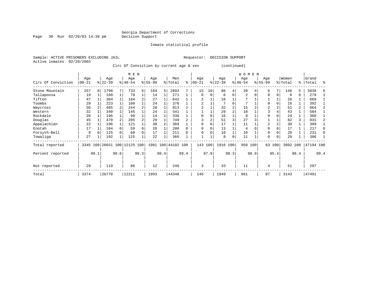Page 30 Run 02/20/03 14:39 pm

Inmate statistical profile

Sample: ACTIVE PRISONERS EXCLUDING JAIL **Requestor: DECISION SUPPORT** Active inmates 02/20/2003

Circ Of Conviction by current age & sex (continued)

|                    | M E N            |              |                  |  |                         |      |                 |      |                    |      |                 |          |                  |                | W O M E N        |      |                  |             |                  |      |                |      |
|--------------------|------------------|--------------|------------------|--|-------------------------|------|-----------------|------|--------------------|------|-----------------|----------|------------------|----------------|------------------|------|------------------|-------------|------------------|------|----------------|------|
| Circ Of Conviction | Age<br>$00 - 21$ |              | Age<br>$ 22-39 $ |  | Age<br>$ 40-54 $        |      | Age<br>$ 55-99$ |      | Men<br>% Total     | ి    | Age<br>$ 00-21$ | 응        | Age<br>$22 - 39$ |                | Age<br>$ 40-54 $ |      | Age<br>$8 55-99$ |             | Women<br>% Total | ႜ    | Grand<br>Total | ু    |
| Stone Mountain     | 257              | 8            | 1798             |  | 733                     | 6    | 104             | 5    | 2892               |      | 15              | 10       | 86               | 4              | 39               |      | 6                | 7           | 146              | 5    | 3038           |      |
| Tallapoosa         | 19               |              | 160              |  | 78                      |      | 14              |      | 271                |      | $\Omega$        | $\Omega$ | 6                | $\Omega$       | 2                |      | $\Omega$         | 0           | 8                | 0    | 279            |      |
| Tifton             | 47               |              | 384              |  | 184                     | 2    | 27              |      | 642                |      |                 |          | 16               |                |                  |      |                  |             | 26               |      | 668            |      |
| Toombs             | 29               |              | 223              |  | 100                     |      | 24              |      | 376                |      | 2               |          |                  |                |                  |      | $\Omega$         |             | 16               |      | 392            |      |
| Waycross           | 56               |              | 485              |  | 244                     |      | 28              |      | 813                |      |                 |          | 32               |                | 15               |      | $\overline{2}$   |             | 51               | 2    | 864            |      |
| Western            | 32               |              | 340              |  | 145                     |      | 24              |      | 541                |      |                 |          | 29               | $\overline{c}$ | 10               |      |                  |             | 43               |      | 584            |      |
| Rockdale           | 28               |              | 196              |  | 98                      |      | 14              |      | 336                |      | $\Omega$        |          | 16               |                | 8                |      |                  |             | 24               |      | 360            |      |
| Douglas            | 45               |              | 470              |  | 205                     |      | 29              |      | 749                |      |                 |          | 51               |                | 27               |      |                  |             | 82               | 3    | 831            |      |
| Appalachian        | 22               |              | 196              |  | 121                     |      | 30              |      | 369                |      | $\Omega$        |          | 17               |                | 11               |      | $\overline{2}$   |             | 30               |      | 399            |      |
| Enotah             | 17               |              | 104              |  | 59                      | 0    | 20              |      | 200                |      | $\Omega$        |          | 13               |                | 4                |      | $\Omega$         |             | 17               |      | 217            |      |
| Forsyth-Bell       | 9                |              | 125              |  | 60                      | 0    | 17              |      | 211                |      | $\Omega$        | U        | 10               |                | 10               |      | $\Omega$         |             | 20               |      | 231            |      |
| Towaliga           | 27               |              | 192              |  | 125                     |      | 22              |      | 366                |      |                 |          | 8                | $\Omega$       | 11               |      | $\Omega$         | $\mathbf 0$ | 20               |      | 386            |      |
| Total reported     | 3345             |              |                  |  | 100 26651 100 12125 100 |      |                 |      | 1981 100 44102 100 |      | 143             | 100      | 1916 100         |                | 950 100          |      |                  | 83 100      | 3092 100         |      | 47194 100      |      |
| Percent reported   |                  | 99.1<br>99.6 |                  |  |                         | 99.3 |                 | 99.4 |                    | 99.4 |                 | 97.9     |                  | 98.3           |                  | 98.9 |                  | 95.4        |                  | 98.4 |                | 99.4 |
| Not reported       | 29<br>119        |              |                  |  | 86                      |      | 12              |      | 246                |      | 3               |          | 33               |                | 11               |      | 4                |             | 51               |      | 297            |      |
| Total              | 3374             |              | 26770            |  | 12211                   |      | 1993            |      | 44348              |      | 146             |          | 1949             |                | 961              |      | 87               |             | 3143             |      | 47491          |      |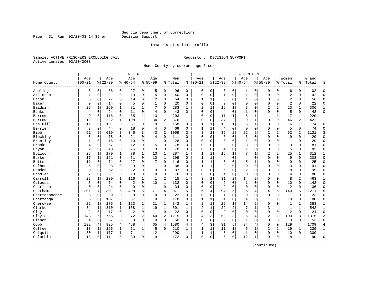Page 31 Run  $02/20/03$  14:39 pm

#### Inmate statistical profile

Sample: ACTIVE PRISONERS EXCLUDING JAIL **Requestor: DECISION SUPPORT** Active inmates 02/20/2003

Home County by current age & sex

|                       |           |                |           |                | M E N    |                |                |             |         |              |                |              |                |                | <b>WOMEN</b>   |                |                |                |                |                |       |                |
|-----------------------|-----------|----------------|-----------|----------------|----------|----------------|----------------|-------------|---------|--------------|----------------|--------------|----------------|----------------|----------------|----------------|----------------|----------------|----------------|----------------|-------|----------------|
|                       | Age       |                | Age       |                | Age      |                | Age            |             | Men     |              | Age            |              | Age            |                | Age            |                | Age            |                | Women          |                | Grand |                |
| Home County           | $00 - 21$ |                | $8 22-39$ |                | $ 40-54$ |                | $8155 - 99$    |             | % Total | နွ           | $ 00-21$       |              | $8 22-39$      |                | $ 40-54$       |                | $8155 - 99$    |                | % Total        | ి              | Total | န္             |
| Appling               | 8         | $\overline{0}$ | 56        | $\overline{0}$ | 27       | $\overline{0}$ | 5              | 0           | 96      | 0            | 0              | 0            | 5              | 0              | 1              | 0              | 0              | 0              | 6              | 0              | 102   | $\Omega$       |
| Atkinson              | 1         | 0              | 21        | 0              | 13       | 0              | 5              | $\mathbf 0$ | 40      | 0            | $\mathbf 0$    | 0            | $1\,$          | 0              | $\mathbf 1$    | $\mathbf 0$    | $\mathbf 0$    | $\mathbf 0$    | $\overline{a}$ | 0              | 42    | $\Omega$       |
| Bacon                 | 6         | 0              | 27        | 0              | 19       | 0              | 2              | 0           | 54      | 0            | 1              | 1            | $\mathbf 0$    | 0              | 1              | $\mathbf 0$    | $\Omega$       | $\mathbf 0$    | $\overline{2}$ | 0              | 56    | $\mathbf 0$    |
| Baker                 | $\Omega$  | 0              | 14        | $\Omega$       | 5        | 0              |                | $\Omega$    | 20      | $\Omega$     | $\Omega$       | $\Omega$     | $\overline{2}$ | $\Omega$       | 0              | $\Omega$       | $\Omega$       | $\Omega$       | $\overline{2}$ | $\Omega$       | 22    | $\Omega$       |
| Baldwin               | 26        | 1              | 169       | 1              | 81       | $\mathbf 1$    | 7              | $\Omega$    | 283     | 1            | $\overline{2}$ | $\mathbf{1}$ | 16             | 1              | 3              | $\Omega$       | $\overline{2}$ | $\overline{a}$ | 23             | 1              | 306   | 1              |
| Banks                 | 4         | $\Omega$       | 24        | $\mathbf 0$    | 11       | 0              | 4              | $\mathbf 0$ | 43      | 0            | $\mathbf 0$    | 0            | 4              | $\Omega$       | $\mathbf{1}$   | $\mathbf 0$    | $\Omega$       | $\mathbf 0$    | 5              | 0              | 48    | $\Omega$       |
| Barrow                | 9         | 0              | 116       | 0              | 65       | 1              | 13             | $\mathbf 1$ | 203     | 1            | 0              | 0            | 11             | $\mathbf{1}$   | 5              | 1              | 1              | 1              | 17             | 1              | 220   | 1              |
| Bartow                | 12        | 0              | 222       | $\mathbf{1}$   | 108      | $\mathbf{1}$   | 34             | 2           | 376     | $\mathbf{1}$ | $\Omega$       | 0            | 37             | $\overline{2}$ | 9              | $\mathbf 1$    | $\Omega$       | $\Omega$       | 46             | $\overline{a}$ | 422   | $\mathbf{1}$   |
| Ben Hill              | 11        | $\Omega$       | 101       | $\mathbf 0$    | 37       | 0              | 9              | $\mathbf 1$ | 158     | $\Omega$     | $\mathbf{1}$   | 1            | 10             | $\mathbf 1$    | 5              | $\mathbf{1}$   | $\Omega$       | $\Omega$       | 16             | $\mathbf{1}$   | 174   | $\Omega$       |
| Berrien               | 3         | 0              | 44        | 0              | 18       | 0              | $\overline{4}$ | $\mathbf 0$ | 69      | $\Omega$     | $\mathbf{1}$   | 1            | 4              | 0              | $\mathbf 0$    | $\mathbf 0$    | $\Omega$       | 0              | 5              | 0              | 74    | $\Omega$       |
| <b>Bibb</b>           | 61        | 2              | 619       | 3              | 346      | 3              | 43             | 2           | 1069    | 3            | 3              | 2            | 35             | $\overline{c}$ | 22             | $\overline{a}$ | $\overline{2}$ | 2              | 62             | 2              | 1131  | 3              |
| Bleckley              | 8         | 0              | 78        | $\mathbf 0$    | 21       | 0              | 4              | $\mathbf 0$ | 111     | $\Omega$     | $\Omega$       | 0            | 6              | 0              | 3              | $\mathbf 0$    | $\Omega$       | $\Omega$       | 9              | 0              | 120   | $\Omega$       |
| Brantley              |           | 0              | 16        | 0              | 10       | 0              | 1              | $\mathbf 0$ | 28      | 0            | 0              | 0            | $\mathbf 0$    | 0              | 1              | 0              | 0              | 0              | $1\,$          | 0              | 29    | $\Omega$       |
| <b>Brooks</b>         | 4         | $\Omega$       | 57        | $\Omega$       | 12       | 0              | 5              | $\Omega$    | 78      | $\Omega$     | $\Omega$       | 0            | $\Omega$       | $\Omega$       | 3              | $\Omega$       | $\Omega$       | $\Omega$       | 3              | $\Omega$       | 81    | $\Omega$       |
| Bryan                 | 2         | $\Omega$       | 48        | 0              | 25       | 0              | ζ              | $\Omega$    | 78      | $\Omega$     | $\Omega$       | 0            | 4              | $\Omega$       | $\mathbf{1}$   | $\Omega$       | $\mathbf{0}$   | $\Omega$       | 5              | 0              | 83    | $\Omega$       |
| Bulloch               | 26        | 1              | 170       | 1              | 78       | 1'             | 13             | 1           | 287     | 1            | $\mathbf{1}$   | 1            | 15             | 1              | 7              | 1              | 2              | 2              | 25             | 1              | 312   | 1              |
| Burke                 | 17        | 1              | 121       | 0              | 51       | 0              | 10             | 1           | 199     | $\Omega$     | $\mathbf{1}$   | 1            | 4              | $\Omega$       | 4              | $\mathbf 0$    | $\Omega$       | 0              | 9              | 0              | 208   | $\Omega$       |
| <b>Butts</b>          | 11        | $\Omega$       | 71        | $\Omega$       | 27       | 0              | 7              | $\Omega$    | 116     | $\Omega$     | $\mathbf{1}$   | $\mathbf{1}$ | 3              | $\Omega$       | 5              | $\mathbf{1}$   | $\Omega$       | $\Omega$       | 9              | $\Omega$       | 125   | $\Omega$       |
| Calhoun               | 5         | $\Omega$       | 23        | $\Omega$       | 9        | 0              | 1              | $\Omega$    | 38      | $\Omega$     | 1              | $\mathbf{1}$ | $\overline{2}$ | $\Omega$       | 0              | $\mathbf 0$    | $\Omega$       | $\Omega$       | 3              | 0              | 41    | $\Omega$       |
| Camden                | 0         | 0              | 62        | $\mathbf 0$    | 22       | 0              | 3              | $\Omega$    | 87      | $\Omega$     | $\Omega$       | $\Omega$     | 6              | $\Omega$       | $\overline{2}$ | $\mathbf 0$    | $\Omega$       | $\Omega$       | 8              | $\Omega$       | 95    | $\Omega$       |
| Candler               | 7         | 0              | 51        | $\mathbf 0$    | 18       | 0              | $\Omega$       | 0           | 76      | $\Omega$     | $\Omega$       | 0            | 4              | 0              | $\mathbf{0}$   | $\mathbf 0$    | $\Omega$       | 0              | $\overline{4}$ | 0              | 80    | $\Omega$       |
| Carroll               | 28        | 1              | 230       | 1              | 116      | 1              | 41             | 2           | 415     | $\mathbf{1}$ | 3              | 2            | 31             | 2              | 14             | 2              | $\Omega$       | $\Omega$       | 48             | 2              | 463   | $\mathbf{1}$   |
| Catoosa               | 6         | $\Omega$       | 74        | $\mathbf 0$    | 42       | 0              | 10             | $\mathbf 1$ | 132     | $\Omega$     | $\Omega$       | 0            | 9              | $\Omega$       | $\mathbf{1}$   | $\Omega$       | $\Omega$       | $\Omega$       | 10             | 0              | 142   | $\Omega$       |
| Charlton              | 0         | $\Omega$       | 24        | $\mathbf 0$    | 9        | 0              | 1              | $\Omega$    | 34      | $\Omega$     | $\Omega$       | $\Omega$     | $\overline{2}$ | $\Omega$       | $\mathbf 0$    | $\Omega$       | $\Omega$       | $\mathbf 0$    | $\overline{2}$ | $\Omega$       | 36    | $\Omega$       |
| Chatham               | 201       | 7              | 1301      | 5              | 498      | 5              | 71             | 4           | 2071    | 5            | 6              | 4            | 94             | 5              | 36             | 4              | 4              | 5              | 140            | 5              | 2211  | 5              |
| Chattahoochee         | 5         | 0              | 9         | 0              | 8        | 0              | $\mathbf 0$    | $\mathbf 0$ | 22      | $\Omega$     | $\Omega$       | 0            | $\mathbf{1}$   | 0              | $\Omega$       | $\Omega$       | 0              | 0              | 1              | $\mathbf 0$    | 23    | $\Omega$       |
| Chattooga             | 5         | 0              | 107       | 0              | 57       | $\mathbf{1}$   | 9              | 1           | 178     | 0            | 1              | 1            | 4              | 0              | 4              | $\mathbf 0$    | 1              | 1              | 10             | 0              | 188   | $\Omega$       |
| Cherokee              | 22        | 1              | 176       | 1              | 123      | $\mathbf 1$    | 21             | 1           | 342     | 1            | $\overline{2}$ | 1            | 25             | 1              | 14             | 2              | $\Omega$       | $\Omega$       | 41             | 1              | 383   | 1              |
| Clarke                | 34        | 1              | 310       | $\mathbf 1$    | 138      | $\mathbf 1$    | 19             | $\mathbf 1$ | 501     | $\mathbf{1}$ | $\overline{2}$ | $\mathbf{1}$ | 29             | $\overline{c}$ | 7              | $\mathbf{1}$   | 3              | 4              | 41             | $\mathbf{1}$   | 542   | 1              |
| Clay                  | 2         | $\mathbf 0$    | 17        | 0              | 2        | 0              | 1              | $\Omega$    | 22      | $\Omega$     | $\Omega$       | 0            | $\overline{2}$ | $\Omega$       | $\mathbf 0$    | $\Omega$       | $\mathbf 0$    | $\mathbf 0$    | $\overline{2}$ | $\mathbf 0$    | 24    | $\Omega$       |
| Clayton               | 148       | 5              | 755       | 3              | 272      | $\overline{a}$ | 40             | 2           | 1215    | 3            | 4              | 3            | 59             | 3              | 35             | $\overline{4}$ | $\overline{2}$ | 2              | 100            | 3              | 1315  | 3              |
| Clinch                | 4         | 0              | 37        | $\mathbf 0$    | 9        | $\Omega$       | $\Omega$       | $\Omega$    | 50      | $\Omega$     | $\Omega$       | 0            | $\overline{2}$ | $\Omega$       | $\mathbf{1}$   | $\Omega$       | $\Omega$       | $\mathbf 0$    | 3              | $\Omega$       | 53    | $\Omega$       |
| Cobb                  | 132       | 4              | 925       | 4              | 458      | 4              | 65             | 4           | 1580    | 4            | $\overline{4}$ | 3            | 91             | 5              | 34             | 4              | $\mathbf 0$    | $\mathbf 0$    | 129            | 4              | 1709  | $\overline{4}$ |
| Coffee                | 18        | 1              | 126       | 1              | 61       | $\mathbf 1$    | 5              | 0           | 210     | 1            | $\mathbf{1}$   | 1            | 11             | $\mathbf{1}$   | 5              | 1              | 2              | 2              | 19             | 1              | 229   | 1              |
| Colquit               | 30        | 1              | 177       | 1              | 71       | 1              | 12             | 1           | 290     | 1            | $\mathbf{1}$   | 1            | 8              | $\mathbf 0$    | $\mathbf{1}$   | 0              | 0              | 0              | 10             | 0              | 300   | $\mathbf{1}$   |
| Columbia<br>--------- | 13        | 0              | 111       | 0              | 39       | 0              | 9              | 1           | 172     | 0            | $\mathbf{0}$   | 0            | 6              | $\mathbf 0$    | 12             | 1              | $\Omega$       | 0              | 18             | $\mathbf 1$    | 190   | $\Omega$       |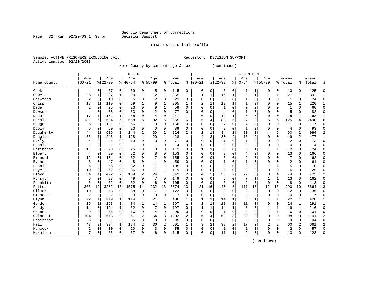### Inmate statistical profile

Sample: ACTIVE PRISONERS EXCLUDING JAIL **Requestor: DECISION SUPPORT** Active inmates 02/20/2003

Page 32 Run 02/20/03 14:39 pm

Home County by current age & sex (continued)

|             |                |              |                |                |              | M E N       |                |                |         |                |              |              |                |                | <b>WOMEN</b>   |                |                |              |                |          |       |              |
|-------------|----------------|--------------|----------------|----------------|--------------|-------------|----------------|----------------|---------|----------------|--------------|--------------|----------------|----------------|----------------|----------------|----------------|--------------|----------------|----------|-------|--------------|
|             | Age            |              | Age            |                | Age          |             | Age            |                | Men     |                | Age          |              | Age            |                | Age            |                | Age            |              | Women          |          | Grand |              |
| Home County | $00 - 21$      |              | $8 22-39$      |                | $8 40-54$    |             | $8155 - 99$    |                | % Total | ႜ              | $ 00 - 21$   |              | $8 22-39$      |                | $ 40-54$       |                | $8155 - 99$    |              | % Total        | ႜ        | Total |              |
| Cook        | 4              | 0            | 67             | $\mathbf 0$    | 39           | 0           | 5              | 0              | 115     | $\mathbf 0$    | $\mathbf 0$  | 0            | 3              | 0              | 7              |                | 0              | 0            | 10             | 0        | 125   | $\cap$       |
| Coweta      | 26             | $\mathbf{1}$ | 237            | 1              | 90           | $\mathbf 1$ | 12             | $\mathbf{1}$   | 365     | 1              | 1            | $\mathbf{1}$ | 16             | $\mathbf{1}$   | 9              | $\mathbf{1}$   |                | 1            | 27             | 1        | 392   |              |
| Crawford    | 2              | $\mathbf 0$  | 13             | $\mathbf 0$    | 6            | 0           | 2              | $\mathbf 0$    | 23      | 0              | $\Omega$     | 0            | $\mathbf 0$    | 0              | 1              | 0              | $\Omega$       | $\Omega$     | 1              | 0        | 24    | $\Omega$     |
| Crisp       | 18             | 1            | 119            | $\mathbf 0$    | 59           | 1           | 9              | $\mathbf{1}$   | 205     | $\mathbf{1}$   | 2            | 1            | 12             | $\mathbf{1}$   | 1              | $\Omega$       | $\Omega$       | $\mathbf 0$  | 15             | 1        | 220   | $\mathbf{1}$ |
| Dade        | $\overline{2}$ | $\mathbf 0$  | 25             | 0              | 23           | 0           | 9              | $\mathbf{1}$   | 59      | $\Omega$       | $\Omega$     | 0            | $\mathbf{1}$   | $\Omega$       | $\Omega$       | $\sqrt{ }$     | $\Omega$       | $\Omega$     | $\mathbf{1}$   | 0        | 60    | $\cap$       |
| Dawson      | 4              | $\mathbf 0$  | 38             | $\mathbf 0$    | 33           | 0           | $\overline{2}$ | $\mathbf 0$    | 77      | $\Omega$       | $\Omega$     | 0            | $\overline{4}$ | $\Omega$       | $\mathbf{1}$   | $\sqrt{ }$     | $\Omega$       | $\mathbf 0$  | 5              | 0        | 82    | $\Omega$     |
| Decatur     | 17             | 1            | 171            | 1              | 55           | 0           | $\overline{4}$ | $\mathbf 0$    | 247     | 1              | $\Omega$     | 0            | 12             | 1              | 3              | $\Omega$       | $\Omega$       | $\mathbf 0$  | 15             | 1        | 262   | -1           |
| DeKalb      | 181            | 6            | 1534           | 6              | 558          | 5           | 92             | 5              | 2365    | 6              | 5            | 4            | 88             | 5              | 27             | 3              | 5              | 6            | 125            | 4        | 2490  | б            |
| Dodge       | 6              | $\mathbf 0$  | 101            | 0              | 56           | 1           | 3              | 0              | 166     | $\Omega$       | $\Omega$     | 0            |                | $\Omega$       | 4              | O              | $\Omega$       | 0            | 11             | 0        | 177   | $\Omega$     |
| Dooly       | 6              | $\mathbf 0$  | 60             | 0              | 23           | 0           | $\Omega$       | 0              | 89      | $\Omega$       | $\Omega$     | O            | 3              | $\Omega$       | $\mathbf{1}$   | $\sqrt{ }$     | $\Omega$       | $\Omega$     | 4              | 0        | 93    | <sup>0</sup> |
| Dougherty   | 44             | 1            | 606            | 2              | 244          | 2           | 30             | $\overline{2}$ | 924     | $\overline{a}$ | 2            | $\mathbf{1}$ | 34             | $\overline{2}$ | 20             | $\overline{a}$ | $\overline{4}$ | 5            | 60             | 2        | 984   |              |
| Douglas     | 35             | 1            | 245            | $\mathbf 1$    | 128          | 1           | 20             | $\mathbf{1}$   | 428     | $\mathbf{1}$   | 4            | 3            | 30             | $\overline{2}$ | 15             | $\overline{2}$ | $\Omega$       | $\Omega$     | 49             | 2        | 477   |              |
| Early       | 4              | $\mathbf 0$  | 45             | $\mathbf 0$    | 19           | 0           | 3              | $\mathbf 0$    | 71      | 0              | $\Omega$     | 0            | $\mathbf{1}$   | $\mathbf 0$    | 1              | $\Omega$       | $\Omega$       | $\mathbf 0$  | $\overline{2}$ | 0        | 73    | $\Omega$     |
| Echols      | 1              | $\mathbf 0$  | 1              | 0              | $\mathbf{1}$ | 0           |                | $\mathbf 0$    | 4       | $\Omega$       | $\Omega$     | 0            | $\Omega$       | $\Omega$       | 0              | $\Omega$       | $\Omega$       | $\mathbf 0$  | $\mathbf{0}$   | 0        | 4     | $\sqrt{ }$   |
| Effingham   | 11             | $\mathbf 0$  | 73             | $\Omega$       | 25           | 0           | 3              | $\Omega$       | 112     | $\Omega$       | $\mathbf{1}$ | 1            | 5              | $\Omega$       | 5              | 1              | $\mathbf{1}$   | $\mathbf{1}$ | 12             | $\Omega$ | 124   | $\Omega$     |
| Elbert      | $\overline{4}$ | 0            | 89             | 0              | 52           | 0           | 8              | $\mathbf 0$    | 153     | $\Omega$       | $\Omega$     | 0            | 9              | $\Omega$       | 4              | $\Omega$       | $\Omega$       | $\Omega$     | 13             | 0        | 166   | $\Omega$     |
| Emanuel     | 12             | 0            | 104            | $\mathbf 0$    | 32           | 0           |                | $\mathbf 0$    | 155     | 0              | $\Omega$     | 0            | 5              | $\mathbf 0$    | 2              | $\Omega$       | $\Omega$       | $\Omega$     | 7              | 0        | 162   | $\Omega$     |
| Evans       | 3              | 0            | 47             | 0              | 8            | 0           |                | $\mathbf 0$    | 59      | $\Omega$       | $\Omega$     | 0            |                | $\Omega$       | 1              | $\Omega$       | $\Omega$       | $\mathbf 0$  | 2              | 0        | 61    | $\Omega$     |
| Fannin      | 6              | $\mathbf 0$  | 56             | 0              | 32           | 0           | 11             | 1              | 105     | $\Omega$       | $\Omega$     | O            | $\overline{2}$ | $\Omega$       | $\overline{2}$ | $\sqrt{ }$     | 1              |              | 5              | 0        | 110   | $\Omega$     |
| Fayette     | 10             | 0            | 62             | $\mathbf 0$    | 36           | 0           | 11             | 1              | 119     | $\Omega$       | $\Omega$     | $\Omega$     | 3              | $\mathbf 0$    | 3              | $\sqrt{ }$     | $\Omega$       | $\Omega$     | 6              | 0        | 125   | <sup>0</sup> |
| Floyd       | 34             | 1            | 422            | 2              | 169          | 2           | 24             | $\mathbf{1}$   | 649     | 2              | 4            | 3            | 38             | $\overline{2}$ | 29             | 3              | 3              | 4            | 74             | 3        | 723   | 2            |
| Forsyth     | 6              | 0            | 87             | $\Omega$       | 49           | 0           |                | $\mathbf 0$    | 149     | $\Omega$       | $\Omega$     | 0            | 5              | $\Omega$       | 7              |                |                | 1            | 13             | 0        | 162   | $\Omega$     |
| Franklin    | 5              | $\mathbf 0$  | 62             | $\mathbf 0$    | 32           | 0           | 6              | $\mathbf 0$    | 105     | 0              | $\Omega$     | 0            | 6              | $\mathbf 0$    | 2              | $\mathbf 0$    | $\Omega$       | $\mathbf 0$  | 8              | 0        | 113   | $\Omega$     |
| Fulton      | 365            | 12           | 3202           | 13             | 1575         | 14          | 232            | 13             | 5374    | 13             | 21           | 16           | 140            | 8              | 117            | 13             | 12             | 15           | 290            | 10       | 5664  | 13           |
| Gilmer      | 10             | $\mathbf 0$  | 58             | $\mathbf 0$    | 38           | 0           | 17             | $\mathbf{1}$   | 123     | $\mathbf 0$    | $\mathbf 0$  | $\mathbf 0$  | 9              | $\mathbf 0$    | 3              | $\mathbf 0$    | $\Omega$       | $\mathbf 0$  | 12             | 0        | 135   | $\mathbf 0$  |
| Glascock    | 2              | 0            | $\overline{2}$ | $\mathbf 0$    | 3            | 0           | $\mathbf 0$    | $\mathbf 0$    | 7       | 0              | $\Omega$     | 0            | $\mathbf 0$    | 0              | 0              | $\Omega$       | $\Omega$       | 0            | $\mathbf 0$    | 0        | 7     | 0            |
| Glynn       | 22             | 1            | 249            | 1              | 114          | 1           | 21             | 1              | 406     | 1              | $\mathbf{1}$ | 1            | 14             | 1              | 6              |                |                | 1            | 22             | 1        | 428   | $\mathbf{1}$ |
| Gordon      | 16             | 1            | 163            | 1              | 74           | 1           | 14             | 1              | 267     | 1              | 1            | 1            | 12             | 1              | 11             | -1             | $\Omega$       | $\Omega$     | 24             | 1        | 291   | 1            |
| Grady       | 14             | $\mathbf 0$  | 124            | $\mathbf{1}$   | 52           | 0           | 7              | $\Omega$       | 197     | $\Omega$       | $\mathbf{1}$ | $\mathbf{1}$ | 14             | $\mathbf{1}$   | 3              | C              | $\mathbf{1}$   | 1            | 19             | 1        | 216   | $\Omega$     |
| Greene      | 9              | $\mathbf 0$  | 66             | $\mathbf 0$    | 16           | 0           | 4              | $\mathbf 0$    | 95      | $\Omega$       | $\Omega$     | $\Omega$     | $\mathbf{1}$   | $\Omega$       | $\overline{4}$ | C              | $\mathbf{1}$   | 1            | 6              | $\Omega$ | 101   | $\cap$       |
| Gwinnett    | 104            | 3            | 578            | $\overline{a}$ | 267          | 2           | 54             | 3              | 1003    | 2              | 6            | 4            | 62             | 3              | 30             | 3              | $\Omega$       | $\mathbf 0$  | 98             | 3        | 1101  | 3            |
| Habersham   | 6              | $\mathbf 0$  | 51             | $\mathbf 0$    | 35           | 0           | 3              | $\mathbf 0$    | 95      | $\Omega$       | $\Omega$     | 0            | 6              | $\Omega$       | 3              | $\Omega$       | $\Omega$       | $\Omega$     | 9              | $\Omega$ | 104   | $\Omega$     |
| Hall        | 47             | 2            | 334            | $\mathbf 1$    | 184          | 2           | 36             | $\sqrt{2}$     | 601     | $\mathbf{1}$   | 3            | 2            | 38             | $\overline{2}$ | 17             | $\overline{2}$ | $\overline{c}$ | 2            | 60             | 2        | 661   | 2            |
| Hancock     | 2              | 0            | 30             | 0              | 20           | 0           | 3              | 0              | 55      | $\Omega$       | $\Omega$     | 0            | 1              | 0              | 1              | $\Omega$       | $\Omega$       | $\Omega$     | $\overline{2}$ | 0        | 57    | $\cap$       |
| Haralson    | 7              | $\mathbf 0$  | 65             | 0              | 37           | 0           | 6              | 0              | 115     | $\Omega$       | $\Omega$     | 0            | 11             | 1              | 2              | 0              | $\Omega$       | 0            | 13             | 0        | 128   | $\cap$       |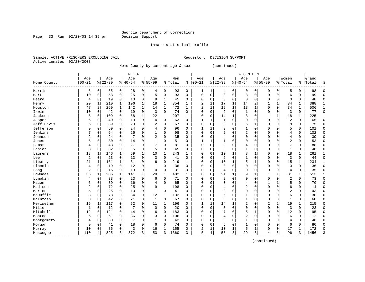### Inmate statistical profile

Sample: ACTIVE PRISONERS EXCLUDING JAIL **Requestor: DECISION SUPPORT** Active inmates 02/20/2003

Page 33 Run  $02/20/03$  14:39 pm

Home County by current age & sex (continued)

|                                                  |                |              |           |              | M E N          |             |                |              |         |              |                |             |                |              | <b>WOMEN</b>   |             |              |              |                |              |       |              |
|--------------------------------------------------|----------------|--------------|-----------|--------------|----------------|-------------|----------------|--------------|---------|--------------|----------------|-------------|----------------|--------------|----------------|-------------|--------------|--------------|----------------|--------------|-------|--------------|
|                                                  | Age            |              | Age       |              | Age            |             | Age            |              | Men     |              | Age            |             | Age            |              | Age            |             | Age          |              | Women          |              | Grand |              |
| Home County                                      | $00 - 21$      |              | $8 22-39$ |              | $8 40-54$      |             | $8155 - 99$    |              | % Total | နွ           | $ 00 - 21$     |             | $ 22-39$       |              | $8 40-54$      |             | $8155 - 99$  |              | % Total        | နွ           | Total | န္           |
| Harris                                           | 6              | 0            | 55        | 0            | 28             | 0           | 4              | 0            | 93      | 0            | 1              | 1           | 4              | 0            | 0              | 0           | 0            | 0            | 5              | 0            | 98    | $\Omega$     |
| Hart                                             | 10             | 0            | 53        | $\mathbf 0$  | 25             | $\mathbf 0$ | 5              | $\mathbf 0$  | 93      | $\mathbf 0$  | $\mathbf 0$    | $\mathbf 0$ | 3              | $\mathbf 0$  | 3              | $\mathbf 0$ | $\mathbf 0$  | $\mathbf 0$  | 6              | 0            | 99    | $\Omega$     |
| Heard                                            | 4              | 0            | 19        | $\mathbf 0$  | 13             | $\mathbf 0$ | 9              | 1            | 45      | 0            | 0              | $\mathbf 0$ | 3              | $\mathbf 0$  | $\mathbf 0$    | 0           | 0            | $\mathbf 0$  | 3              | 0            | 48    | $\Omega$     |
| Henry                                            | 20             | 1            | 210       | $\mathbf 1$  | 106            | 1           | 18             | $\mathbf{1}$ | 354     | 1            | $\overline{2}$ | 1           | 17             | 1            | 14             | 2           | 1            | $\mathbf 1$  | 34             | 1            | 388   | $\mathbf{1}$ |
| Houston                                          | 47             | 2            | 269       | 1            | 142            | $\mathbf 1$ | 14             | 1            | 472     | $\mathbf{1}$ | $\overline{2}$ | $\mathbf 1$ | 19             | $\mathbf 1$  | 13             | $\mathbf 1$ | $\mathbf 0$  | $\mathbf 0$  | 34             | $\mathbf{1}$ | 506   | $\mathbf{1}$ |
| Irwin                                            | 10             | $\mathbf 0$  | 42        | $\mathbf 0$  | 19             | $\mathbf 0$ | 3              | $\mathbf 0$  | 74      | 0            | $\Omega$       | $\mathbf 0$ | $\overline{2}$ | $\mathbf 0$  | $\mathbf{1}$   | $\mathbf 0$ | $\mathbf 0$  | $\mathbf 0$  | 3              | $\mathbf 0$  | 77    | $\mathbf 0$  |
| Jackson                                          | 8              | 0            | 109       | 0            | 68             | 1           | 22             | 1            | 207     | 1            | $\Omega$       | 0           | 14             | $\mathbf{1}$ | 3              | $\mathbf 0$ | 1            | 1            | 18             | 1            | 225   | 1            |
| Jasper                                           | 6              | 0            | 40        | $\Omega$     | 13             | 0           | $\overline{4}$ | 0            | 63      | $\Omega$     |                | 1           | 1              | $\Omega$     | 0              | 0           | 0            | 0            | $\overline{c}$ | 0            | 65    | $\Omega$     |
| Jeff Davis                                       | 6              | $\Omega$     | 39        | $\Omega$     | 20             | 0           |                | $\Omega$     | 67      | $\Omega$     | $\Omega$       | $\Omega$    | 3              | $\Omega$     | 5              | 1           | $\Omega$     | $\Omega$     | 8              | 0            | 75    | $\Omega$     |
| Jefferson                                        | 9              | $\Omega$     | 59        | $\Omega$     | 24             | 0           | $\overline{4}$ | $\Omega$     | 96      | $\Omega$     | $\mathbf{1}$   | 1           | 3              | $\Omega$     | $\mathbf{1}$   | $\Omega$    | $\Omega$     | $\Omega$     | 5              | 0            | 101   | $\Omega$     |
| Jenkins                                          | 7              | $\mathbf 0$  | 64        | $\mathbf 0$  | 26             | 0           |                | $\mathbf 0$  | 98      | $\Omega$     | $\Omega$       | $\Omega$    | $\overline{2}$ | $\Omega$     | 2              | $\mathbf 0$ | $\Omega$     | $\Omega$     | 4              | 0            | 102   | $\Omega$     |
| Johnson                                          | $\overline{2}$ | 0            | 24        | $\mathbf 0$  | $\overline{7}$ | 0           | 2              | $\mathbf 0$  | 35      | 0            | 0              | 0           | 4              | 0            | 0              | $\mathbf 0$ | 0            | $\Omega$     | $\overline{4}$ | 0            | 39    | $\Omega$     |
| Jones                                            | 6              | $\Omega$     | 30        | $\Omega$     | 14             | 0           |                | $\mathbf 0$  | 51      | $\Omega$     | $\mathbf{1}$   | 1           | $\mathbf{1}$   | $\Omega$     | $\Omega$       | $\mathbf 0$ | $\Omega$     | $\Omega$     | $\overline{c}$ | 0            | 53    | $\Omega$     |
| Lamar                                            | 4              | $\mathbf 0$  | 43        | $\Omega$     | 27             | 0           |                | 0            | 81      | $\Omega$     | $\Omega$       | $\Omega$    | 3              | $\Omega$     | 4              | $\mathbf 0$ | $\Omega$     | $\Omega$     | 7              | $\Omega$     | 88    | $\Omega$     |
| Lanier                                           | 3              | $\mathbf 0$  | 32        | 0            | 5              | 0           | 5              | 0            | 45      | $\Omega$     | $\Omega$       | 0           | $\mathbf 0$    | 0            | 1              | $\mathbf 0$ | $\mathbf 0$  | 0            | 1              | $\Omega$     | 46    | $\Omega$     |
| Laurens                                          | 18             | 1            | 146       | 1            | 69             | $\mathbf 1$ | 10             | $\mathbf{1}$ | 243     | 1            | $\mathbf 0$    | $\mathbf 0$ | 10             | 1            | 8              | 1           | $\mathbf 0$  | $\mathbf 0$  | 18             | 1            | 261   | 1            |
| Lee                                              | $\overline{2}$ | 0            | 23        | $\mathbf 0$  | 13             | 0           | 3              | $\mathbf 0$  | 41      | $\Omega$     | $\Omega$       | 0           | 2              | $\mathbf 0$  | 1              | $\mathbf 0$ | $\Omega$     | $\Omega$     | 3              | 0            | 44    | $\Omega$     |
| Liberty                                          | 21             | 1            | 161       | 1            | 31             | 0           | 6              | $\Omega$     | 219     | 1            | $\Omega$       | $\Omega$    | 10             | 1            | 5              | 1           | $\Omega$     | $\Omega$     | 15             | 1            | 234   | $\mathbf{1}$ |
| Lincoln                                          | 4              | $\Omega$     | 19        | $\Omega$     | 12             | 0           |                | $\Omega$     | 36      | $\Omega$     | <sup>0</sup>   | O           | $\Omega$       | $\Omega$     | $\Omega$       | $\Omega$    | $\Omega$     | $\Omega$     | $\Omega$       | $\Omega$     | 36    | $\Omega$     |
| Long                                             | 2              | $\Omega$     | 16        | $\Omega$     | 13             | 0           | $\Omega$       | $\Omega$     | 31      | $\Omega$     | $\Omega$       | $\Omega$    | 4              | $\Omega$     | $\Omega$       | $\Omega$    | $\Omega$     | $\Omega$     | $\overline{4}$ | 0            | 35    | $\Omega$     |
| Lowndes                                          | 36             | $\mathbf{1}$ | 285       | $\mathbf{1}$ | 141            | 1           | 20             | $\mathbf{1}$ | 482     | $\mathbf{1}$ | $\Omega$       | $\Omega$    | 21             | $\mathbf{1}$ | 9              | $\mathbf 1$ | 1            | $\mathbf{1}$ | 31             | 1            | 513   |              |
| Lumpkin                                          | 4              | 0            | 38        | $\mathbf 0$  | 23             | $\mathbf 0$ | 6              | $\mathbf 0$  | 71      | $\Omega$     | 0              | $\Omega$    | $\overline{2}$ | $\Omega$     | $\Omega$       | $\mathbf 0$ | $\mathbf 0$  | $\Omega$     | $\overline{c}$ | 0            | 73    | $\Omega$     |
| Macon                                            | 6              | 0            | 39        | $\mathbf 0$  | 16             | 0           | 4              | $\mathbf 0$  | 65      | $\Omega$     | $\Omega$       | $\Omega$    | 0              | $\Omega$     | 4              | 0           | 1            | 1            | 5              | 0            | 70    | $\Omega$     |
| Madison                                          | 2              | $\mathbf 0$  | 72        | $\mathbf 0$  | 25             | 0           | 9              | $\mathbf{1}$ | 108     | $\Omega$     | $\Omega$       | $\Omega$    | 4              | $\Omega$     | 2              | $\mathbf 0$ | $\mathbf 0$  | $\Omega$     | 6              | 0            | 114   | $\Omega$     |
| Marion                                           | 5              | $\Omega$     | 25        | $\Omega$     | 10             | 0           | $\mathbf{1}$   | 0            | 41      | $\Omega$     | $\Omega$       | $\Omega$    | $\overline{a}$ | $\Omega$     | $\Omega$       | $\mathbf 0$ | $\mathbf 0$  | $\Omega$     | 2              | $\Omega$     | 43    | $\Omega$     |
| McDuffie                                         | 8              | $\Omega$     | 78        | $\mathbf 0$  | 34             | 0           | 12             | 1            | 132     | 0            | $\Omega$       | 0           | 5              | $\mathbf 0$  | 1              | $\mathbf 0$ | $\mathbf 0$  | $\Omega$     | 6              | 0            | 138   | $\Omega$     |
| McIntosh                                         | 3              | 0            | 42        | $\mathbf 0$  | 21             | 0           | $\mathbf{1}$   | $\mathbf 0$  | 67      | 0            | $\Omega$       | 0           | $\Omega$       | $\Omega$     | 1              | $\mathbf 0$ | $\mathbf{0}$ | $\Omega$     | $\mathbf{1}$   | 0            | 68    | $\Omega$     |
| Meriwether                                       | 16             | 1            | 117       | $\Omega$     | 52             | 0           | 11             | 1            | 196     | 0            | $\mathbf{1}$   | 1           | 14             | 1            | 2              | 0           | 2            | 2            | 19             | 1            | 215   | $\Omega$     |
| Miller                                           | 1              | $\Omega$     | 12        | 0            | 7              | 0           | $\Omega$       | $\Omega$     | 20      | $\Omega$     | $\Omega$       | $\Omega$    | 3              | $\Omega$     | $\Omega$       | $\mathbf 0$ | $\Omega$     | $\Omega$     | 3              | $\Omega$     | 23    | $\Omega$     |
| Mitchell                                         | 12             | $\Omega$     | 121       | $\Omega$     | 44             | 0           | 6              | $\Omega$     | 183     | $\Omega$     | $\Omega$       | $\Omega$    | 7              | $\Omega$     | 5              | 1           | $\Omega$     | $\Omega$     | 12             | $\Omega$     | 195   | $\Omega$     |
| Monroe                                           | 6              | $\mathbf 0$  | 61        | $\mathbf 0$  | 36             | 0           | 3              | $\mathbf 0$  | 106     | 0            | $\Omega$       | $\Omega$    | 4              | $\Omega$     | $\overline{2}$ | $\mathbf 0$ | $\Omega$     | $\Omega$     | 6              | 0            | 112   | $\Omega$     |
| Montgomery                                       | 4              | 0            | 30        | $\mathbf 0$  | 7              | 0           |                | $\mathbf 0$  | 42      | 0            | $\Omega$       | 0           | 3              | $\mathbf 0$  | 1              | $\mathbf 0$ | $\Omega$     | $\mathbf 0$  | 4              | 0            | 46    | $\Omega$     |
| Morgan                                           | 9              | $\Omega$     | 41        | $\Omega$     | 18             | 0           | 6              | $\mathbf 0$  | 74      | $\Omega$     | 0              | $\Omega$    | 5              | $\Omega$     | $\mathbf{1}$   | $\mathbf 0$ | $\Omega$     | $\Omega$     | 6              | 0            | 80    | $\Omega$     |
| Murray                                           | 10             | $\Omega$     | 86        | 0            | 43             | 0           | 16             | 1            | 155     | $\Omega$     | 2              | 1           | 10             | 1            | 5              | 1           | $\mathbf 0$  | $\Omega$     | 17             | 1            | 172   | $\Omega$     |
| Muscogee<br>$\cdots \cdots \cdots \cdots \cdots$ | 110            | 4            | 825       | 3            | 372            | 3           | 53             | 3            | 1360    | 3            | 5              | 4           | 58             | 3            | 29             | 3           | 4            | 5            | 96             | 3            | 1456  | 3            |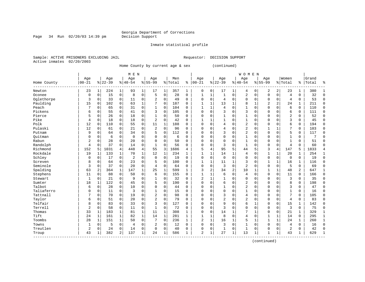Page 34 Run  $02/20/03$  14:39 pm

#### Inmate statistical profile

Sample: ACTIVE PRISONERS EXCLUDING JAIL **Requestor: DECISION SUPPORT** Active inmates 02/20/2003

Home County by current age & sex (continued)

|             |                |              |           |              | M E N          |              |                |              |         |              |                |                |                |              | <b>WOMEN</b>   |              |                |                |                |                |       |              |
|-------------|----------------|--------------|-----------|--------------|----------------|--------------|----------------|--------------|---------|--------------|----------------|----------------|----------------|--------------|----------------|--------------|----------------|----------------|----------------|----------------|-------|--------------|
|             | Age            |              | Age       |              | Age            |              | Age            |              | Men     |              | Age            |                | Age            |              | Age            |              | Age            |                | Women          |                | Grand |              |
| Home County | $00 - 21$      |              | $8 22-39$ |              | $8 40-54$      |              | $8155 - 99$    |              | % Total | ႜ            | $ 00 - 21$     |                | $8 22-39$      |              | $8 40-54$      |              | $8155 - 99$    |                | %   Total      | ႜ              | Total |              |
| Newton      | 23             | 1            | 224       | $\mathbf 1$  | 93             | $\mathbf 1$  | 17             | 1            | 357     | 1            | 0              | 0              | 17             | 1            | 4              | 0            | 2              | 2              | 23             | 1              | 380   |              |
| Oconee      | 0              | 0            | 15        | 0            | 8              | $\mathbf 0$  | 5              | $\mathbf 0$  | 28      | $\mathbf 0$  | 1              | 1              | $\mathbf{1}$   | $\mathbf 0$  | 2              | 0            | $\mathbf{0}$   | $\mathbf 0$    | 4              | 0              | 32    | $\Omega$     |
| Oglethorpe  | 3              | $\Omega$     | 33        | $\mathbf 0$  | 11             | $\mathbf 0$  | 2              | $\mathbf 0$  | 49      | $\Omega$     | $\Omega$       | 0              | $\overline{4}$ | $\Omega$     | 0              | $\Omega$     | $\mathbf 0$    | $\Omega$       | 4              | 0              | 53    | $\Omega$     |
| Paulding    | 15             | 0            | 102       | $\mathbf 0$  | 63             | $\mathbf 1$  | 7              | $\mathbf 0$  | 187     | $\Omega$     | $\mathbf{1}$   | $\mathbf{1}$   | 13             | 1            | 8              | 1            | $\overline{2}$ | $\overline{a}$ | 24             | 1              | 211   | $\Omega$     |
| Peach       | 7              | $\mathbf 0$  | 65        | $\mathbf 0$  | 31             | 0            | $\mathbf{1}$   | $\mathbf 0$  | 104     | $\Omega$     | $\mathbf{1}$   | $\mathbf 1$    | $\overline{4}$ | $\Omega$     | $\mathbf{1}$   | 0            | $\mathbf{0}$   | 0              | 6              | 0              | 110   | $\Omega$     |
| Pickens     | 6              | 0            | 55        | $\mathbf 0$  | 41             | 0            | 3              | $\mathbf 0$  | 105     | $\Omega$     | $\Omega$       | 0              | 3              | $\Omega$     | 3              | 0            | $\mathbf{0}$   | 0              | 6              | 0              | 111   | $\Omega$     |
| Pierce      | 5              | 0            | 26        | $\mathbf 0$  | 18             | $\mathbf 0$  | 1              | $\mathbf 0$  | 50      | 0            | $\Omega$       | 0              |                | $\Omega$     | 1              | 0            | $\mathbf 0$    | 0              | $\overline{2}$ | 0              | 52    | $\mathbf 0$  |
| Pike        | 4              | $\Omega$     | 18        | $\mathbf 0$  | 18             | 0            | $\overline{2}$ | $\mathbf 0$  | 42      | $\Omega$     |                | 1              |                | O            | 1              | 0            | $\Omega$       | $\Omega$       | 3              | 0              | 45    | $\Omega$     |
| Polk        | 12             | $\Omega$     | 110       | 0            | 55             | 0            | 11             | 1            | 188     | $\Omega$     | $\Omega$       | $\Omega$       | 4              | $\Omega$     | 2              | O            | $\Omega$       | $\Omega$       | 6              | 0              | 194   | $\Omega$     |
| Pulaski     | 12             | $\Omega$     | 61        | 0            | 21             | $\mathbf 0$  | $\overline{2}$ | $\Omega$     | 96      | $\Omega$     | $\Omega$       | $\Omega$       | $\overline{4}$ | $\cap$       | 2              | $\Omega$     | $\mathbf{1}$   | $\mathbf{1}$   | 7              | 0              | 103   | $\Omega$     |
| Putnam      | 9              | $\Omega$     | 64        | $\Omega$     | 34             | $\mathbf 0$  | 5              | $\mathbf 0$  | 112     | $\Omega$     | $\Omega$       | $\cap$         | 3              | $\Omega$     | $\overline{2}$ | $\Omega$     | $\Omega$       | $\Omega$       | 5              | 0              | 117   | $\Omega$     |
| Ouitman     | 0              | $\mathbf 0$  | 6         | $\mathbf 0$  | $\mathbf 0$    | $\mathbf 0$  | $\Omega$       | $\mathbf 0$  | 6       | $\Omega$     | 0              | $\Omega$       | $\Omega$       | $\Omega$     | $\mathbf{1}$   | U            | $\mathbf 0$    | $\Omega$       | $\mathbf{1}$   | 0              |       | ſ            |
| Rabun       | $\overline{2}$ | $\mathbf 0$  | 28        | $\mathbf 0$  | 20             | $\mathbf 0$  | $\Omega$       | $\mathbf 0$  | 50      | $\mathbf 0$  | 0              | 0              | $\Omega$       | $\mathbf 0$  | $\mathbf{1}$   | U            | $\Omega$       | 0              | $\mathbf{1}$   | 0              | 51    | ∩            |
| Randolph    | 4              | $\mathbf 0$  | 37        | $\mathbf 0$  | 14             | $\mathbf 0$  | $\mathbf{1}$   | $\mathbf 0$  | 56      | $\mathbf 0$  | $\Omega$       | 0              | 3              | $\Omega$     | $\mathbf{1}$   | 0            | $\mathbf{0}$   | $\mathbf 0$    | 4              | 0              | 60    | $\sqrt{ }$   |
| Richmond    | 152            | 5            | 1031      | 4            | 448            | $\,4$        | 55             | 3            | 1686    | 4            | 5              | 4              | 95             | 5            | 44             | 5            | 3              | 4              | 147            | 5              | 1833  |              |
| Rockdale    | 19             | 1            | 133       | 1            | 70             | $\mathbf 1$  | 12             | 1            | 234     | 1            | $\mathbf{1}$   | 1              | 14             | 1            | 4              | $\Omega$     | 1              | 1              | 20             | 1              | 254   | $\mathbf{1}$ |
| Schley      | 0              | 0            | 17        | $\mathbf 0$  | $\overline{2}$ | 0            | $\mathbf 0$    | $\mathbf 0$  | 19      | $\Omega$     | $\Omega$       | 0              | $\mathbf 0$    | $\Omega$     | 0              | 0            | $\mathbf 0$    | $\mathbf 0$    | $\mathbf 0$    | 0              | 19    | $\Omega$     |
| Screven     | 8              | 0            | 64        | 0            | 23             | 0            | 5              | $\mathbf 0$  | 100     | $\Omega$     | $\mathbf{1}$   | $\mathbf 1$    | 11             | $\mathbf{1}$ | 3              | 0            | $\mathbf{1}$   | $\mathbf{1}$   | 16             | 1              | 116   | $\Omega$     |
| Seminole    | 3              | $\mathbf 0$  | 37        | $\mathbf 0$  | 20             | $\mathbf 0$  | $\overline{4}$ | $\mathbf 0$  | 64      | 0            | $\Omega$       | 0              | 3              | $\Omega$     | $\overline{2}$ | $\Omega$     | $\Omega$       | $\mathbf 0$    | 5              | 0              | 69    | $\cap$       |
| Spalding    | 63             | 2            | 364       | $\mathbf{1}$ | 147            | $\mathbf{1}$ | 25             | $\mathbf{1}$ | 599     | $\mathbf{1}$ | 3              | $\overline{2}$ | 34             | 2            | 10             | 1            | 1              | $\mathbf{1}$   | 48             | $\overline{a}$ | 647   | -1           |
| Stephens    | 11             | $\Omega$     | 88        | $\mathbf 0$  | 50             | $\mathbf 0$  | 6              | $\mathbf 0$  | 155     | $\Omega$     |                | $\mathbf{1}$   | 6              | $\Omega$     | 4              | $\Omega$     | $\Omega$       | $\Omega$       | 11             | 0              | 166   | <sup>0</sup> |
| Stewart     | 1              | $\Omega$     | 21        | $\mathbf 0$  | 9              | $\mathbf 0$  | 1              | 0            | 32      | $\Omega$     | 2              | $\mathbf 1$    |                | $\Omega$     | 0              | $\Omega$     | $\mathbf 0$    | $\Omega$       | 3              | 0              | 35    | $\Omega$     |
| Sumter      | 18             | $\mathbf{1}$ | 122       | 0            | 45             | 0            | 5              | $\mathbf 0$  | 190     | $\Omega$     | O              | 0              | 6              | $\Omega$     | 2              | 0            | $\Omega$       | $\Omega$       | 8              | 0              | 198   | $\Omega$     |
| Talbot      | 6              | $\mathbf 0$  | 28        | $\mathbf 0$  | 10             | $\mathbf 0$  | $\Omega$       | $\mathbf 0$  | 44      | $\Omega$     | O              | 0              | $\mathbf{1}$   | $\Omega$     | 2              | 0            | $\Omega$       | $\Omega$       | 3              | 0              | 47    | $\Omega$     |
| Taliaferro  | $\mathbf 0$    | $\mathbf 0$  | 11        | $\mathbf 0$  | 3              | $\mathbf 0$  | 1              | $\mathbf 0$  | 15      | $\mathbf 0$  | $\Omega$       | 0              | $\Omega$       | $\Omega$     | $\mathbf{1}$   | U            | $\Omega$       | $\Omega$       | $\mathbf{1}$   | 0              | 16    | $\Omega$     |
| Tattnall    | 7              | 0            | 70        | $\mathbf 0$  | 19             | $\mathbf 0$  | 2              | $\mathbf 0$  | 98      | 0            | $\Omega$       | 0              | 3              | O            | 4              | 0            | $\mathbf 0$    | 0              | 7              | 0              | 105   | $\Omega$     |
| Taylor      | 6              | 0            | 51        | 0            | 20             | $\mathsf 0$  | 2              | $\mathbf 0$  | 79      | $\Omega$     | $\Omega$       | 0              | $\overline{a}$ | $\Omega$     | $\overline{2}$ | 0            | $\Omega$       | $\Omega$       | 4              | 0              | 83    | $\Omega$     |
| Telfair     | 8              | 0            | 83        | 0            | 33             | 0            | 3              | 0            | 127     | $\Omega$     | $\Omega$       | 0              | 9              | $\Omega$     | б              | 1            | $\Omega$       | 0              | 15             | 1              | 142   | $\Omega$     |
| Terrell     | $\overline{2}$ | $\Omega$     | 58        | $\mathbf 0$  | 11             | $\mathbf 0$  | $\mathbf{1}$   | $\mathbf 0$  | 72      | $\Omega$     | $\Omega$       | $\Omega$       | 3              | $\Omega$     | $\Omega$       | $\Omega$     | $\Omega$       | $\Omega$       | 3              | 0              | 75    | $\Omega$     |
| Thomas      | 33             | $\mathbf{1}$ | 183       | 1            | 81             | $\mathbf{1}$ | 11             | 1            | 308     | $\mathbf{1}$ | $\Omega$       | $\Omega$       | 14             | 1            | 7              | 1            | $\Omega$       | $\Omega$       | 21             | $\mathbf 1$    | 329   | -1           |
| Tift        | 24             | 1            | 161       | $\mathbf{1}$ | 82             | $\mathbf{1}$ | 14             | $\mathbf{1}$ | 281     | $\mathbf{1}$ | 1              | $\mathbf{1}$   | 8              | $\Omega$     | 4              | 0            | 1              | $\mathbf{1}$   | 14             | 0              | 295   | -1           |
| Toombs      | 28             | $\mathbf{1}$ | 151       | $\mathbf{1}$ | 50             | $\mathbf 0$  |                | $\mathbf 0$  | 236     | $\mathbf{1}$ | 2              | $\mathbf 1$    | 16             | 1            | 5              | $\mathbf{1}$ | $\mathbf{1}$   | $\mathbf{1}$   | 24             | 1              | 260   | $\mathbf{1}$ |
| Towns       | $\mathbf{1}$   | 0            | 5         | $\mathbf 0$  | 4              | 0            | $\overline{2}$ | 0            | 12      | 0            | 0              | 0              | 3              | $\Omega$     | 1              | O            | $\mathbf 0$    | $\mathbf 0$    | 4              | 0              | 16    | $\Omega$     |
| Treutlen    | $\overline{2}$ | 0            | 24        | 0            | 14             | 0            | 0              | 0            | 40      | $\Omega$     | $\Omega$       | 0              | $\mathbf{1}$   | $\mathbf 0$  | 1              | 0            | $\mathbf 0$    | 0              | 2              | 0              | 42    | $\sqrt{ }$   |
| Troup       | 43             | 1            | 382       | 2            | 137            | $\mathbf 1$  | 24             | 1            | 586     | 1            | $\overline{a}$ | 1              | 27             | 1            | 13             | 1            | $\mathbf{1}$   | 1              | 43             | 1              | 629   | $\mathbf{1}$ |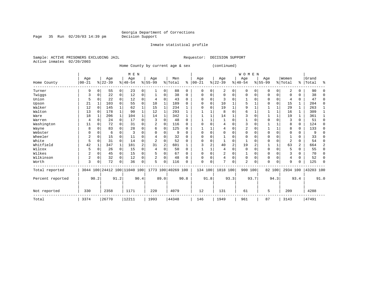Inmate statistical profile

Page 35 Run  $02/20/03$  14:39 pm

Sample: ACTIVE PRISONERS EXCLUDING JAIL **Requestor: DECISION SUPPORT** Active inmates 02/20/2003

Home County by current age & sex (continued)

|                  |          |             |          |              | M E N                        |      |                |                |                    |              |           |          |          |                | <b>WOMEN</b>   |          |             |              |                         |      |           |                |
|------------------|----------|-------------|----------|--------------|------------------------------|------|----------------|----------------|--------------------|--------------|-----------|----------|----------|----------------|----------------|----------|-------------|--------------|-------------------------|------|-----------|----------------|
|                  | Age      |             | Age      |              | Age                          |      | Age            |                | Men                |              | Age       |          | Age      |                | Age            |          | Age         |              | Women                   |      | Grand     |                |
| Home County      | $ 00-21$ |             | $ 22-39$ |              | $ 40-54 $                    |      | $8 55-99$      |                | % Total            | ి            | $00 - 21$ |          | $ 22-39$ |                | $ 40-54$       |          | $8155 - 99$ |              | % Total                 |      | %   Total | ႜ              |
| Turner           | 9        | $\Omega$    | 55       | 0            | 23                           | 0    |                | 0              | 88                 | 0            | $\Omega$  | 0        | 2        | 0              | 0              | $\Omega$ | $\Omega$    | $\Omega$     | $\overline{\mathbf{c}}$ | 0    | 90        | U              |
| Twiggs           | 3        | 0           | 22       | 0            | 12                           | 0    |                | 0              | 38                 | 0            | 0         | 0        | $\Omega$ | $\Omega$       | 0              | 0        | 0           | $\Omega$     | 0                       | 0    | 38        | ∩              |
| Union            | 5        | 0           | 22       | $\Omega$     | 12                           | 0    |                | 0              | 43                 | 0            | $\Omega$  | 0        | 3        | 0              |                | $\Omega$ | O           | 0            | 4                       | 0    | 47        | $\Omega$       |
| Upson            | 21       |             | 103      | 0            | 55                           | 0    | 10             | 1              | 189                | U            | C         | $\Omega$ | 10       |                | 5              |          | O           | $\Omega$     | 15                      | 1    | 204       | $\Omega$       |
| Walker           | 12       | $\Omega$    | 145      |              | 62                           | 1    | 15             |                | 234                |              | C         | $\Omega$ | 19       | $\mathbf{1}$   | 9              |          |             | 1            | 29                      | 1    | 263       |                |
| Walton           | 13       | $\Omega$    | 178      | 1            | 90                           | 1    | 12             | 1              | 293                |              |           |          | 8        | $\Omega$       |                |          |             | 1            | 16                      | 1    | 309       |                |
| Ware             | 18       | 1           | 206      | $\mathbf{1}$ | 104                          | 1    | 14             | 1              | 342                |              |           |          | 14       | 1              |                | $\Omega$ |             | $\mathbf 1$  | 19                      | 1    | 361       |                |
| Warren           | 4        | $\Omega$    | 24       | 0            | 17                           | 0    | 3              | $\Omega$       | 48                 | O            |           |          |          | $\Omega$       |                | $\Omega$ | $\Omega$    | $\Omega$     | 3                       | 0    | 51        | $\Omega$       |
| Washington       | 11       | $\Omega$    | 72       | 0            | 31                           | 0    | 2              | $\Omega$       | 116                | 0            |           | 0        | 4        | $\Omega$       | 3              | $\Omega$ |             |              | 8                       | 0    | 124       | ∩              |
| Wayne            | 8        | $\Omega$    | 83       | 0            | 28                           | 0    | 6              | 0              | 125                | U            |           |          | 4        | $\Omega$       | 2              | $\Omega$ |             | $\mathbf{1}$ | 8                       | 0    | 133       | ∩              |
| Webster          |          | $\Omega$    | 6        | 0            | 3                            | 0    |                | $\Omega$       | 9                  | U            |           | 0        | $\Omega$ | $\Omega$       | $\Omega$       | $\Omega$ | 0           | $\Omega$     | $\Omega$                | 0    |           |                |
| Wheeler          | 2        | $\Omega$    | 15       | 0            | 11                           | O    |                | $\Omega$       | 32                 | <sup>0</sup> | C         | O        |          | $\Omega$       | $\Omega$       | $\Omega$ | $\Omega$    | O            |                         | U    | 33        |                |
| White            | 5        | 0           | 31       | $\Omega$     | 14                           | 0    | $\overline{2}$ | $\Omega$       | 52                 | U            |           | 0        |          | $\Omega$       |                | $\Omega$ | $\Omega$    | $\Omega$     | $\overline{c}$          | 0    | 54        | ∩              |
| Whitfield        | 42       |             | 347      | $\mathbf{1}$ | 181                          | 2    | 31             | $\overline{2}$ | 601                |              |           | 2        | 40       | $\overline{2}$ | 19             | 2        |             | $\mathbf{1}$ | 63                      | 2    | 664       | $\overline{2}$ |
| Wilcox           | 5        | $\mathbf 0$ | 26       | $\mathbf 0$  | 15                           | 0    | 4              | $\Omega$       | 50                 | $\Omega$     |           |          | 4        | 0              | $\mathbf 0$    | $\Omega$ | 0           | $\mathbf 0$  | 5                       | 0    | 55        | $\Omega$       |
| Wilkes           | 2        | $\Omega$    | 45       | 0            | 15                           | 0    |                | $\Omega$       | 67                 | O            | $\Omega$  | $\Omega$ | 2        | 0              |                | $\Omega$ | 0           | $\Omega$     | 3                       | 0    | 70        | $\Omega$       |
| Wilkinson        | 2        | $\mathbf 0$ | 32       | $\Omega$     | 12                           | 0    |                | $\Omega$       | 48                 | 0            | $\Omega$  | 0        | 4        | $\Omega$       | 0              | $\Omega$ | $\Omega$    | $\Omega$     | 4                       | 0    | 52        | n              |
| Worth            | 3        | 0           | 72       | 0            | 36                           | 0    | 5              | $\Omega$       | 116                | U            | $\Omega$  | 0        | 7        | $\Omega$       | $\overline{a}$ | $\Omega$ | $\Omega$    | $\Omega$     | 9                       | 0    | 125       | ∩              |
| Total reported   |          |             |          |              | 3044 100 24412 100 11040 100 |      |                |                | 1773 100 40269 100 |              | 134 100   |          | 1818 100 |                | 900 100        |          |             | 82 100       | 2934 100                |      | 43203 100 |                |
| Percent reported |          | 90.2        |          | 91.2         |                              | 90.4 |                | 89.0           |                    | 90.8         |           | 91.8     |          | 93.3           |                | 93.7     |             | 94.3         |                         | 93.4 |           | 91.0           |
| Not reported     | 330      |             | 2358     |              | 1171                         |      | 220            |                | 4079               |              | 12        |          | 131      |                | 61             |          | 5           |              | 209                     |      | 4288      |                |
| Total            | 3374     |             | 26770    |              | 12211                        |      | 1993           |                | 44348              |              | 146       |          | 1949     |                | 961            |          | 87          |              | 3143                    |      | 47491     |                |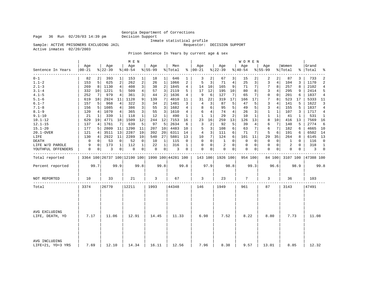## Georgia Department of Corrections<br>Decision Support

Sample: ACTIVE PRISONERS EXCLUDING JAIL

Inmate statistical profile<br>Requestor: DECISION SUPPORT

Active inmates 02/20/2003

Prison Sentence In Years by current age & sex

|                                    |                  |                |                  |                | M E N           |              |                  |                |                                                     |              |                      |              |                  |                | W O M E N       |                |                    |                 |                  |              |                    |                |
|------------------------------------|------------------|----------------|------------------|----------------|-----------------|--------------|------------------|----------------|-----------------------------------------------------|--------------|----------------------|--------------|------------------|----------------|-----------------|----------------|--------------------|-----------------|------------------|--------------|--------------------|----------------|
| Sentence In Years                  | Age<br>$00 - 21$ |                | Age<br>$8 22-39$ |                | Age<br>$ 40-54$ |              | Age<br>$8 55-99$ |                | Men<br>% Total                                      |              | Age<br>$8   00 - 21$ |              | Age<br>$8 22-39$ |                | Age<br>$ 40-54$ |                | Age<br>$8 55 - 99$ |                 | Women<br>% Total |              | Grand<br>%   Total | ್ಠಿ            |
| $0 - 1$                            | 82               | $\overline{a}$ | 393              | $\mathbf 1$    | 153             | 1            | 18               | 1 <sup>1</sup> | 646                                                 | 1            | 3                    | 2            | 67               | 3              | 15              | 2              | 2                  | 2               | 87               | 3            | 733                | 2              |
| $1.1 - 2$                          | 153              | 5              | 625              | 2              | 262             | $\sqrt{2}$   | 26               | $\mathbf 1$    | 1066                                                | 2            | 5                    | 3            | 71               | $\overline{4}$ | 25              | $\overline{3}$ | 3                  | $\overline{4}$  | 104              | 3            | 1170               | $\overline{2}$ |
| $2.1 - 3$                          | 269              | 8              | 1130             | $\overline{4}$ | 408             | 3            | 38               | $\overline{2}$ | 1845                                                | 4            | 14                   | 10           | 165              | 9              | 71              | 7              | 7                  | 8               | 257              | 8            | 2102               | $\overline{4}$ |
| $3.1 - 4$                          | 332              | 10             | 1221             | 5              | 509             | 4            | 57               | 3              | 2119                                                | 5            | 17                   | 12           | 195              | 10             | 80              | 8              | 3                  | 4               | 295              | 9            | 2414               | 5              |
| $4.1 - 5$                          | 252              | 7              | 979              | 4              | 361             | 3            | 44               | $\overline{2}$ | 1636                                                | 4            | 9                    | 6            | 127              | 7              | 65              | 7              | $\mathbf 0$        | $\overline{0}$  | 201              | 6            | 1837               | $\overline{4}$ |
| $5.1 - 6$                          | 619              | 18             | 2924             | 11             | 1128            | 9            | 139              | 7              | 4810                                                | 11           | 31                   | 22           | 319              | 17             | 166             | 17             | 7                  | 8 <sup>1</sup>  | 523              | 17           | 5333               | 11             |
| $6.1 - 7$                          | 157              | 5              | 968              | 4              | 322             | 3            | 34               | 2              | 1481                                                | 3            | 4                    | 3            | 87               | 5              | 47              | 5              | 3                  | 4               | 141              | 5            | 1622               | ζ              |
| $7.1 - 8$                          | 156              | 5              | 1085             | 4              | 386             | 3            | 55               | 3              | 1682                                                | 4            | 8                    | 6            | 95               | 5              | 49              | 5              | $\overline{3}$     | $\overline{4}$  | 155              | 5            | 1837               | $\overline{4}$ |
| $8.1 - 9$                          | 120              | 4              | 1070             | 4              | 365             | 3            | 55               | 3              | 1610                                                | 4            | 6                    | 4            | 74               | $\overline{4}$ | 26              | 3              | 1                  | $\mathbf{1}$    | 107              | 3            | 1717               | 4              |
| $9.1 - 10$                         | 21               | 1              | 339              | 1              | 118             | $\mathbf{1}$ | 12               | 1              | 490                                                 | $\mathbf{1}$ | $\mathbf{1}$         | $\mathbf{1}$ | 29               | $\overline{2}$ | 10              | 1              | $\mathbf{1}$       | $\mathbf{1}$    | 41               | $\mathbf{1}$ | 531                | $\mathbf{1}$   |
| $10.1 - 12$                        | 629              | 19             | 4771             | 18             | 1509            | 12           | 244              | 12             | 7153                                                | 16           | 23                   | 16           | 259              | 13             | 126             | 13             | 8                  | 10 <sup>°</sup> | 416              | 13           | 7569               | 16             |
| $12.1 - 15$                        | 137              | 4              | 1761             | 7              | 639             | 5            | 97               | 5              | 2634                                                | 6            | 3                    | 2            | 92               | 5              | 39              | 4              | 6                  | 7               | 140              | 5            | 2774               | 6              |
| $15.1 - 20$                        | 177              | 5              | 2809             | 11             | 1290            | 11           | 207              | 10             | 4483                                                | 10           | 5                    | 3            | 108              | 6              | 63              | 7              | 6                  | 7               | 182              | 6            | 4665               | 10             |
| 20.1-OVER                          | 121              | 4              | 3511             | 13             | 2287            | 19           | 392              | 20             | 6311                                                | 14           | 4                    | 3            | 111              | 6              | 71              | 7              | 5                  | 6               | 191              | 6            | 6502               | 14             |
| LIFE                               | 130              | 4              | 2922             | 11             | 2289            | 19           | 540              | 27             | 5881                                                | 13           | 10                   | 7            | 124              | 6              | 101             | 11             | 29                 | 35              | 264              | 8            | 6145               | 13             |
| DEATH                              | 0                | 0              | 53               | 0              | 52              | 0            | 10               | 1              | 115                                                 | $\Omega$     | $\Omega$             | $\Omega$     | 1                | $\Omega$       | 0               | $\Omega$       | $\Omega$           | 0               | 1                | $\Omega$     | 116                | $\Omega$       |
| LIFE W/O PAROLE                    | 9                | $\mathbf 0$    | 173              | $\mathbf{1}$   | 112             | $\mathbf{1}$ | 22               | $\mathbf{1}$   | 316                                                 | $\mathbf{1}$ | 0                    | 0            | $\overline{2}$   | $\Omega$       | 0               | 0              | $\mathbf{0}$       | 0 <sup>1</sup>  | 2                | $\Omega$     | 318                | $\mathbf{1}$   |
| YOUTHFUL OFFENDERS                 | 0                | 0              | 3                | 0              | 0               | 0            | 0                | 0 <sup>1</sup> | 3                                                   | 0            | $\mathbf 0$          | 0            | $\mathbf 0$      | 0              | 0               | 0              | $\mathbf 0$        | $\overline{0}$  | 0                | 0            | 3                  | $\mathbf 0$    |
| Total reported                     |                  |                |                  |                |                 |              |                  |                | 3364 100 26737 100 12190 100   1990 100   44281 100 |              |                      |              | 143 100 1926 100 |                | 954 100         |                |                    | 84 100          | 3107 100         |              | 47388 100          |                |
| Percent reported                   |                  | 99.7           |                  | 99.9           |                 | 99.8         |                  | 99.8           |                                                     | 99.8         |                      | 97.9         |                  | 98.8           |                 | 99.3           |                    | 96.6            |                  | 98.9         |                    | 99.8           |
| NOT REPORTED                       | 10               |                | 33               |                | 21              |              | 3                |                | 67                                                  |              | 3                    |              | 23               |                | 7               |                | 3                  |                 | 36               |              | 103                |                |
| Total                              | 3374             |                | 26770            |                | 12211           |              | 1993             |                | 44348                                               |              | 146                  |              | 1949             |                | 961             |                | 87                 |                 | 3143             |              | 47491              |                |
|                                    |                  |                |                  |                |                 |              |                  |                |                                                     |              |                      |              |                  |                |                 |                |                    |                 |                  |              |                    |                |
| AVG EXCLUDING<br>LIFE, DEATH, YO   | 7.17<br>11.06    |                | 12.91            |                | 14.45           |              | 11.33            |                | 6.98                                                |              | 7.52                 |              | 8.22             |                | 8.80            |                | 7.73               |                 | 11.08            |              |                    |                |
|                                    |                  |                |                  |                |                 |              |                  |                |                                                     |              |                      |              |                  |                |                 |                |                    |                 |                  |              |                    |                |
| AVG INCLUDING<br>LIFE=21, YO=3 YRS | 7.69             |                | 12.10            |                | 14.34           |              | 16.11            |                | 12.56                                               |              | 7.96                 |              | 8.38             |                | 9.57            |                | 13.01              |                 | 8.85             |              | 12.32              |                |

Page 36 Run  $02/20/03$  14:39 pm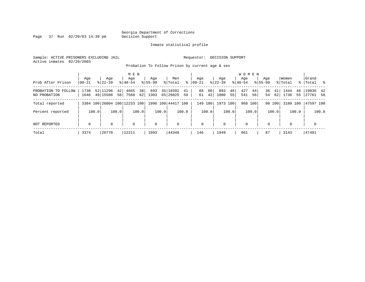Page 37 Run  $02/20/03$  14:39 pm

#### Inmate statistical profile

Sample: ACTIVE PRISONERS EXCLUDING JAIL **Requestor: DECISION SUPPORT** Active inmates 02/20/2003

Probation To Follow Prison by current age & sex

| Prob After Prison                   | Age<br>$00 - 21$ | Age<br>$8122 - 39$   | M E N<br>Age<br>$8140 - 54$         | Aqe<br>$8155 - 99$ | Men<br>ွေ<br>% Total            | Age<br>$ 00 - 21$    | Aqe<br>$8122 - 39$      | <b>WOMEN</b><br>Aqe<br>$8140 - 54$ | Age<br>$8155 - 99$   | Women<br>% Total         | Grand<br>% Total %      |
|-------------------------------------|------------------|----------------------|-------------------------------------|--------------------|---------------------------------|----------------------|-------------------------|------------------------------------|----------------------|--------------------------|-------------------------|
| PROBATION TO FOLLOW<br>NO PROBATION | 1738<br>1646     | 52 11296<br>49 15508 | 38<br>4665<br>421<br>62 <br>58 7568 | 693<br>1303        | 35   18392<br>41<br>65 26025 59 | 60<br>88<br>42<br>61 | 893<br>46<br>1080<br>55 | 427<br>44<br>541<br>56             | 36<br>41<br>62<br>54 | 1444<br>46<br>1736<br>55 | $19836$ 42<br> 27761 58 |
| Total reported                      |                  |                      | 3384 100 26804 100 12233 100        |                    | 1996 100 44417 100              | 149 100              | 1973 100                | 968 100                            | 90 100               | 3180 100                 | 47597 100               |
| Percent reported                    | 100.0            | 100.0                | 100.0                               | 100.0              | 100.0                           | 100.0                | 100.0                   | 100.0                              | 100.0                | 100.0                    | 100.0                   |
| NOT REPORTED                        | $\mathbf 0$      | $\Omega$             | $\mathbf 0$                         | $\mathbf 0$        | $\mathbf 0$                     | 0                    | $\Omega$                | $\mathbf 0$                        | $\Omega$             | $\Omega$                 | $\mathbf 0$             |
| Total                               | 3374             | 26770                | 12211                               | 1993               | 44348                           | 146                  | 1949                    | 961                                | 87                   | 3143                     | 47491                   |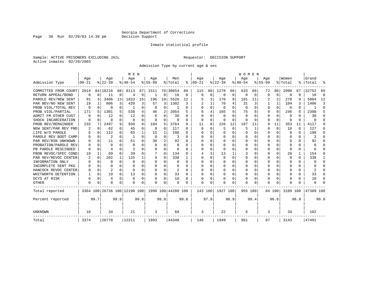Page 38 Run 02/20/03 14:39 pm

#### Inmate statistical profile

Sample: ACTIVE PRISONERS EXCLUDING JAIL **Requestor: DECISION SUPPORT** Active inmates 02/20/2003

Admission Type by current age & sex

|                      |            |          |            |             | M E N                        |          |              |          |                    |              |          |             |           |          | WOMEN    |             |           |          |          |      |           |          |
|----------------------|------------|----------|------------|-------------|------------------------------|----------|--------------|----------|--------------------|--------------|----------|-------------|-----------|----------|----------|-------------|-----------|----------|----------|------|-----------|----------|
|                      | Age        |          | Age        |             | Age                          |          | Age          |          | Men                |              | Age      |             | Age       |          | Age      |             | Age       |          | Women    |      | Grand     |          |
| Admission Type       | $ 00 - 21$ |          | $8 22-39$  |             | $ 40-54$                     |          | $8 55-99$    |          | % Total            | ႜ            | $ 00-21$ |             | $8 22-39$ |          | $ 40-54$ |             | $8 55-99$ |          | % Total  | ွေ   | Total     |          |
| COMMITTED FROM COURT | 2814       |          | 84   18216 | 68          | 8113                         | 67       | 1511         |          | 76 30654           | 69           | 115      | 80          | 1278      | 66       | 633      | 66          | 72        | 86       | 2098     | 67   | 32752     | 69       |
| RETURN APPEAL/BOND   | 0          | $\Omega$ | 11         | $\mathbf 0$ |                              | $\Omega$ | -1           | 0        | 16                 | $\mathbf 0$  | $\Omega$ | $\mathbf 0$ | $\Omega$  | 0        | 0        | $\mathbf 0$ | $\Omega$  | $\Omega$ | 0        | U    | 16        | $\Omega$ |
| PAROLE REV/NEW SENT  | 91         | 3        | 3406       | 13          | 1833                         | 15       | 196          | 10       | 5526               | 12           |          | 3           | 170       | 9        | 101      | 11          |           | 2        | 278      | 9    | 5804      | 12       |
| PAR REV/NO NEW SENT  | 19         |          | 806        | 3           | 420                          | 3        | 57           | 3        | 1302               | 3            |          |             | 70        | 4        | 31       | 3           |           |          | 104      | 3    | 1406      | 3        |
| PROB VIOL/TOTAL REV  | $\Omega$   | 0        | 0          | $\Omega$    | -1                           |          | $\Omega$     | $\Omega$ |                    | $\Omega$     |          | $\Omega$    | $\Omega$  | $\cap$   | $\Omega$ | $\Omega$    | $\Omega$  | $\Omega$ | $\Omega$ | U    |           | $\Omega$ |
| PROB VIOL/PARTIAL    | 171        | 5        | 1301       | 5           | 536                          | 4        | 46           | 2        | 2054               | 5            | 6        | 4           | 165       | 9        | 75       | 8           | $\Omega$  | $\Omega$ | 246      | 8    | 2300      | 5        |
| ADMIT FM OTHER CUST  | $\Omega$   | $\Omega$ | 12         | $\Omega$    | 12                           | 0        | 6            | 0        | 30                 | 0            | O        | $\Omega$    | $\Omega$  | $\Omega$ | $\Omega$ | $\Omega$    | $\Omega$  | $\Omega$ | $\Omega$ | 0    | 30        | ∩        |
| SHOCK INCARCERATION  | 0          | 0        | 0          | $\Omega$    | $\Omega$                     | 0        | 0            | 0        | 0                  | $\Omega$     | $\Omega$ | 0           | 0         | $\Omega$ | 0        | $\Omega$    | $\Omega$  | 0        | 0        | 0    | U         | ∩        |
| PROB REV/REMAINDER   | 233        | 7        | 2497       | 9           | 930                          | 8        | 104          | 5        | 3764               | 9            | 11       | 8           | 226       | 12       | 107      | 11          | 9         | 11       | 353      | 11   | 4117      |          |
| NEW SENT/PAR REV PND | 2          | 0        | 62         | $\Omega$    | 45                           | O        | 8            | 0        | 117                | $\Omega$     | O        | $\Omega$    | 5         | 0        | 5        | 1           | $\Omega$  | 0        | 10       | 0    | 127       | n        |
| LIFE W/O PAROLE      |            | $\Omega$ | 112        | $\Omega$    | 65                           |          | 15           | 1        | 198                | $\Omega$     |          | $\Omega$    | $\Omega$  | $\Omega$ | 0        | $\Omega$    | $\Omega$  | $\Omega$ | $\Omega$ | 0    | 198       | n        |
| PAROLE REV BOOT CAMP |            | $\Omega$ | 2          | $\Omega$    | -1                           | $\cap$   | $\Omega$     | $\Omega$ | 3                  | $\Omega$     |          | 0           | $\Omega$  | $\Omega$ | Ω        | $\Omega$    | $\Omega$  | $\Omega$ | O        | 0    | 3         | n        |
| PAR REV/RSN UNKNOWN  |            | $\Omega$ | 11         | $\Omega$    | 51                           | $\Omega$ | 30           | 2        | 92                 | <sup>0</sup> |          | 0           | $\Omega$  | $\Omega$ | O        | n           | ∩         | $\Omega$ | O        | 0    | 92        |          |
| PROBATION/PAROLE REV |            | U        | $\Omega$   | U           | $\Omega$                     |          | U            | U        | $\Omega$           | <sup>0</sup> |          | 0           | $\Omega$  | $\Omega$ | O        | $\Omega$    | ∩         | $\Omega$ | O        | U    | U         |          |
| PB PAROLE RESCINDED  | O          | $\Omega$ | 4          | U           |                              |          | O            | O        | 6                  | $\Omega$     | n        | $\Omega$    | ∩         | $\Omega$ | O        | $\Omega$    | $\Omega$  | $\Omega$ | $\cap$   | U    |           |          |
| PROB REVOC/SPEC COND | 19         |          | 69         | $\Omega$    | 39                           |          |              | 0        | 134                | O            |          | 3           | 13        |          |          | $\Omega$    | $\Omega$  | $\Omega$ | 20       | 1    | 154       |          |
| PAR REV/REVOC CENTER | 2          | $\Omega$ | 202        | 1           | 125                          |          | 9            | 0        | 338                |              |          | U           | $\Omega$  | $\Omega$ | 0        | $\Omega$    | $\Omega$  | U        | O        | 0    | 338       |          |
| INFORMATION ONLY     | U          | $\Omega$ | 0          | $\Omega$    | $\Omega$                     |          | U            | 0        | 0                  | $\Omega$     | U        | O           | 0         | $\Omega$ | 0        | $\Omega$    | $\Omega$  | $\Omega$ | O        | 0    | U         | ∩        |
| INCOMPLETE SENT PKG  |            | $\Omega$ | U          | $\Omega$    | n                            | O        | U            | $\Omega$ | 0                  | <sup>0</sup> | U        | 0           | 0         | $\Omega$ | 0        | $\Omega$    | O         | $\Omega$ | O        | 0    | U         | n        |
| HANCOCK REVOC CENTER | 0          | 0        | 2          | $\Omega$    | n                            | O        | O            | $\Omega$ | 2                  | 0            | U        | $\Omega$    | $\Omega$  | 0        | 0        | 0           | O         | $\Omega$ |          | 0    | 2         | n        |
| WHITWORTH DETENTION  |            | $\Omega$ | 19         | $\Omega$    | 13                           | 0        | <sup>0</sup> | $\Omega$ | 33                 | $\Omega$     |          | 0           | $\Omega$  | $\Omega$ | $\Omega$ | $\Omega$    | $\Omega$  | $\Omega$ |          | 0    | 33        | ∩        |
| DCYS AT RISK         |            | 0        | 4          | 0           | $\Omega$                     | O        | U            | 0        | 10                 | $\Omega$     |          | $\Omega$    | 0         | 0        | 0        | $\Omega$    | $\Omega$  | $\Omega$ |          | U    | 10        | ∩        |
| <b>OTHER</b>         | O          | $\Omega$ | O          | $\Omega$    | $\cap$                       | 0        | U            | 0        | $\Omega$           | $\Omega$     | $\cap$   | O           |           | $\Omega$ | $\Omega$ | $\Omega$    | $\Omega$  | $\Omega$ |          | U    | U         |          |
| Total reported       |            |          |            |             | 3364 100 26736 100 12190 100 |          |              |          | 1990 100 44280 100 |              | 143 100  |             | 1927 100  |          | 955 100  |             |           | 84 100   | 3109 100 |      | 47389 100 |          |
| Percent reported     |            | 99.7     |            | 99.9        |                              | 99.8     |              | 99.8     |                    | 99.8         |          | 97.9        |           | 98.9     |          | 99.4        |           | 96.6     |          | 98.9 |           | 99.8     |
| UNKNOWN              | 10         |          | 34         |             | 21                           |          | 3            |          | 68                 |              | 3        |             | 22        |          | 6        |             | 3         |          | 34       |      | 102       |          |
| Total                | 3374       |          | 26770      |             | 12211                        |          | 1993         |          | 44348              |              | 146      |             | 1949      |          | 961      |             | 87        |          | 3143     |      | 47491     |          |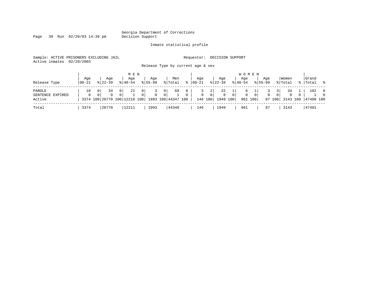Page 39 Run 02/20/03 14:39 pm

#### Inmate statistical profile

Sample: ACTIVE PRISONERS EXCLUDING JAIL **Requestor: DECISION SUPPORT** Active inmates 02/20/2003

Release Type by current age & sex

| Release Type                         | Age<br>  00-21 | Aqe<br>$8122 - 39$ | M E N<br>Aqe<br>$8140 - 54$                                | Age<br>$8155 - 99$ | Men<br>% Total                         | $\approx$     | Age<br>  00-21 | Aqe<br>$ 22 - 39 $           |                                        | Aqe<br>$8 40-54$ | W O M E N                 | Aqe<br>$8155 - 99$ |                                            | Women<br>% Total               |     | Grand<br> Total  | $\sim$ 8                   |
|--------------------------------------|----------------|--------------------|------------------------------------------------------------|--------------------|----------------------------------------|---------------|----------------|------------------------------|----------------------------------------|------------------|---------------------------|--------------------|--------------------------------------------|--------------------------------|-----|------------------|----------------------------|
| PAROLE<br>SENTENCE EXPIRED<br>Active | 10<br>$\Omega$ | 34                 | 21<br>0<br>3374 100 26770 100 12210 100 1993 100 44347 100 | 0<br>$\Omega$<br>0 | 68<br>$\overline{0}$<br>0 <sup>1</sup> | 0<br>$\Omega$ | $\mathbf{0}$   | 2<br>$\mathbf{0}$<br>146 100 | 22<br>$\Omega$<br>$\Omega$<br>1949 100 | 0                | 0 <sup>1</sup><br>961 100 | 0                  | 3 <sup>1</sup><br>0 <sup>1</sup><br>87 100 | 34<br>$\mathbf{0}$<br>3143 100 | - 0 | 102<br>47490 100 | $\overline{0}$<br>$\Omega$ |
| Total                                | 3374           | 26770              | 12211                                                      | 1993               | 44348                                  |               | 146            | 1949                         |                                        | 961              |                           | 87                 |                                            | 3143                           |     | 47491            |                            |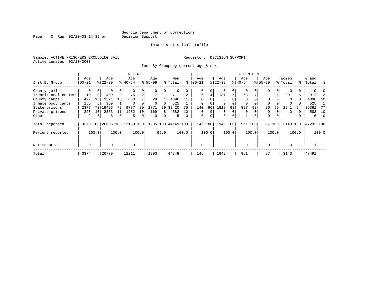Page 40 Run 02/20/03 14:39 pm

### Inmate statistical profile

Sample: ACTIVE PRISONERS EXCLUDING JAIL **Requestor: DECISION SUPPORT** Active inmates 02/20/2003

Inst By Group by current age & sex

|                      |             |                 |           |                | M E N                        |                |             |          |                    |          |             |          |          |             | <b>WOMEN</b> |          |             |          |          |       |           |            |
|----------------------|-------------|-----------------|-----------|----------------|------------------------------|----------------|-------------|----------|--------------------|----------|-------------|----------|----------|-------------|--------------|----------|-------------|----------|----------|-------|-----------|------------|
|                      | Age         |                 | Age       |                | Age                          |                | Age         |          | Men                |          | Age         |          | Age      |             | Age          |          | Age         |          | Women    |       | Grand     |            |
| Inst By Group        | $00 - 21$   |                 | $8 22-39$ |                | $ 40-54 $                    |                | $8155 - 99$ |          | % Total            | ႜ        | $ 00 - 21$  |          | $ 22-39$ |             | $8 40-54$    |          | $8155 - 99$ |          | % Total  |       | %   Total | ∻          |
| County jails         | 0           | $\Omega$        | 0         | 0              |                              | 0              |             |          | 0                  |          | 0           | 0        |          | 0           | $\mathbf 0$  |          |             | $\Omega$ |          |       |           |            |
| Transitional centers | 10          | 0               | 409       | 2              | 275                          | $\overline{a}$ | 17          |          | 711                |          | 6           | 4        | 131      | 7           | 63           |          |             |          | 201      | 6     | 912       |            |
| County camps         | 497         | 15              | 3521      | 13             | 850                          |                | 28          |          | 4896               |          | $\Omega$    |          |          |             | $\Omega$     |          | $\Omega$    |          | $\Omega$ | 0     | 4896      | 10         |
| Inmate boot camps    | 156         |                 | 369       |                | $\Omega$                     |                | $\Omega$    | $\Omega$ | 525                |          | $\mathbf 0$ |          |          |             | 0            |          | $\Omega$    |          | $\Omega$ |       | 525       |            |
| State prisons        | 2377        | 70 <sub>1</sub> | 19495     | 73             | 9777                         | 80             | 1771        | 89       | 33420              | 75       | 140         | 96       | 1818     | 93          | 897          | 93       | 86          | 99       | 2941     | 94    | 36361     | -77        |
| Private prisons      | 328         | 10              | 2853      | 11             | 1232                         | 10             | 169         | 8        | 4582               | 10       | 0           | $\Omega$ | $\Omega$ | $\mathbf 0$ | 0            |          | 0           |          | $\Omega$ | 0     | 4582      | 10         |
| Other                | 2           | 0               | 8         | $\overline{0}$ | 5                            | 0              | $\Omega$    | 0        | 15                 | $\Omega$ | $\mathbf 0$ | 0        | $\Omega$ | 0           |              | $\Omega$ | $\Omega$    | $\Omega$ |          | 0     | 16        | $\bigcirc$ |
| Total reported       |             |                 |           |                | 3370 100 26655 100 12139 100 |                |             |          | 1985 100 44149 100 |          |             | 146 100  | 1949     | 100         | 961 100      |          | 87          | 100      | 3143 100 |       | 47292 100 |            |
| Percent reported     |             | 100.0           |           | 100.0          |                              | 100.0          |             | 99.9     |                    | 100.0    |             | 100.0    |          | 100.0       |              | 100.0    |             | 100.0    |          | 100.0 |           | 100.0      |
| Not reported         | $\mathbf 0$ |                 | $\Omega$  |                | $\mathbf 0$                  |                |             |          |                    |          | $\mathbf 0$ |          | $\Omega$ |             | $\Omega$     |          | $\Omega$    |          | $\Omega$ |       |           |            |
| Total                | 3374        |                 | 26770     |                | 12211                        |                | 1993        |          | 44348              |          | 146         |          | 1949     |             | 961          |          | 87          |          | 3143     |       | 47491     |            |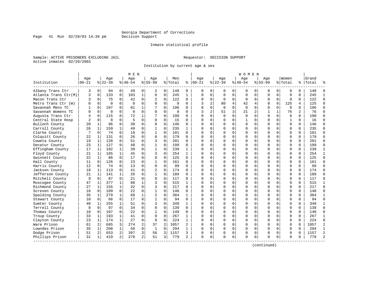Inmate statistical profile

Sample: ACTIVE PRISONERS EXCLUDING JAIL **Requestor: DECISION SUPPORT** Active inmates 02/20/2003

Page 41 Run  $02/20/03$  14:39 pm

Institution by current age & sex

|                      |                   |              |                 |                | M E N            |                |                    |             |                |                |                   |              |                 |                | W O M E N       |             |                    |             |                  |          |                |                |
|----------------------|-------------------|--------------|-----------------|----------------|------------------|----------------|--------------------|-------------|----------------|----------------|-------------------|--------------|-----------------|----------------|-----------------|-------------|--------------------|-------------|------------------|----------|----------------|----------------|
| Institution          | Age<br>$ 00 - 21$ |              | Age<br>$ 22-39$ |                | Age<br>$8 40-54$ |                | Aqe<br>$8155 - 99$ |             | Men<br>% Total | ႜ              | Age<br>$ 00 - 21$ |              | Aqe<br>$ 22-39$ |                | Aqe<br>$ 40-54$ |             | Aqe<br>$8155 - 99$ |             | Women<br>% Total | %        | Grand<br>Total |                |
| Albany Trans Ctr     | 3                 | 0            | 94              | $\overline{0}$ | 49               | 0              | 2                  | 0           | 148            | 0              | 0                 | 0            | 0               | 0              | 0               | 0           | 0                  | 0           | 0                | $\Omega$ | 148            |                |
| Atlanta Trans Ctr(M) | 3                 | 0            | 133             | 0              | 103              | $\mathbf{1}$   | 6                  | $\mathbf 0$ | 245            | $\mathbf{1}$   | $\Omega$          | 0            | 0               | 0              | $\Omega$        | $\mathbf 0$ | $\Omega$           | $\mathbf 0$ | $\mathbf 0$      | $\Omega$ | 245            | $\mathbf{1}$   |
| Macon Trans Ctr      | 3                 | $\Omega$     | 75              | 0              | 42               | 0              | 2                  | $\mathbf 0$ | 122            | $\Omega$       | $\Omega$          | $\Omega$     | $\Omega$        | $\Omega$       | $\Omega$        | $\mathbf 0$ | $\Omega$           | $\Omega$    | $\mathbf 0$      | $\Omega$ | 122            | $\Omega$       |
| Metro Trans Ctr (W)  |                   | $\Omega$     | $\Omega$        | $\Omega$       | $\Omega$         | $\mathbf 0$    | O                  | $\mathbf 0$ | $\Omega$       | $\Omega$       | 3                 | 2            | 80              | 4              | 42              | 4           | $\Omega$           | $\Omega$    | 125              | 4        | 125            | $\Omega$       |
| Savannah Mens TC     |                   | $\Omega$     | 107             | $\Omega$       | 81               | $\mathbf 1$    | 7                  | $\Omega$    | 196            | $\Omega$       | $\Omega$          | 0            | $\Omega$        | 0              | $\Omega$        | $\Omega$    | $\Omega$           | $\Omega$    | $\Omega$         | $\Omega$ | 196            | $\Omega$       |
| Savannah Womens TC   |                   | $\Omega$     | 0               | 0              | $\Omega$         | 0              | $\Omega$           | 0           | 0              | $\Omega$       | 3                 | 2            | 51              | $\overline{3}$ | 21              | 2           | $\mathbf{1}$       | 1           | 76               | 2        | 76             | $\Omega$       |
| Augusta Trans Ctr    |                   | $\Omega$     | 115             | $\overline{0}$ | 72               | 1              | 7                  | $\mathbf 0$ | 198            | $\Omega$       |                   | $\Omega$     | $\Omega$        | 0              | $\Omega$        | $\Omega$    | $\Omega$           | $\Omega$    | $\Omega$         | $\Omega$ | 198            | $\Omega$       |
| Central State Hosp   |                   | $\Omega$     | 8               | 0              | 5                | 0              | $\Omega$           | $\mathbf 0$ | 15             | $\Omega$       |                   | 0            | 0               | 0              |                 | $\Omega$    | $\Omega$           | $\Omega$    | 1                | $\Omega$ | 16             | $\Omega$       |
| Bulloch County       | 20                | 1            | 96              | 0              | 30               | 0              | $\Omega$           | $\mathbf 0$ | 146            | $\Omega$       | $\cap$            | 0            | U               | 0              | $\Omega$        | 0           | $\Omega$           | $\Omega$    | $\mathbf 0$      | $\Omega$ | 146            | ∩              |
| Carroll County       | 26                | 1            | 159             | $\mathbf 1$    | 49               | 0              | -1                 | $\Omega$    | 235            | $\mathbf{1}$   |                   |              | U               | O              | Ω               | $\Omega$    | $\Omega$           | 0           | $\Omega$         | $\Omega$ | 235            | $\Omega$       |
| Clarke County        |                   | $\Omega$     | 74              | $\Omega$       | 19               | 0              | $\mathbf{1}$       | $\Omega$    | 101            | $\Omega$       |                   |              | $\Omega$        | O              | Ω               | $\Omega$    | $\Omega$           | 0           | $\Omega$         | $\Omega$ | 101            | $\Omega$       |
| Colquitt County      | 22                | 1            | 131             | $\Omega$       | 26               | $\mathbf 0$    | 0                  | $\mathbf 0$ | 179            | $\Omega$       | U                 | <sup>n</sup> | U               | 0              |                 | $\Omega$    | $\Omega$           | $\Omega$    | $\mathbf 0$      | $\Omega$ | 179            | $\Omega$       |
| Coweta County        | 19                | 1            | 128             | 0              | 51               | 0              | 3                  | 0           | 201            | $\Omega$       |                   | 0            |                 | 0              |                 | $\mathbf 0$ | $\Omega$           | 0           | $\mathbf 0$      | $\Omega$ | 201            | $\Omega$       |
| Decatur County       | 23                | 1            | 127             | 0              | 48               | 0              | 1                  | 0           | 199            | $\Omega$       |                   | $\Omega$     |                 | O              |                 | 0           | $\Omega$           | 0           | $\mathbf 0$      | $\Omega$ | 199            | $\Omega$       |
| Effingham County     | 17                | $\mathbf{1}$ | 182             | $1\vert$       | 39               | 0              | $\mathbf{1}$       | $\mathbf 0$ | 239            | $\mathbf{1}$   | $\Omega$          | 0            | U               | 0              | Ω               | $\Omega$    | $\Omega$           | 0           | $\Omega$         | $\Omega$ | 239            | $\mathbf{1}$   |
| Floyd County         | 21                | 1            | 185             | $1\vert$       | 45               | 0              | 3                  | 0           | 254            | 1              |                   |              | U               | O              | Λ               | $\Omega$    | U                  | 0           | $\mathbf 0$      | $\Omega$ | 254            | 1              |
| Gwinnett County      | 22                | 1            | 86              | 0              | 17               | 0              | $\Omega$           | 0           | 125            | $\Omega$       |                   |              | $\Omega$        | O              | $\Omega$        | $\Omega$    | $\Omega$           | 0           | $\Omega$         | $\Omega$ | 125            | $\Omega$       |
| Hall County          | 11                | $\Omega$     | 126             | $\Omega$       | 23               | $\Omega$       | $\mathbf{1}$       | $\Omega$    | 161            | $\Omega$       | U                 | 0            | $\Omega$        | 0              | <sup>0</sup>    | $\Omega$    | $\Omega$           | 0           | $\Omega$         | $\Omega$ | 161            | $\Omega$       |
| Harris County        | 12                | $\Omega$     | 74              | $\Omega$       | 13               | 0              | $\Omega$           | $\mathbf 0$ | 99             | $\Omega$       |                   | 0            | U               | 0              |                 | $\Omega$    | $\Omega$           | $\Omega$    | $\mathbf 0$      | $\Omega$ | 99             | $\Omega$       |
| Jackson County       | 18                | 1            | 113             | $\overline{0}$ | 41               | 0              |                    | $\mathbf 0$ | 174            | $\Omega$       |                   |              |                 | O              |                 | 0           | $\Omega$           | 0           | $\mathbf 0$      | $\Omega$ | 174            | $\Omega$       |
| Jefferson County     | 21                | 1            | 141             | $1\vert$       | 26               | 0              | $\mathbf{1}$       | 0           | 189            | $\Omega$       | $\Omega$          | 0            | $\Omega$        | 0              | U               | $\mathbf 0$ | $\Omega$           | 0           | $\mathbf 0$      | 0        | 189            | $\Omega$       |
| Mitchell County      |                   | $\Omega$     | 87              | $\Omega$       | 21               | $\Omega$       | $\Omega$           | $\mathbf 0$ | 117            | $\Omega$       |                   | 0            | U               | 0              | Ω               | $\Omega$    | $\Omega$           | 0           | $\Omega$         | $\Omega$ | 117            | $\Omega$       |
| Muscogee County      | 47                | 1            | 377             | 1              | 88               | 1              | 3                  | $\mathbf 0$ | 515            | 1              |                   |              | $\cap$          | O              |                 | $\mathbf 0$ | $\Omega$           | 0           | $\Omega$         | $\Omega$ | 515            | -1             |
| Richmond County      | 27                | 1            | 155             | $1\vert$       | 32               | 0              | 3                  | $\Omega$    | 217            | $\Omega$       | U                 | U            | U               | 0              | U               | $\Omega$    | O                  | 0           | $\Omega$         | $\Omega$ | 217            | $\Omega$       |
| Screven County       | 16                | $\Omega$     | 109             | $\Omega$       | 22               | $\Omega$       | $\mathbf{1}$       | 0           | 148            | $\Omega$       |                   | $\Omega$     | O               | 0              |                 | $\Omega$    | $\Omega$           | $\Omega$    | $\Omega$         | $\Omega$ | 148            | $\Omega$       |
| Spalding County      | 35                | 1            | 279             | 1              | 68               | $\mathbf{1}$   | $\overline{2}$     | $\mathbf 0$ | 384            | $\mathbf{1}$   |                   | $\Omega$     |                 | O              |                 | 0           | $\Omega$           | 0           | $\mathbf 0$      | $\Omega$ | 384            | $\mathbf{1}$   |
| Stewart County       | 10                | $\Omega$     | 66              | $\overline{0}$ | 17               | 0              | $\mathbf{1}$       | $\mathbf 0$ | 94             | $\Omega$       | $\Omega$          | 0            | U               | 0              |                 | 0           | O                  | 0           | $\Omega$         | $\Omega$ | 94             | $\Omega$       |
| Sumter County        | 40                | 1            | 255             | $1\vert$       | 51               | 0              | 3                  | 0           | 349            | 1              |                   | $\Omega$     | O               | 0              | <sup>0</sup>    | 0           | $\Omega$           | 0           | $\mathbf 0$      | $\Omega$ | 349            | $\mathbf{1}$   |
| Terrell County       |                   | $\Omega$     | 97              | $\Omega$       | 34               | 0              | $\Omega$           | $\Omega$    | 139            | $\Omega$       |                   |              | $\Omega$        | $\Omega$       |                 | $\Omega$    | $\Omega$           | 0           | $\Omega$         | $\Omega$ | 139            | $\Omega$       |
| Thomas County        | 10                | $\Omega$     | 107             | $\Omega$       | 2.2              | $\Omega$       | $\mathbf{1}$       | $\Omega$    | 140            | $\Omega$       |                   |              | $\cap$          | U              | U               | $\Omega$    | $\cap$             | 0           | $\Omega$         | $\Omega$ | 140            | $\Omega$       |
| Troup County         | 33                | 1            | 193             | $\mathbf 1$    | 41               | 0              | 0                  | 0           | 267            | 1              |                   | 0            | U               | 0              |                 | $\Omega$    | $\Omega$           | $\Omega$    | $\mathbf 0$      | $\Omega$ | 267            | -1             |
| Clayton County       | 23                | 1            | 174             | 1              | 27               | 0              | 0                  | $\mathbf 0$ | 224            | 1              |                   | $\Omega$     | 0               | 0              |                 | $\mathbf 0$ | $\Omega$           | 0           | $\mathbf 0$      | $\Omega$ | 224            | $\Omega$       |
| Ware Prison          | 61                | 2            | 685             | 3 <sup>1</sup> | 274              | 2              | 37                 | 2           | 1057           | 2              |                   | $\Omega$     |                 | O              |                 | $\Omega$    | $\Omega$           | 0           | $\mathbf 0$      | $\Omega$ | 1057           | $\overline{c}$ |
| Lowndes Prison       | 35                | 1            | 208             | 1              | 50               | 0              | 1                  | 0           | 294            | $\mathbf{1}$   | U                 | 0            | U               | 0              | ∩               | 0           | O                  | $\Omega$    | $\mathbf 0$      | $\Omega$ | 294            | $\mathbf{1}$   |
| Dodge Prison         | 51                | 2            | 653             | 2              | 397              | 3              | 56                 | 3           | 1157           | 3              |                   | 0            | 0               | 0              | $\Omega$        | $\mathbf 0$ | $\Omega$           | 0           | $\mathbf 0$      | $\Omega$ | 1157           | $\overline{2}$ |
| Phillips Prison      | 31                | 1            | 419             | $\overline{2}$ | 278              | $\overline{a}$ | 51                 | 3           | 779            | $\mathfrak{D}$ | $\Omega$          | $\Omega$     | $\Omega$        | 0              | $\Omega$        | $\Omega$    | $\cap$             | 0           | $\Omega$         | $\Omega$ | 779            | $\mathcal{D}$  |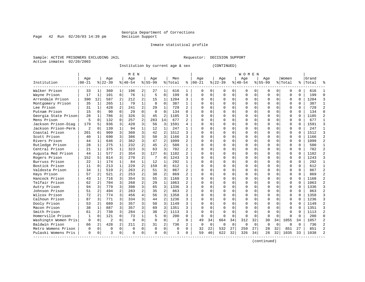Inmate statistical profile

Page  $42$  Run  $02/20/03$  14:39 pm

Sample: ACTIVE PRISONERS EXCLUDING JAIL **Requestor: DECISION SUPPORT** Active inmates 02/20/2003

Institution by current age & sex (CONTINUED)

|                      |           |                |                |                | M E N       |                |             |                |                |                |             |             |          |             | <b>WOMEN</b> |             |             |             |             |              |           |                |
|----------------------|-----------|----------------|----------------|----------------|-------------|----------------|-------------|----------------|----------------|----------------|-------------|-------------|----------|-------------|--------------|-------------|-------------|-------------|-------------|--------------|-----------|----------------|
|                      | Age       |                | Age            |                | Age         |                | Age         |                | Men            |                | Age         |             | Age      |             | Age          |             | Age         |             | Women       |              | Grand     |                |
| Institution          | $ 00-21 $ |                | $ 22-39$       |                | $8 40-54$   |                | $8155 - 99$ |                | % Total        | ႜ              | $00 - 21$   |             | $ 22-39$ |             | $ 40-54$     |             | $8155 - 99$ |             | % Total     |              | %   Total |                |
| Walker Prison        | 33        | 1              | 360            | 1              | 196         | 2              | 27          | 1              | 616            | 1              | 0           | 0           | 0        | 0           | 0            | 0           | 0           | $\Omega$    | $\Omega$    | 0            | 616       |                |
| Wayne Prison         | 17        | 1              | 101            | $\mathbf 0$    | 76          | $\mathbf{1}$   | 5           | 0              | 199            | 0              | $\Omega$    | $\mathbf 0$ | 0        | $\mathbf 0$ | 0            | 0           | $\Omega$    | 0           | $\mathbf 0$ | 0            | 199       | $\Omega$       |
| Arrendale Prison     | 390       | 12             | 587            | 2              | 212         | $\overline{a}$ | 15          | 1              | 1204           | 3              | $\cap$      | $\Omega$    | $\Omega$ | $\mathbf 0$ | $\Omega$     | $\mathbf 0$ | $\Omega$    | $\Omega$    | $\mathbf 0$ | $\Omega$     | 1204      | 3              |
| Montgomery Prison    | 35        | 1              | 265            | $\mathbf{1}$   | 79          | $\mathbf{1}$   | 8           | 0              | 387            | $\mathbf{1}$   | $\cap$      | $\mathbf 0$ | $\Omega$ | $\mathbf 0$ | $\Omega$     | 0           | $\Omega$    | $\Omega$    | $\mathbf 0$ | $\Omega$     | 387       | $\mathbf{1}$   |
| Lee Prison           | 31        | $\mathbf{1}$   | 428            | $\overline{2}$ | 241         | 2              | 29          | $\mathbf{1}$   | 729            | $\overline{a}$ | $\cap$      | $\Omega$    | $\Omega$ | $\Omega$    |              | $\Omega$    | $\Omega$    | $\Omega$    | $\mathbf 0$ | $\cap$       | 729       | $\overline{2}$ |
| Putnam Prison        | 15        | $\Omega$       | 90             | $\Omega$       | 29          | $\Omega$       | $\Omega$    | $\Omega$       | 134            | $\Omega$       | $\cap$      | $\Omega$    | $\Omega$ | $\Omega$    | U            | $\Omega$    | $\Omega$    | $\Omega$    | $\Omega$    | $\Omega$     | 134       | $\Omega$       |
| Georgia State Prison | 28        | 1              | 786            | 3              | 326         | 3              | 45          | $\overline{2}$ | 1185           | 3              | $\cap$      | $\Omega$    | U        | 0           | U            | 0           | $\Omega$    | $\Omega$    | $\mathbf 0$ | 0            | 1185      | $\overline{2}$ |
| Mens Prison          | 5         | $\Omega$       | 132            | $\Omega$       | 257         | 2              | 283         | 14             | 677            | 2              | n           | $\Omega$    | 0        | $\Omega$    | 0            | $\Omega$    | 0           | 0           | $\Omega$    | 0            | 677       | 1              |
| Jackson Prison-Diag  | 179       | 5              | 936            | 3              | 420         | 3              | 56          | 3              | 1591           | 4              |             | 0           | $\Omega$ | $\Omega$    | U            | $\mathbf 0$ | $\Omega$    | $\Omega$    | $\Omega$    |              | 1591      | 3              |
| Jackson Prison-Perm  | 2         | $\cap$         | 139            | 1              | 94          | $\mathbf{1}$   | 12          | 1              | 247            | 1              | n           | 0           | $\Omega$ | $\Omega$    | U            | $\Omega$    | $\Omega$    | $\Omega$    | $\Omega$    | $\cap$       | 247       | $\mathbf{1}$   |
| Coastal Prison       | 201       | $\epsilon$     | 909            | 3              | 360         | 3              | 42          | $\overline{a}$ | 1512           | 3              | n           | $\Omega$    | $\cap$   | $\Omega$    | U            | $\Omega$    | $\Omega$    | $\cap$      | $\Omega$    | $\cap$       | 1512      | 3              |
| Scott Prison         | 40        | 1              | 690            | 3              | 386         | 3              | 50          | 3              | 1166           | 3              | n           | $\Omega$    | $\Omega$ | $\Omega$    | U            | $\Omega$    | $\Omega$    | $\Omega$    | $\mathbf 0$ | $\Omega$     | 1166      | 2              |
| Rivers Prison        | 44        | $\mathbf{1}$   | 646            | $\overline{2}$ | 362         | 3              | 47          | $\overline{2}$ | 1099           | 2              | C           | $\mathbf 0$ | $\Omega$ | 0           | 0            | 0           | $\Omega$    | $\Omega$    | $\mathbf 0$ | $\Omega$     | 1099      | $\overline{2}$ |
| Rutledge Prison      | 28        | $\mathbf{1}$   | 275            | $\mathbf{1}$   | 232         | $\overline{2}$ | 45          | 2              | 580            | 1              | $\cap$      | 0           | $\Omega$ | $\Omega$    | 0            | $\mathbf 0$ | $\Omega$    | $\Omega$    | $\mathbf 0$ | $\Omega$     | 580       | $\mathbf{1}$   |
| Central Prison       | 21        | 1              | 375            | $\mathbf{1}$   | 323         | 3              | 63          | 3              | 782            | $\overline{a}$ | $\cap$      | $\Omega$    | 0        | $\Omega$    | U            | $\Omega$    | O           | $\Omega$    | $\Omega$    | $\Omega$     | 782       | $\overline{2}$ |
| Augusta Med Prison   | 44        | $\mathbf{1}$   | 577            | $\overline{2}$ | 354         | 3              | 127         | 6              | 1102           | $\overline{a}$ | $\cap$      | $\Omega$    | $\Omega$ | $\Omega$    | $\Omega$     | $\Omega$    | $\Omega$    | $\Omega$    | $\Omega$    | $\Omega$     | 1102      | $\mathcal{D}$  |
| Rogers Prison        | 152       | 5              | 814            | 3              | 270         | $\overline{a}$ | 7           | $\Omega$       | 1243           | ζ              | $\cap$      | $\Omega$    | $\Omega$ | $\Omega$    | U            | $\Omega$    | $\Omega$    | $\Omega$    | $\Omega$    | 0            | 1243      | 3              |
| Burruss Prison       | 22        | 1              | 174            | $\mathbf{1}$   | 84          | $\mathbf{1}$   | 12          | 1              | 292            | 1              |             | 0           | $\Omega$ | $\Omega$    | U            | $\mathbf 0$ | $\Omega$    | $\Omega$    | $\Omega$    |              | 292       | $\mathbf{1}$   |
| Bostick Prison       | 11        | $\Omega$       | 213            | $\mathbf{1}$   | 229         | $\overline{a}$ | 159         | 8              | 612            | $\mathbf{1}$   | n           | $\Omega$    | $\cap$   | $\Omega$    | U            | $\Omega$    | $\Omega$    | $\cap$      | $\Omega$    | U            | 612       | $\mathbf{1}$   |
| Valdosta Prison      | 34        | 1              | 519            | $\mathfrak{D}$ | 263         | $\overline{2}$ | 51          | 3              | 867            | $\overline{a}$ | ∩           | $\Omega$    | $\Omega$ | $\Omega$    | U            | $\Omega$    | $\Omega$    | $\Omega$    | $\Omega$    | $\Omega$     | 867       | $\overline{2}$ |
| Hays Prison          | 57        | 2              | 521            | $\mathfrak{D}$ | 253         | $\overline{2}$ | 38          | $\overline{2}$ | 869            | $\overline{a}$ | C           | $\Omega$    | U        | $\Omega$    | 0            | $\Omega$    | $\Omega$    | $\Omega$    | $\Omega$    | 0            | 869       | $\overline{c}$ |
| Hancock Prison       | 43        | $\mathbf{1}$   | 716            | 3              | 354         | 3              | 55          | 3              | 1168           | 3              | C           | $\Omega$    | $\Omega$ | $\Omega$    | U            | $\Omega$    | $\Omega$    | $\Omega$    | $\mathbf 0$ | $\Omega$     | 1168      | 2              |
| Telfair Prison       | 62        | 2              | 704            | 3              | 268         | $\overline{a}$ | 29          | $\mathbf{1}$   | 1063           | 2              | n           | $\mathbf 0$ | $\Omega$ | 0           | U            | $\mathbf 0$ | $\Omega$    | $\Omega$    | $\mathbf 0$ | $\Omega$     | 1063      | $\overline{2}$ |
| Autry Prison         | 94        | 3              | 779            | 3              | 398         | 3              | 65          | 3              | 1336           | 3              | $\cap$      | $\Omega$    | $\Omega$ | $\Omega$    |              | $\mathbf 0$ | $\Omega$    | $\Omega$    | $\mathbf 0$ | $\cap$       | 1336      | 3              |
| Johnson Prison       | 51        | $\overline{2}$ | 494            | $\mathfrak{D}$ | 283         | $\overline{2}$ | 35          | $\overline{a}$ | 863            | $\overline{a}$ | $\cap$      | $\Omega$    | $\Omega$ | $\Omega$    | U            | $\Omega$    | $\Omega$    | $\Omega$    | $\mathbf 0$ | $\Omega$     | 863       | $\overline{2}$ |
| Wilcox Prison        | 72        | 2              | 774            |                | 456         | 4              | 56          | 3              | 1358           | 3              | $\cap$      | 0           | 0        | 0           | 0            | 0           | $\Omega$    | $\Omega$    | $\mathbf 0$ | 0            | 1358      | 3              |
| Calhoun Prison       | 87        | 3              | 771            | 3              | 334         | 3              | 44          | $\overline{2}$ | 1236           | 3              | C           | $\Omega$    | U        | $\Omega$    | 0            | $\Omega$    | $\Omega$    | $\Omega$    | $\Omega$    | U            | 1236      | 3              |
| Dooly Prison         | 53        | 2              | 689            | 3              | 357         | 3              | 50          | 3              | 1149           | 3              |             | $\Omega$    |          | $\Omega$    | U            | 0           | $\Omega$    | $\Omega$    | $\mathbf 0$ |              | 1149      | $\overline{2}$ |
| Macon Prison         | 38        | 1              | 887            | 3              | 357         | 3              | 69          | 3              | 1351           | 3              | n           | $\Omega$    | $\cap$   | $\Omega$    | ∩            | $\Omega$    | $\cap$      | $\Omega$    | $\Omega$    | $\cap$       | 1351      | 3              |
| Smith Prison         | 61        | 2              | 730            | 3              | 284         | $\overline{a}$ | 38          | $\overline{a}$ | 1113           | 3              | n           | $\Omega$    | $\Omega$ | $\Omega$    | ∩            | $\Omega$    | $\Omega$    | $\Omega$    | $\Omega$    | <sup>n</sup> | 1113      | $\overline{a}$ |
| Homerville Prison    | 1         | $\Omega$       | 121            | $\Omega$       | 73          | $\mathbf 1$    | 5           | $\Omega$       | 200            | 0              | $\Omega$    | $\Omega$    | $\Omega$ | $\Omega$    | $\Omega$     | $\Omega$    | $\Omega$    | $\Omega$    | $\Omega$    | $\Omega$     | 200       | $\Omega$       |
| Washingtn Women Pris | $\Omega$  | $\Omega$       | $\overline{2}$ | $\Omega$       | $\Omega$    | $\Omega$       | $\Omega$    | $\Omega$       | $\overline{2}$ | 0              | 49          | 34          | 664      | 34          | 312          | 32          | 30          | 34          | 1055        | 34           | 1057      | $\overline{2}$ |
| Baldwin Prison       | 66        | 2              | 428            | 2              | 211         | 2              | 31          | $\overline{2}$ | 736            | 2              | $\mathbf 0$ | 0           | 0        | 0           | $\mathbf 0$  | $\mathbf 0$ | 0           | $\mathbf 0$ | $\mathbf 0$ | $\Omega$     | 736       | $\overline{2}$ |
| Metro Womens Prison  | $\Omega$  | $\mathbf 0$    | $\Omega$       | $\Omega$       | $\mathbf 0$ | 0              | $\Omega$    | 0              | O              | O              | 32          | 22          | 532      | 27          | 259          | 27          | 28          | 32          | 851         | 27           | 851       | $\mathcal{D}$  |
| Pulaski Womens Pris  | $\Omega$  | 0              | ζ              | 0              | $\Omega$    | 0              | ∩           | 0              | ς              | 0              | 59          | 40          | 622      | 32          | 326          | 34          | 28          | 32          | 1035        | 33           | 1038      | $\mathcal{D}$  |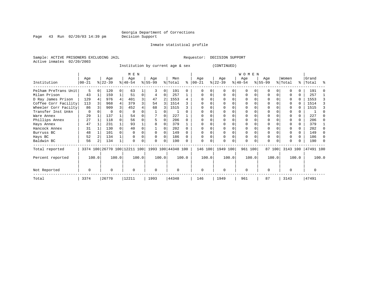Page 43 Run 02/20/03 14:39 pm

### Inmate statistical profile

Sample: ACTIVE PRISONERS EXCLUDING JAIL **Requestor: DECISION SUPPORT** Active inmates 02/20/2003

Institution by current age & sex (CONTINUED)

|                      |                 |                  |          | M E N           |          |                                                     |   |                |       |                   |       |                  |   | <b>WOMEN</b>     |          |                  |        |                  |       |                    |       |
|----------------------|-----------------|------------------|----------|-----------------|----------|-----------------------------------------------------|---|----------------|-------|-------------------|-------|------------------|---|------------------|----------|------------------|--------|------------------|-------|--------------------|-------|
| Institution          | Age<br>$ 00-21$ | Age<br>$ 22-39 $ |          | Age<br>$ 40-54$ |          | Age<br>$ 55-99$                                     |   | Men<br>% Total | ៖     | Age<br>$ 00 - 21$ |       | Age<br>$ 22-39 $ |   | Age<br>$ 40-54 $ |          | Age<br>$8 55-99$ |        | Women<br>% Total |       | Grand<br>%   Total | ႜ     |
| Pelham PreTrans Unit | 5               | 120              | $\Omega$ | 63              |          |                                                     | 0 | 191            | 0     |                   |       |                  |   | $\Omega$         |          |                  |        |                  |       | 191                |       |
| Milan Prison         | 43              | 159              |          | 51              | $\Omega$ |                                                     | 0 | 257            |       |                   |       |                  | 0 | $\Omega$         | $\Omega$ |                  |        |                  | U     | 257                |       |
| D Ray James Prison   | 129             | 976              |          | 401             |          | 47                                                  |   | 1553           |       |                   |       |                  |   |                  |          |                  |        |                  | 0     | 1553               |       |
| Coffee Corr Facility | 113             | 968              |          | 379             |          | 54                                                  | 3 | 1514           |       |                   |       |                  |   |                  |          |                  |        |                  |       | 1514               |       |
| Wheeler Corr Facilty | 86              | 909              |          | 452             |          | 68                                                  | 3 | 1515           |       |                   |       |                  |   |                  |          |                  |        |                  |       | 1515               |       |
| Transfer Inst Unkn   | $\Omega$        |                  |          |                 |          |                                                     |   |                |       |                   |       |                  |   |                  |          |                  |        |                  |       |                    |       |
| Ware Annex           | 29              | 137              |          | 54              |          |                                                     |   | 227            |       |                   |       |                  |   |                  |          |                  |        |                  | 0     | 227                |       |
| Phillips Annex       | 27              | 118              |          | 56              |          |                                                     |   | 206            |       |                   |       |                  |   |                  |          |                  |        |                  | 0     | 206                |       |
| Hays Annex           | 47              | 231              |          | 93              |          | 8                                                   |   | 379            |       |                   |       |                  |   |                  |          |                  |        |                  | U     | 379                |       |
| Hancock Annex        | 31              | 130              |          | 40              |          |                                                     |   | 202            |       |                   |       |                  |   |                  |          |                  |        |                  | U     | 202                |       |
| Burruss BC           | 48              | 101              |          |                 |          |                                                     | O | 149            |       |                   |       |                  |   | 0                |          |                  |        |                  | 0     | 149                |       |
| Hays BC              | 52              | 134              |          |                 |          | 0                                                   | 0 | 186            |       |                   |       |                  |   | 0                |          | $\Omega$         |        |                  | 0     | 186                |       |
| Baldwin BC           | 56              | 134              |          |                 |          | 0                                                   | 0 | 190            |       |                   |       |                  |   | $\mathbf 0$      |          | $\Omega$         |        |                  | 0     | 190                |       |
| Total reported       |                 |                  |          |                 |          | 3374 100 26770 100 12211 100   1993 100   44348 100 |   |                |       | 146 100           |       | 1949 100         |   | 961 100          |          |                  | 87 100 | 3143 100         |       | 47491 100          |       |
| Percent reported     | 100.0           |                  | 100.0    |                 | 100.0    | 100.0                                               |   |                | 100.0 |                   | 100.0 | 100.0            |   |                  | 100.0    |                  | 100.0  |                  | 100.0 |                    | 100.0 |
| Not Reported         | 0               |                  |          | $\cap$          |          | 0                                                   |   | $\Omega$       |       | ∩                 |       | 0                |   | $\mathbf 0$      |          | $\Omega$         |        |                  |       |                    |       |
| Total                | 3374            | 26770            |          | 12211           |          | 1993                                                |   | 44348          |       | 146               |       | 1949             |   | 961              |          | 87               |        | 3143             |       | 47491              |       |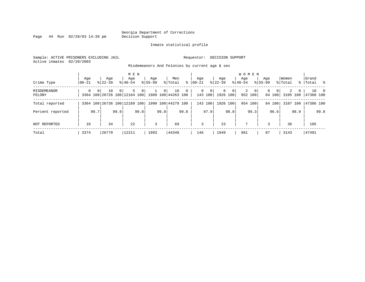Page  $44$  Run  $02/20/03$  14:39 pm

#### Inmate statistical profile

Sample: ACTIVE PRISONERS EXCLUDING JAIL **Requestor: DECISION SUPPORT** Active inmates 02/20/2003

Misdemeanors And Felonies by current age & sex

| Crime Type            | Aqe<br>$00 - 21$ |                | Age<br>$8122 - 39$                 |          | M E N<br>Age<br>$8140 - 54$ |      | Age<br>$8155 - 99$ |                | Men<br>% Total           | ွေ   | Aqe<br>$00 - 21$ |                    | Aqe<br>$ 22-39 $         |                | <b>WOMEN</b><br>Aqe<br>$8 40-54$ |                           | Aqe<br>$8155 - 99$ |                          | Women<br>% Total |              | Grand<br>%   Total % |      |
|-----------------------|------------------|----------------|------------------------------------|----------|-----------------------------|------|--------------------|----------------|--------------------------|------|------------------|--------------------|--------------------------|----------------|----------------------------------|---------------------------|--------------------|--------------------------|------------------|--------------|----------------------|------|
| MISDEMEANOR<br>FELONY | $\Omega$         | 0 <sup>1</sup> | 10<br>3364 100 26726 100 12184 100 | $\Omega$ | 5.                          | 0    | 1                  | 0 <sup>1</sup> | 16<br>1989 100 44263 100 | $0+$ | $\mathbf{0}$     | $\circ$<br>143 100 | $\mathbf{0}$<br>1926 100 | 0 <sup>1</sup> | $\overline{2}$                   | $\overline{0}$<br>952 100 | $\mathbf{0}$       | $\overline{0}$<br>84 100 | 2<br>3105 100    | $\mathbf{0}$ | 47368 100            | 18 0 |
| Total reported        |                  |                | 3364 100 26736 100 12189 100       |          |                             |      |                    |                | 1990 100 44279 100       |      |                  | 143 100            | 1926 100                 |                |                                  | 954 100                   |                    | 84 100                   | 3107 100         |              | 47386 100            |      |
| Percent reported      |                  | 99.7           |                                    | 99.9     |                             | 99.8 |                    | 99.8           |                          | 99.8 |                  | 97.9               |                          | 98.8           |                                  | 99.3                      |                    | 96.6                     |                  | 98.9         |                      | 99.8 |
| NOT REPORTED          | 10               |                | 34                                 |          | 22                          |      | 3                  |                | 69                       |      | 3                |                    | 23                       |                | 7                                |                           | 3                  |                          | 36               |              | 105                  |      |
| Total                 | 3374             |                | 26770                              |          | 12211                       |      | 1993               |                | 44348                    |      | 146              |                    | 1949                     |                | 961                              |                           | 87                 |                          | 3143             |              | 47491                |      |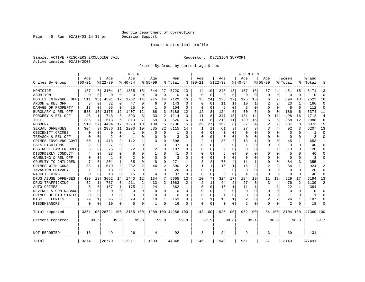Page 45 Run  $02/20/03$  14:39 pm

### Inmate statistical profile

Sample: ACTIVE PRISONERS EXCLUDING JAIL **Requestor: DECISION SUPPORT** Active inmates 02/20/2003

Crimes By Group by current age & sex

|                      |                |          |              |          | M E N                        |             |              |                |                    |                |          |                |          |             | W O M E N      |             |             |          |          |          |           |                |
|----------------------|----------------|----------|--------------|----------|------------------------------|-------------|--------------|----------------|--------------------|----------------|----------|----------------|----------|-------------|----------------|-------------|-------------|----------|----------|----------|-----------|----------------|
|                      | Age            |          | Age          |          | Age                          |             | Age          |                | Men                |                | Age      |                | Age      |             | Age            |             | Age         |          | Women    |          | Grand     |                |
| Crimes By Group      | $00 - 21$      |          | $8 22-39$    |          | % 40-54                      |             | $8155 - 99$  |                | % Total            | ႜ              | $ 00-21$ |                | $ 22-39$ |             | $8140 - 54$    |             | $8155 - 99$ |          | % Total  |          | Total     |                |
| HOMICIDE             | 187            | 6        | 3104         | 12       | 1885                         | 15          | 544          | 27             | 5720               | 13             | 14       | 10             | 243      | 13          | 157            | 16          | 37          | 44       | 451      | 15       | 6171      | 13             |
| ABORTION             | $\Omega$       | $\Omega$ | $\Omega$     | 0        | $\Omega$                     | $\mathbf 0$ | $\Omega$     | 0              | $\Omega$           | $\Omega$       | $\Omega$ | $\Omega$       | $\Omega$ | $\mathbf 0$ | $\Omega$       | $\mathbf 0$ | $\Omega$    | $\Omega$ | $\Omega$ | $\Omega$ | $\Omega$  | $\Omega$       |
| BODILY INJRY&REL OFF | 511            | 15       | 4591         | 17       | 1752                         | 14          | 275          | 14             | 7129               | 16             | 35       | 24             | 228      | 12          | 125            | 13          | 6           | 7        | 394      | 13       | 7523      | 16             |
| ARSON & REL OFF      | 8              | $\Omega$ | 82           | 0        | 47                           | 0           | 6            | 0              | 143                | $\Omega$       | $\Omega$ | $\Omega$       | 11       | 1           | 10             | 1           |             | 2        | 23       | 1        | 166       | $\Omega$       |
| DAMAGE OF PROPERTY   | 13             | $\Omega$ | 65           | 0        | 25                           | $\Omega$    | 1            | 0              | 104                | $\Omega$       | $\Omega$ | $\Omega$       | .5       | O           | 3              | $\Omega$    | U           | 0        | 8        | $\Omega$ | 112       | $\Omega$       |
| BURGLARY & REL OFF   | 538            | 16       | 3175         | 12       | 1407                         | 12          | 68           | 3              | 5188               | 12             | 12       | 8              | 124      | 6           | 50             | 5           | O           | 0        | 186      | 6        | 5374      | 11             |
| FORGERY & REL OFF    | 45             | 1        | 743          | 3        | 393                          | 3           | 33           | 2              | 1214               | ζ              | 11       | 8              | 347      | 18          | 131            | 14          | 9           | 11       | 498      | 16       | 1712      | 4              |
| <b>THEFT</b>         | 235            | 7        | 1513         | 6        | 813                          | 7           | 59           | 3              | 2620               | 6              | 11       | 8              | 213      | 11          | 139            | 15          | 5           | 6        | 368      | 12       | 2988      | 6              |
| <b>ROBBERY</b>       | 919            | 27       | 4494         | 17       | 1223                         | 10          | 100          | 5              | 6736               | 15             | 39       | 27             | 159      | 8           | 37             | 4           | 2           | 2        | 237      | 8        | 6973      | 15             |
| SEXUAL OFFENSES      | 304            | 9        | 2886         | 11       | 2290                         | 19          | 635          | 32             | 6115               | 14             | 1        |                | 61       | 3           | 27             | 3           | 3           | 4        | 92       | 3        | 6207      | 13             |
| OBSCENITY CRIMES     | ∩              | $\Omega$ | O            | 0        | -1                           | $\Omega$    | O            | 0              | -1                 | n              | ∩        | $\Omega$       | $\Omega$ | $\Omega$    | <sup>0</sup>   | ∩           | $\Omega$    | 0        | $\Omega$ | 0        |           | $\Omega$       |
| TREASON & REL OFF    |                | $\Omega$ | 2            | 0        | -1                           | U           | U            | $\Omega$       | 3                  | U              | $\Omega$ | $\Omega$       | 0        | $\Omega$    | <sup>0</sup>   | $\Omega$    | 0           | 0        | $\Omega$ | 0        | २         | $\Omega$       |
| CRIMES INVOLVNG GOVT | 50             | 1        | 413          | 2        | 142                          | 1           | 3            | 0              | 608                | 1              |          |                | 30       | 2           | 13             | 1           | U           | 0        | 45       | 1        | 653       | 1              |
| FALSIFICATIONS       | $\overline{c}$ | 0        | 27           | 0        | 7                            | $\Omega$    | $\mathbf{1}$ | 0              | 37                 | $\Omega$       | $\Omega$ | $\Omega$       | 2        | $\Omega$    | 1              | $\Omega$    | 0           | 0        | 3        | $\Omega$ | 40        | $\Omega$       |
| OBSTRUCT LAW ENFORCE |                | $\Omega$ | 75           | 0        | 22                           | U           | 2            | $\Omega$       | 107                | O              | $\Omega$ | $\Omega$       | 9        | O           | 3              | $\Omega$    |             | 1        | 13       |          | 120       | $\Omega$       |
| DISORDERLY CONDUCT   |                | $\Omega$ | 28           | 0        | 8                            | O           | $\mathbf{1}$ | O              | 41                 | U              | O        | $\Omega$       | 5        | U           |                | $\Omega$    | Ω           | $\Omega$ |          |          | 46        | $\Omega$       |
| GAMBLING & REL OFF   |                | $\Omega$ | $\mathbf{1}$ | 0        | $\mathcal{D}$                | U           | O            | 0              | 3                  | U              | ∩        | $\Omega$       | $\Omega$ | 0           | <sup>0</sup>   | ∩           | U           | 0        | $\Omega$ | 0        | 3         | $\Omega$       |
| CRUELTY TO CHILDREN  |                | $\Omega$ | 201          | 1        | 55                           | 0           | 8            | 0              | 271                | 1              | 3        | $\overline{2}$ | 70       | 4           | 11             | 1           | U           | 0        | 84       | 3        | 355       | 1              |
| CRIMES WITH GUNS     | 33             | 1        | 579          | 2        | 232                          | 2           | 46           | 2              | 890                | $\overline{c}$ | 1        |                | 16       | 1           | 15             | 2           | 2           | 2        | 34       | 1        | 924       | $\overline{2}$ |
| INVASION PRIVACY     | 1              | 0        | 13           | $\Omega$ | 5                            | $\Omega$    | $\mathbf{1}$ | 0              | 20                 | U              | $\Omega$ | $\Omega$       | $\Omega$ | $\Omega$    | $\Omega$       | $\Omega$    | $\Omega$    | 0        | $\Omega$ | $\Omega$ | 20        | $\Omega$       |
| RACKETEERING         |                | $\Omega$ | 18           | 0        | 15                           | O           | 4            | 0              | 37                 | O              | $\Omega$ | $\Omega$       | 5        | $\Omega$    | 4              | $\Omega$    | Ω           | 0        | 9        | U        | 46        | $\mathbf 0$    |
| DRUG ABUSE OFFENSES  | 429            | 13       | 3662         | 14       | 1440                         | 12          | 134          | 7              | 5665               | 13             | 10       | 7              | 324      | 17          | 184            | 19          | 11          | 13       | 529      | 17       | 6194      | 13             |
| DRUG TRAFFICKING     | 32             | 1        | 787          | 3        | 211                          | 2           | 33           | $\overline{2}$ | 1063               | 2              | 2        | 1              | 44       | 2           | 27             | 3           | 3           | 4        | 76       | 2        | 1139      | $\mathfrak{D}$ |
| AUTO CRIMES          | 6              | 0        | 157          | 1        | 175                          | 1           | 24           | 1              | 362                | 1              | O        | $\Omega$       | 10       | 1           | 11             | 1           | 1           | 1        | 22       |          | 384       | 1              |
| REVENUE & CONTRABAND |                | 0        | O            | $\Omega$ | $\Omega$                     | $\Omega$    | O            | 0              | $\Omega$           | $\Omega$       | $\Omega$ | ∩              | 0        | $\Omega$    | <sup>0</sup>   | $\Omega$    | $\Omega$    | $\Omega$ | $\Omega$ | $\Omega$ | $\Omega$  | $\Omega$       |
| CRIMES OF OTH STATES | ∩              | 0        | 0            | 0        | $\Omega$                     | $\Omega$    | O            | 0              | $\Omega$           | U              | ∩        | $\Omega$       | -1       | 0           | <sup>0</sup>   | $\Omega$    | 0           | 0        | -1       | $\Omega$ | -1        | $\Omega$       |
| MISC. FELONIES       | 29             | 1        | 95           | 0        | 29                           | $\Omega$    | 10           | 1              | 163                | U              |          |                | 18       |             | 2              | $\Omega$    | 2           | 2        | 24       |          | 187       | $\Omega$       |
| MISDEMEANORS         | $\Omega$       | $\Omega$ | 10           | 0        | 5                            | 0           | $\mathbf{1}$ | 0              | 16                 | 0              | $\Omega$ | 0              | 0        | 0           | $\overline{2}$ | 0           | 0           | 0        |          |          | 18        | $\Omega$       |
| Total reported       |                |          |              |          | 3361 100 26721 100 12185 100 |             |              |                | 1989 100 44256 100 |                | 143 100  |                | 1925 100 |             | 952 100        |             |             | 84 100   | 3104 100 |          | 47360 100 |                |
| Percent reported     |                | 99.6     |              | 99.8     |                              | 99.8        |              | 99.8           |                    | 99.8           |          | 97.9           |          | 98.8        |                | 99.1        |             | 96.6     |          | 98.8     |           | 99.7           |
| NOT REPORTED         | 13             |          | 49           |          | 26                           |             | 4            |                | 92                 |                | 3        |                | 24       |             | 9              |             | 3           |          | 39       |          | 131       |                |
| Total                | 3374           |          | 26770        |          | 12211                        |             | 1993         |                | 44348              |                | 146      |                | 1949     |             | 961            |             | 87          |          | 3143     |          | 47491     |                |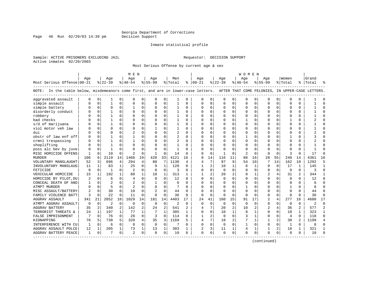Page 46 Run  $02/20/03$  14:39 pm

#### Inmate statistical profile

Sample: ACTIVE PRISONERS EXCLUDING JAIL **Requestor: DECISION SUPPORT** Active inmates 02/20/2003

Most Serious Offense by current age & sex

|                                                                                                                                    |          |              |                |              | M E N          |              |          |                |                |              |               |          |           |              | W O M E N   |              |                |                |                |                |           |                |
|------------------------------------------------------------------------------------------------------------------------------------|----------|--------------|----------------|--------------|----------------|--------------|----------|----------------|----------------|--------------|---------------|----------|-----------|--------------|-------------|--------------|----------------|----------------|----------------|----------------|-----------|----------------|
|                                                                                                                                    | Age      |              | Age            |              | Age            |              | Age      |                | Men            |              | Age           |          | Aqe       |              | Aqe         |              | Age            |                | Women          |                | Grand     |                |
| Most Serious Offense 00-21                                                                                                         |          |              | $ 22-39 $      |              | $8 40-54$      |              | $ 55-99$ |                | %   Total      |              | $8   00 - 21$ |          | $8 22-39$ |              | $8 40-54$   |              | $8155 - 99$    |                | % Total        |                | %   Total |                |
| NOTE: In the table below, misdemeanors come first, and are in lower-case letters. AFTER THAT COME FELONIES, IN UPPER-CASE LETTERS. |          |              |                |              |                |              |          |                |                |              |               |          |           |              |             |              |                |                |                |                |           |                |
| aggravated assault                                                                                                                 | $\Omega$ | $\mathbf 0$  | 1              | 0            | $\Omega$       | 0            | O        | 0              |                | 0            | $\Omega$      | 0        | $\Omega$  | 0            | $\mathbf 0$ | $\mathbf 0$  | $\Omega$       | 0              | $\mathbf 0$    | 0              |           | ∩              |
| simple assault                                                                                                                     |          | $\mathbf 0$  | 1              | $\Omega$     | $\Omega$       | 0            | O        | $\mathbf 0$    |                | O            | $\Omega$      | 0        | $\Omega$  | 0            | $\Omega$    | 0            | $\Omega$       | $\Omega$       | $\Omega$       | $\Omega$       |           |                |
| simple battery                                                                                                                     |          | $\mathbf 0$  | $\Omega$       | O            |                | 0            | O        | $\Omega$       |                | $\Omega$     | $\Omega$      | $\Omega$ | $\Omega$  | 0            | $\Omega$    | 0            | $\Omega$       | $\Omega$       | $\bigcap$      | $\Omega$       |           |                |
| disorderly conduct                                                                                                                 |          | $\Omega$     | 1              | 0            | $\Omega$       | $\Omega$     | $\Omega$ | $\Omega$       | $\mathbf{1}$   | $\Omega$     | $\cap$        | 0        | $\Omega$  | $\Omega$     | $\Omega$    | $\Omega$     | $\Omega$       | $\Omega$       | $\Omega$       | $\Omega$       |           |                |
| robbery                                                                                                                            |          | $\Omega$     | 1              | 0            | $\Omega$       | $\Omega$     | O        | $\Omega$       | $\mathbf{1}$   | $\Omega$     | <sup>0</sup>  | 0        | $\Omega$  | $\Omega$     | $\Omega$    | $\Omega$     | U              | $\Omega$       | $\Omega$       | $\Omega$       |           |                |
| bad checks                                                                                                                         |          | $\Omega$     | 1              | 0            | $\Omega$       | $\Omega$     | O        | $\Omega$       | 1              | 0            | <sup>0</sup>  | $\Omega$ | $\Omega$  | 0            |             | $\Omega$     | 0              | $\Omega$       |                | 0              |           |                |
| s/d of marijuana                                                                                                                   |          | $\mathbf 0$  | $\mathbf{1}$   | 0            | $\Omega$       | 0            |          | $\mathbf 0$    |                | O            |               | 0        | 0         | 0            |             | 0            | 0              | 0              | $\Omega$       | $\Omega$       |           |                |
| viol motor veh law                                                                                                                 |          | $\mathbf 0$  | $\Omega$       | U            | $\Omega$       | $\Omega$     |          | $\Omega$       | 1              | U            | $\Omega$      | $\Omega$ | 0         | O            | U           | $\mathbf 0$  | U              | $\Omega$       | <sup>0</sup>   | $\Omega$       |           |                |
| dui                                                                                                                                |          | $\mathbf 0$  | O              | 0            | $\overline{a}$ | 0            | U        | $\Omega$       | $\overline{a}$ | $\Omega$     | $\Omega$      | $\Omega$ | $\Omega$  | $\Omega$     | $\Omega$    | 0            | U              | $\Omega$       | <sup>0</sup>   | 0              |           |                |
| obstr of law enf off                                                                                                               |          | $\mathbf 0$  |                | O            |                | $\Omega$     | O        | $\Omega$       | 2              | $\Omega$     | <sup>0</sup>  | 0        | $\Omega$  | O            |             | 0            | U              | $\Omega$       |                | O              |           |                |
| crmnl trespassing                                                                                                                  |          | $\Omega$     |                | U            |                | $\Omega$     | O        | $\Omega$       | 2              | O            | $\Omega$      | O        | $\Omega$  | O            | C           | $\mathbf 0$  | $\Omega$       | $\Omega$       | $\bigcap$      | $\Omega$       |           |                |
| shoplifting                                                                                                                        |          | $\Omega$     | 1              | U            | $\Omega$       | $\Omega$     | n        | $\Omega$       | $\mathbf{1}$   | U            | ∩             | $\Omega$ | $\Omega$  | O            | $\Omega$    | $\Omega$     | $\Omega$       | $\Omega$       | $\cap$         | $\Omega$       |           |                |
| poss alc bev by juve                                                                                                               |          | $\Omega$     | -1             | U            | $\Omega$       | $\Omega$     | n        | $\Omega$       | 1              | O            |               | $\Omega$ | $\Omega$  | 0            | C           | $\Omega$     | U              | $\Omega$       | ∩              | 0              |           |                |
| MISC HOMICIDE OFFENS                                                                                                               | -1       | $\Omega$     | 10             | $\Omega$     | $\overline{c}$ | $\Omega$     | 1        | $\Omega$       | 14             | $\Omega$     | <sup>0</sup>  | $\Omega$ | -1        | 0            | 2           | $\Omega$     | $\Omega$       | $\Omega$       | 3              | $\Omega$       | 17        |                |
| <b>MURDER</b>                                                                                                                      | 106      | 6            | 2119           | 14           | 1468           | 19           | 428      | 33             | 4121           | 16           | 8             | 14       | 116       | 11           | 88          | 16           | 28             | 55             | 240            | 14             | 4361      | 16             |
| VOLUNTARY MANSLAUGHT                                                                                                               | 52       | 3            | 696            | 4            | 294            | 4            | 88       | 7              | 1130           | 4            | 4             | 7        | 97        | 9            | 54          | 10           | 7              | 14             | 162            | 10             | 1292      |                |
| INVOLUNTARY MANSLAUG                                                                                                               | 11       | 1            | 83             | $\mathbf{1}$ | 25             | 0            | 9        | $\mathbf{1}$   | 128            | $\Omega$     |               | 2        | 10        | $\mathbf{1}$ | 6           | 1            | O              | $\Omega$       | 17             | 1              | 145       | $\mathbf{1}$   |
| FETICIDE                                                                                                                           | $\Omega$ | 0            | $\mathbf{1}$   | $\Omega$     | $\overline{2}$ | $\Omega$     | $\Omega$ | $\mathbf 0$    | 3              | $\Omega$     | $\Omega$      | $\Omega$ | $\Omega$  | $\Omega$     | C           | 0            | $\Omega$       | $\Omega$       | $\Omega$       | $\Omega$       |           | $\Omega$       |
| VEHICULAR HOMICIDE                                                                                                                 | 15       | 1            | 192            | $\mathbf{1}$ | 88             | 1            | 18       | 1              | 313            |              |               |          | 20        | 2            |             | 1            | 2              | 4              | 31             | 2              | 344       |                |
| HOMICIDE BY PILOT, DU                                                                                                              | 2        | $\Omega$     | 6              | U            | $\overline{4}$ | $\Omega$     | $\Omega$ | $\Omega$       | 12             | $\Omega$     | $\Omega$      | 0        | $\Omega$  | $\Omega$     | $\Omega$    | $\Omega$     | $\Omega$       | $\Omega$       | $\Omega$       | $\Omega$       | 12        | $\cap$         |
| CONCEAL DEATH OF ANO                                                                                                               | 1        | $\Omega$     | $\mathfrak{D}$ | U            | $\mathcal{D}$  | $\Omega$     | 1        | $\Omega$       | 6              | $\Omega$     | $\Omega$      | 0        | $\Omega$  | 0            | $\Omega$    | $\Omega$     | $\Omega$       | $\Omega$       | $\Omega$       | $\Omega$       | 6         |                |
| ATMPT MURDER                                                                                                                       | U        | $\Omega$     | 5              | 0            | $\overline{2}$ | $\Omega$     | $\Omega$ | $\Omega$       |                | O            |               | $\Omega$ | $\Omega$  | 0            |             | $\Omega$     | 0              | $\Omega$       |                | 0              | 8         |                |
| MISC ASSAULT/BATTERY                                                                                                               |          | $\mathbf 0$  | 30             | 0            | 10             | 0            |          | $\mathbf 0$    | 44             | O            |               | $\Omega$ | 0         | 0            |             | 0            | 0              | 0              | $\Omega$       | O              | 44        |                |
| FAMILY VIOLENCE BATT                                                                                                               | ζ        | $\Omega$     | 22             | $\Omega$     | 11             | $\Omega$     | $\Omega$ | $\Omega$       | 36             | $\Omega$     | $\Omega$      | $\Omega$ | $\Omega$  | $\Omega$     | ∩           | $\Omega$     | $\Omega$       | $\Omega$       | $\Omega$       | $\Omega$       | 36        | $\Omega$       |
| <b>AGGRAV ASSAULT</b>                                                                                                              | 341      | 21           | 2852           | 18           | 1029           | 14           | 181      | 14             | 4403           | 17           | 24            | 41       | 160       | 15           | 91          | 17           | $\overline{2}$ | 4              | 277            | 16             | 4680      | 17             |
| ATMPT AGGRAV ASSAULT                                                                                                               | 0        | 0            | $\overline{2}$ | $\mathbf 0$  | 0              | $\mathbf 0$  | $\Omega$ | $\mathbf 0$    | 2              | $\Omega$     | $\Omega$      | $\Omega$ | $\Omega$  | $\Omega$     | 0           | 0            | $\Omega$       | $\Omega$       | $\mathbf 0$    | 0              | 2         | $\Omega$       |
| <b>AGGRAV BATTERY</b>                                                                                                              | 35       | 2            | 340            | 2            | 142            | 2            | 2.4      | $\overline{c}$ | 541            | 2            |               | 7        | 20        | 2            | 10          | 2            | $\overline{a}$ | 4              | 36             | $\overline{a}$ | 577       | $\overline{2}$ |
| TERRORIST THREATS &                                                                                                                | 2.4      | $\mathbf{1}$ | 197            | $\mathbf{1}$ | 77             | $\mathbf{1}$ | 7        | $\mathbf{1}$   | 305            | $\mathbf{1}$ | $\Omega$      | $\Omega$ | 10        | $\mathbf{1}$ | R           | $\mathbf{1}$ | $\Omega$       | $\Omega$       | 18             | $\mathbf{1}$   | 323       | $\mathbf{1}$   |
| FALSE IMPRISONMENT                                                                                                                 | 7        | $\Omega$     | 76             | $\Omega$     | 28             | $\Omega$     | 3        | $\Omega$       | 114            | $\Omega$     | $\mathbf{1}$  | 2        | $\Omega$  | $\Omega$     | ζ           | $\mathbf{1}$ | $\Omega$       | $\Omega$       | $\overline{4}$ | $\Omega$       | 118       | $\Omega$       |
| KIDNAPPING                                                                                                                         | 76       | 5            | 738            | 5            | 320            | 4            | 35       | 3              | 1169           | 5            | 4             | 7        | 18        | 2            |             | 1            | 1              | $\overline{a}$ | 30             | 2              | 1199      | $\overline{4}$ |
| INTERFERENCE WITH CU                                                                                                               | 1        | $\Omega$     | 6              | $\Omega$     | $\Omega$       | $\Omega$     | $\Omega$ | $\mathbf 0$    |                | $\Omega$     | $\Omega$      | $\Omega$ | $\Omega$  | $\Omega$     |             | $\mathbf 0$  | $\Omega$       | $\Omega$       | $\mathbf{1}$   | $\Omega$       |           |                |
| AGGRAV ASSAULT POLCE                                                                                                               | 12       | 1            | 205            | $\mathbf{1}$ | 73             | 1            | 13       | 1              | 303            | 1            |               | 3        | 11        | 1            | 4           | 1            | 1              | 2              | 18             | 1              | 321       |                |
| AGGRAV BATTERY PEACE                                                                                                               | 1        | 0            | 7              | 0            | $\overline{2}$ | 0            | $\Omega$ | 0              | 10             | $\Omega$     | $\Omega$      | 0        | $\Omega$  | 0            | $\Omega$    | 0            | $\Omega$       | $\Omega$       | $\Omega$       | $\Omega$       | 10        |                |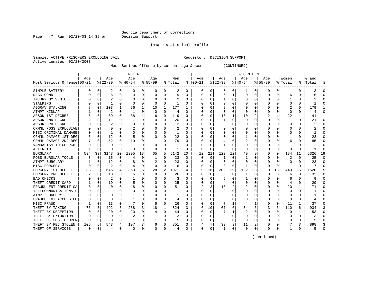Page  $47$  Run  $02/20/03$  14:39 pm

Inmate statistical profile

Sample: ACTIVE PRISONERS EXCLUDING JAIL **Requestor: DECISION SUPPORT** Active inmates 02/20/2003

Most Serious Offense by current age & sex (CONTINUED)

|                            |     |             |           |          | M E N     |    |           |          |         |                  |          |    |          |          | W O M E N |    |              |          |          |          |           |              |
|----------------------------|-----|-------------|-----------|----------|-----------|----|-----------|----------|---------|------------------|----------|----|----------|----------|-----------|----|--------------|----------|----------|----------|-----------|--------------|
|                            | Age |             | Age       |          | Age       |    | Age       |          | Men     |                  | Age      |    | Age      |          | Age       |    | Age          |          | Women    |          | Grand     |              |
| Most Serious Offense 00-21 |     |             | $ 22-39 $ |          | $8 40-54$ |    | $8 55-99$ |          | % Total | ႜ                | $ 00-21$ |    | $ 22-39$ |          | $ 40-54$  |    | $8 55-99$    |          | % Total  |          | %   Total |              |
| SIMPLE BATTERY             | O   | 0           | 2         | 0        | 0         | 0  | 0         | 0        | 2       | 0                | 0        | 0  | 0        | 0        | 1         | 0  | 0            | 0        | 1        | 0        | 3         | O            |
| RECK COND                  |     | $\Omega$    | 6         | O        | 3         | 0  |           | $\Omega$ | 9       | O                | 0        | U  | 6        | 1        | 0         | C  | <sup>0</sup> | 0        | 6        | 0        | 15        |              |
| INJURY BY VEHICLE          |     | $\Omega$    |           | U        | 0         | 0  |           | $\Omega$ |         | O                | C        | U  |          | $\Omega$ | 0         | C  |              | U        |          | U        |           |              |
| STALKING                   |     | $\Omega$    | 1         | O        | $\Omega$  | U  |           | $\Omega$ | 1       | N                |          | U  | $\Omega$ | $\Omega$ | O         | C  |              |          | O        | U        |           |              |
| AGGRAV STALKING            |     | 0           | 103       |          | 56        | 1  | 10        | 1        | 177     |                  |          | U  |          | O        | C         | C  |              |          |          | 0        | 179       |              |
| ATMPT KIDNAP               |     | $\Omega$    | 2         | 0        | -1        | 0  | 0         | $\Omega$ | 4       | O                |          | O  | O        | $\Omega$ | $\Omega$  | O  |              | U        | O        | 0        | 4         |              |
| ARSON 1ST DEGREE           |     | $\mathbf 0$ | 69        | 0        | 38        | 1  | 6         | 0        | 119     | 0                |          | 0  | 10       | 1        | 10        | 2  | 2            |          | 22       | 1        | 141       |              |
| ARSON 2ND DEGREE           |     | $\mathbf 0$ | 11        | O        |           | 0  |           | 0        | 20      | 0                |          | U  |          | 0        | 0         | 0  |              | 0        |          | 0        | 21        | C            |
| ARSON 3RD DEGREE           |     | $\mathbf 0$ |           | O        | 0         | 0  |           | 0        | 2       | O                |          | O  |          | $\Omega$ | 0         | C  |              | O        | $\Omega$ | 0        |           |              |
| CRMNL POSS EXPLOSIVE       |     | 0           | O         | O        | 2         | 0  |           | $\Omega$ |         | O                |          | U  |          | $\Omega$ |           | C  |              |          |          | 0        |           | ſ            |
| MISC CRIMINAL DAMAGE       |     | 0           | 1         | O        | C         | U  |           | $\Omega$ | 1       | O                |          | U  |          | O        | Ω         | C  |              |          |          | 0        |           | C            |
| CRMNL DAMAGE 1ST DEG       |     | 0           | 12        | 0        | 5         | 0  |           | $\Omega$ | 22      | 0                |          | 0  |          | O        |           | C  |              |          |          | 0        | 23        | n            |
| CRMNL DAMAGE 2ND DEG       |     | 0           | 52        | 0        | 19        | 0  |           | 0        | 79      | $\left( \right)$ | C        | 0  |          | O        |           | C  |              |          | 6        | 0        | 85        | n            |
| VANDALISM TO CHURCH        |     | $\Omega$    | $\Omega$  | O        |           | 0  |           | 0        |         | $\left( \right)$ |          | U  |          | O        | 0         | C  |              |          |          | O        |           | O            |
| ALTER ID                   |     | $\Omega$    | O         | 0        | O         | 0  | O         | 0        |         | O                | n        | 0  | O        | $\Omega$ | 0         | C  |              | O        | O        | U        |           | <sup>0</sup> |
| BURGLARY                   | 534 | 33          | 3148      | 20       | 1395      | 18 | 65        | 5        | 5142    | 20               | 12       | 21 | 123      | 12       | 49        | q  |              | $\Omega$ | 184      | 11       | 5326      | 19           |
| POSS BURGLAR TOOLS         |     | C           | 15        | 0        | 4         | 0  |           | $\Omega$ | 23      | O                | $\Omega$ | O  |          | $\Omega$ |           |    |              |          | 2        | U        | 25        | ſ            |
| ATMPT BURGLARY             |     | $\Omega$    | 12        | O        | 8         | 0  |           | $\Omega$ | 23      | O                |          | U  | $\Omega$ | $\Omega$ | 0         | C  |              | O        | O        | 0        | 23        | ſ            |
| MISC FORGERY               | U   | $\Omega$    | 2         | O        |           | 0  | O         | $\Omega$ | 6       | U                | O        | 0  | O        | $\Omega$ | 1         | C  | n            | $\Omega$ |          | 0        |           |              |
| FORGERY 1ST DEGREE         | 38  | 2           | 645       | 4        | 360       | 5  | 28        | 2        | 1071    |                  | 9        | 16 | 309      | 29       | 122       | 23 |              | 18       | 449      | 26       | 1520      |              |
| FORGERY 2ND DEGREE         |     | $\Omega$    | 18        | 0        | 6         | 0  | $\left($  | $\Omega$ | 26      | 0                | O        | 0  | 5        | O        |           | ∩  |              | $\Omega$ | 6        | 0        | 32        |              |
| <b>BAD CHECKS</b>          |     | $\Omega$    | 2         | $\Omega$ |           | 0  |           | $\Omega$ | 3       | O                |          | O  | 5        | ∩        |           | C  |              | $\Omega$ | h        | U        | q         |              |
| THEFT CREDIT CARD          |     | 0           | 19        | 0        | 5         | 0  |           | 0        | 25      | O                |          | U  | 4        | $\Omega$ | O         | C  |              | $\Omega$ | 4        | 0        | 29        |              |
| FRAUDULENT CREDIT CA       |     | 0           | 40        | O        | 8         | U  |           | 0        | 51      | 0                |          | 3  | 16       | 2        | 2         | C  |              | $\Omega$ | 20       | 1        | 71        |              |
| TELECOMMUNICATIONS F       |     | $\Omega$    |           | O        | C         | 0  |           | $\Omega$ |         | O                |          | O  | 0        | $\Omega$ | C         | C  |              | O        | 0        | $\Omega$ |           |              |
| ATMPT FORGERY              |     | $\Omega$    | O         | U        |           | 0  |           | $\Omega$ |         | O                |          | U  | O        | O        | ი         | C  |              | O        |          | 0        |           | r            |
| FRAUDULENT ACCESS CO       |     | $\Omega$    | 3         | 0        |           | 0  |           | 0        | 4       | O                |          | 0  | O        | $\Omega$ | U         | C  |              | $\Omega$ | O        | 0        |           | ſ            |
| MISC FRAUD                 |     | 0           | 13        | 0        |           | 0  |           | 0        | 26      | O                | C        | 0  |          | 1        | 4         | -1 | n            | $\Omega$ | 11       | 1        | 37        | ∩            |
| THEFT BY TAKING            | 76  | 5           | 492       | 3        | 238       | 3  | 18        | 1        | 824     | 3                | 6        | 10 | 67       | 6        | 34        | 6  |              | 6        | 110      | 6        | 934       |              |
| THEFT BY DECEPTION         | O   | $\Omega$    | 20        | 0        | 20        | 0  | 4         | $\Omega$ | 44      | 0                | O        | 0  |          |          | 2         | C  | <sup>0</sup> | $\Omega$ | 9        | 1        | 53        | O            |
| THEFT BY EXTORTION         |     | $\Omega$    | 0         |          | 2         | 0  |           | $\Omega$ | 3       | 0                | C        | 0  | 0        | $\Omega$ | 0         | C  |              | 0        |          | 0        |           |              |
| THEFT OF LOST PROPER       | O   | 0           | 3         | 0        |           | 0  |           | $\Omega$ | 5       | 0                |          | 0  | $\Omega$ | $\Omega$ | 0         | C  |              | 0        | C        | 0        | 5         |              |
| THEFT BY REC STOLEN        | 105 | 6           | 543       | 4        | 197       | 3  | 6         | 0        | 851     | 3                |          | 7  | 32       | 3        | 11        | 2  |              | 0        | 47       | 3        | 898       |              |
| THEFT OF SERVICES          | 0   | 0           | 4         | 0        | $\Omega$  | 0  | $\Omega$  | 0        | 4       | 0                | $\Omega$ | 0  |          | 0        | $\Omega$  | 0  | <sup>0</sup> | 0        | -1       | 0        | Ҕ         |              |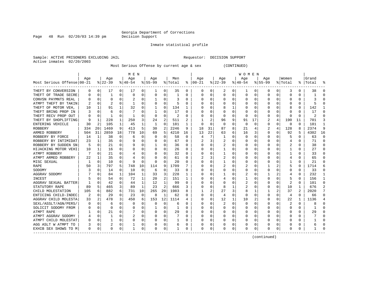Page  $48$  Run  $02/20/03$  14:39 pm

Inmate statistical profile

Sample: ACTIVE PRISONERS EXCLUDING JAIL **Requestor: DECISION SUPPORT** Active inmates 02/20/2003

Most Serious Offense by current age & sex (CONTINUED)

|                            |          |             |          |          | M E N     |    |           |                |         |          |          |          |          |          | <b>WOMEN</b> |          |              |          |                |                |       |          |
|----------------------------|----------|-------------|----------|----------|-----------|----|-----------|----------------|---------|----------|----------|----------|----------|----------|--------------|----------|--------------|----------|----------------|----------------|-------|----------|
|                            | Age      |             | Age      |          | Age       |    | Aqe       |                | Men     |          | Aqe      |          | Aqe      |          | Age          |          | Aqe          |          | Women          |                | Grand |          |
| Most Serious Offense 00-21 |          |             | $ 22-39$ |          | $8 40-54$ |    | $8 55-99$ |                | % Total | ႜ        | $ 00-21$ |          | $ 22-39$ |          | $ 40-54$     |          | $8155 - 99$  |          | % Total        | ႜႂ             | Total |          |
| THEFT BY CONVERSION        | 0        | 0           | 17       | 0        | 17        | 0  |           | 0              | 35      | 0        | 0        | 0        | 2        | 0        | ı            | 0        | 0            | 0        | 3              | 0              | 38    | ſ        |
| THEFT OF TRADE SECRE       | O        | 0           |          | 0        | $\Omega$  | 0  |           | $\Omega$       |         | O        | 0        | 0        | $\Omega$ | $\Omega$ | 0            | C        | <sup>0</sup> | O        | 0              | 0              |       |          |
| CONVSN PAYMNTS REAL        |          | $\Omega$    | $\Omega$ | O        |           | 0  |           | $\Omega$       | 3       | O        | C        | U        | $\Omega$ | $\Omega$ | 0            | C        |              | O        | O              | 0              | ς     |          |
| ATMPT THEFT BY TAKIN       |          | $\Omega$    | 2        | O        |           | U  |           | $\Omega$       | 5       | O        |          | U        | $\Omega$ | $\Omega$ | U            | C        |              |          |                | U              |       |          |
| THEFT OF MOTOR VEH,        | 10       | 1           | 91       |          | 32        | 0  |           | $\Omega$       | 134     |          |          | U        |          |          | 0            | C        |              |          |                | 0              | 142   |          |
| THEFT BRING PROP IN        |          | $\Omega$    | 6        | U        |           | 0  |           | 0              | 17      | 0        |          | O        |          | $\Omega$ | $\Box$       | C        |              |          |                | 0              | 17    |          |
| THEFT RECV PROP OUT        |          | $\mathbf 0$ | 1        | 0        | -1        | 0  | $\Omega$  | 0              | 2       | O        |          | 0        | $\Omega$ | 0        | 0            | O        |              | $\Omega$ | O              | 0              | 2     |          |
| THEFT BY SHOPLIFTING       | 9        | 1           | 228      | 1        | 250       | 3  | 24        | 2              | 511     | 2        |          | 2        | 96       | 9        | 91           | 17       | 2            | 4        | 190            | 11             | 701   |          |
| ENTERING VEHICLE           | 30       | 2           | 105      | 1        | 45        | 1  |           | 0              | 181     |          | 0        | $\Omega$ | 0        | $\Omega$ | $\Omega$     | $\Omega$ | 0            | 0        | $\Omega$       | 0              | 181   |          |
| <b>ROBBERY</b>             | 334      | 20          | 1469     | 9        | 413       | 5  | 30        | 2              | 2246    | 9        | 18       | 31       | 87       | 8        | 21           |          |              | 4        | 128            | 8              | 2374  | 9        |
| ARMED ROBBERY              | 504      | 31          | 2859     | 18       | 778       | 10 | 69        | 5              | 4210    | 16       | 13       | 22       | 63       | 6        | 16           | 3        | 0            | 0        | 92             | 5              | 4302  | 16       |
| ROBBERY BY FORCE           | 14       | 1           | 38       | 0        | 6         | 0  |           | 0              | 58      | $\Omega$ |          | 7        |          | $\Omega$ | 0            | C        | <sup>0</sup> | O        |                | 0              | 63    | $\Omega$ |
| ROBBERY BY INTIMIDAT       | 23       | 1           | 35       | $\Omega$ | 9         | 0  |           | 0              | 67      | 0        |          | 3        |          | O        | C            | C        | O            | O        | 4              | 0              | 71    | ∩        |
| ROBBERY BY SUDDEN SN       | 5        | 0           | 21       | 0        | 9         | 0  |           | 0              | 36      | 0        | O        | 0        |          | $\Omega$ | 0            | O        | O            | 0        |                | 0              | 38    | $\Omega$ |
| HIJACKING MOTOR VEHI       | 10       | 1           | 16       | 0        | 0         | 0  | O         | 0              | 26      | 0        | 0        | 0        |          | 0        | 0            | C        |              |          |                | 0              | 27    | O        |
| ATMPT ROBBERY              |          | 0           | 21       | 0        |           | 0  |           | 0              | 32      | 0        | 0        | 0        |          | 0        | 0            | C        |              |          |                | 0              | 33    | O        |
| ATMPT ARMED ROBBERY        | 22       | 1           | 35       | 0        |           | 0  |           | $\Omega$       | 61      | U        |          | 3        | 2        | 0        | C            | C        |              |          |                | 0              | 65    | n        |
| MISC SEXUAL                |          | $\Omega$    | 10       | 0        | 9         | 0  | $\Omega$  | $\Omega$       | 20      | U        | C        | O        |          | $\Omega$ | C            | C        |              |          |                | O              | 21    | ∩        |
| RAPE                       | 50       | 3           | 797      | 5        | 748       | 10 | 114       | 9              | 1709    |          | C        | U        |          | $\Omega$ |              | C        |              |          | 5              | U              | 1714  |          |
| SODOMY                     |          | O           | 14       | 0        | 10        | 0  | 6         | $\Omega$       | 33      | 0        | C        | U        | O        | O        | O            | C        |              | O        | O              | 0              | 33    |          |
| AGGRAV SODOMY              |          | O           | 84       | 1        | 104       | 1  | 33        | 3              | 228     | ı.       | O        | 0        |          | O        |              | C        |              |          | 4              | 0              | 232   |          |
| INCEST                     |          | O           | 54       | 0        | 72        | 1  | 20        | 2              | 151     |          |          | 0        |          | O        |              | C        |              | 0        | 5              | 0              | 156   |          |
| AGGRAV SEXUAL BATTER       |          | 0           | 42       | 0        | 44        | 1  | 12        | 1              | 99      | O        |          | O        | O        | $\Omega$ | 2            | C        |              | $\Omega$ | 2              | 0              | 101   | ∩        |
| STATUTORY RAPE             | 89       | 5           | 465      | 3        | 89        | 1  | 23        | $\overline{2}$ | 666     | 3        |          | O        | 8        |          | 2            | $\Omega$ |              | 0        | 10             | 1              | 676   |          |
| CHILD MOLESTATION          | 105      | 6           | 882      | 6        | 731       | 10 | 265       | 20             | 1983    | 8        |          | 2        | 27       | 3        | 8            |          |              | 2        | 37             | $\overline{2}$ | 2020  |          |
| ENTICING CHILD-INDEC       |          | 0           | 29       | $\Omega$ | 23        | 0  | 8         | $\mathbf{1}$   | 62      | O        | C        | 0        | 4        | $\Omega$ | 0            | C        |              | 0        | $\overline{4}$ | $\Omega$       | 66    | ∩        |
| AGGRAV CHILD MOLESTA       | 33       | 2           | 478      | 3        | 450       | 6  | 153       | 12             | 1114    | 4        | C        | 0        | 12       | 1        | 10           | 2        |              | 0        | 22             | 1              | 1136  |          |
| SEXL/ASSLT/AGN/PERS/       | $\Omega$ | $\Omega$    | 6        | O        | 0         | 0  | 0         | $\Omega$       | 6       | O        | C        | 0        |          | $\Omega$ | 0            | C        |              | O        | 2              | 0              | 8     | n        |
| SOLICIT SODOMY FROM        | O        | 0           | 0        | 0        | O         | 0  |           | 0              | -1      | O        | C        | 0        | 0        | O        | 0            | C        | n            | O        | O              | 0              |       | ∩        |
| ATMPT RAPE                 |          | 0           | 21       | 0        |           | 0  | O         | 0              | 29      | 0        | O        | 0        | O        | $\Omega$ | 0            | 0        |              | 0        | O              | 0              | 29    | ∩        |
| ATMPT AGGRAV SODOMY        |          | 0           |          | O        | 2         | 0  |           | 0              |         | O        | O        | 0        | O        | 0        | 0            | C        |              | O        |                | 0              |       | C        |
| ATMPT CHILD MOLESTAT       |          | 0           |          | 0        | 0         | 0  |           | $\Omega$       |         | 0        |          | 0        |          | 0        | 0            | C        |              | 0        |                | 0              |       |          |
| AGG ASLT W ATMPT TO        |          | 0           |          | 0        |           | 0  |           | 0              | 6       | 0        |          | 0        |          | 0        | C            | C        |              |          |                | 0              |       |          |
| EXHIB SEX SHOWS TO M       | 0        | 0           | $\Omega$ | 0        |           | 0  | $\Omega$  | 0              |         | 0        | $\Omega$ | 0        | 0        | 0        | 0            | 0        | <sup>0</sup> | 0        | O              | 0              |       |          |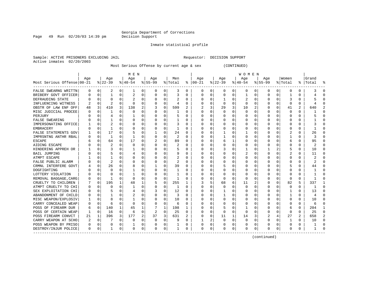Page 49 Run 02/20/03 14:39 pm

#### Inmate statistical profile

Sample: ACTIVE PRISONERS EXCLUDING JAIL **Requestor: DECISION SUPPORT** Active inmates 02/20/2003

Most Serious Offense by current age & sex (CONTINUED)

|                            | M E N |             |          |          |             |          |           |          |         |          |          | <b>WOMEN</b> |              |          |          |          |           |              |          |   |       |                |  |  |
|----------------------------|-------|-------------|----------|----------|-------------|----------|-----------|----------|---------|----------|----------|--------------|--------------|----------|----------|----------|-----------|--------------|----------|---|-------|----------------|--|--|
|                            | Aqe   |             | Age      |          | Age         |          | Aqe       |          | Men     |          | Aqe      |              | Aqe          |          | Age      |          | Aqe       |              | Women    |   | Grand |                |  |  |
| Most Serious Offense 00-21 |       |             | $ 22-39$ |          | $ 40-54$    |          | $8 55-99$ |          | % Total | ႜ        | $ 00-21$ |              | $ 22-39$     |          | $ 40-54$ |          | $8 55-99$ |              | % Total  | % | Total |                |  |  |
| FALSE SWEARNG WRITTN       | 0     | 0           | 2        | 0        | 1           | 0        | 0         | 0        | 3       | 0        | 0        | 0            | 0            | 0        | 0        | 0        | 0         | 0            | 0        | 0 |       | O              |  |  |
| BRIBERY GOVT OFFICER       | O     | 0           |          | 0        | 2           | 0        | O         | 0        | 3       | 0        | $\Omega$ | 0            | 0            | 0        |          | 0        | $\Omega$  | 0            |          | 0 |       | $\cap$         |  |  |
| DEFRAUDING STATE           |       | $\Omega$    | $\Omega$ | U        |             | $\Omega$ | O         | $\Omega$ | 2       | 0        | O        | 0            | 1            | $\Omega$ |          | $\Omega$ | $\Omega$  | 0            | 3        | 0 |       |                |  |  |
| INFLUENCING WITNESS        |       | $\Omega$    | 2        | O        | $\Omega$    | 0        | O         | 0        | 4       | U        |          | 0            | $\Omega$     | $\Omega$ | $\Omega$ | $\Omega$ | $\Omega$  | <sup>0</sup> | $\Omega$ | 0 |       |                |  |  |
| OBSTR OF LAW ENF OFF       | 48    | 3           | 410      | 3        | 138         | 2        |           | $\Omega$ | 599     | 2        |          | 3            | 29           | 3        | 10       | 2        | O         | 0            | 41       | 2 | 640   |                |  |  |
| MISC JUDICIAL PROCEE       |       | 0           | 1        | O        | $\Omega$    | O        |           | 0        |         | U        | O        | $\Omega$     | $\Omega$     | $\Omega$ | $\Omega$ | $\Omega$ | O         | 0            | $\Omega$ | 0 |       | n              |  |  |
| PERJURY                    |       | $\mathbf 0$ | 4        | $\Omega$ |             | 0        |           | 0        | 5       | 0        | O        | $\Omega$     | <sup>0</sup> | 0        | O        | $\Omega$ | O         | $\Omega$     | 0        | 0 |       |                |  |  |
| <b>FALSE SWEARING</b>      |       | $\mathbf 0$ |          | 0        | 0           | O        |           | 0        |         | 0        | 0        | $\Omega$     | 0            | 0        |          | $\Omega$ | O         | 0            | 0        | 0 |       | O              |  |  |
| IMPERSONATING OFFICE       |       | 0           | 2        | O        | 0           | 0        |           | 0        | 3       | 0        | 0        | 0            |              | 0        |          | $\Omega$ |           | 0            | 0        | 0 |       |                |  |  |
| EMBRACERY                  |       | $\mathbf 0$ | 1        | O        | C           | 0        |           | 0        |         | U        |          | 0            | 0            | 0        |          | $\Omega$ |           | 0            | 0        | U |       |                |  |  |
| FALSE STATEMENTS GOV       |       | 0           | 17       | O        | 5           | 0        |           | $\Omega$ | 24      | 0        |          | 0            |              | 0        |          | $\Omega$ | O         | 0            |          | 0 | 26    | n              |  |  |
| IMPRSNTNG ANTHR RBAL       |       | $\mathbf 0$ | 1        | 0        | 1           | 0        |           | 0        | 2       | $\Omega$ | C        | 0            | 1            | 0        | Ω        | $\Omega$ | $\Omega$  | 0            | 1        | 0 | 3     | $\cap$         |  |  |
| <b>ESCAPE</b>              |       | 0           | 64       | $\Omega$ | 17          | 0        |           | 0        | 89      | U        | C        | 0            | 6            | 1        | 0        | $\Omega$ | O         | 0            | 6        | 0 | 95    | $\Omega$       |  |  |
| AIDING ESCAPE              |       | 0           | 2        | 0        | 0           | 0        | O         | 0        | 2       | U        | $\Omega$ | $\Omega$     | 0            | 0        | 0        | $\Omega$ | $\Omega$  | <sup>0</sup> | 0        | 0 | 2     | $\Omega$       |  |  |
| HINDERING APPREH OR        |       | 0           | 3        | 0        |             | 0        | O         | $\Omega$ | 5       | 0        | 0        | 0            | 3            | 0        |          | 0        |           | 2            | 5        | 0 | 10    | $\Omega$       |  |  |
| BAIL JUMPING               |       | 0           | 5        | 0        |             | 0        | 0         | 0        | 9       | 0        | 0        | 0            | 0            | 0        | 2        | 0        | 0         | 0            | 2        | 0 | 11    | $\cap$         |  |  |
| ATMPT ESCAPE               |       | $\Omega$    |          |          | 0           | 0        |           | $\Omega$ | 2       | 0        |          | 0            | 0            | 0        | 0        | 0        | 0         |              | 0        | 0 |       | $\cap$         |  |  |
| FALSE PUBLIC ALARM         |       | $\mathbf 0$ |          |          | 0           | 0        |           | $\Omega$ | 2       | U        | O        | 0            | 0            | 0        | 0        | $\Omega$ | $\Omega$  |              | 0        | U | 2     |                |  |  |
| CRMNL INTERFERE GOVT       |       | $\Omega$    | 26       | O        | 8           | O        |           | 0        | 39      | U        | C        | 0            |              | 0        | O        | $\Omega$ | $\Omega$  | <sup>0</sup> | 5        | 0 | 44    | C              |  |  |
| DOGFIGHTING                |       | 0           | O        |          |             | U        |           | O        |         | U        | O        | 0            | O            | O        | Ω        | $\Omega$ |           | 0            | O        | 0 |       |                |  |  |
| LOTTERY VIOLATION          |       | $\Omega$    | O        | U        |             | 0        |           | $\Omega$ |         | U        | 0        | $\Omega$     | 0            | 0        | $\Omega$ | $\Omega$ |           | 0            | O        | 0 |       | n              |  |  |
| REMOVAL BAGGAGE, CARG      |       | $\Omega$    | 1        | 0        | $\Omega$    | 0        |           | $\Omega$ |         | 0        |          | $\Omega$     | $\Omega$     | $\Omega$ | 0        | $\Omega$ |           | $\Omega$     | n        | 0 |       | n              |  |  |
| CRUELTY TO CHILDREN        |       | $\mathbf 0$ | 195      | 1        | 48          | 1        | 5         | 0        | 255     | 1        | 3        | 5            | 68           | 6        | 11       | 2        | O         | $\Omega$     | 82       | 5 | 337   |                |  |  |
| ATMPT CRUELTY TO CHI       |       | $\mathbf 0$ | $\Omega$ | $\Omega$ | 1           | 0        |           | 0        | -1      | O        | O        | 0            | $\Omega$     | $\Omega$ | $\Omega$ | $\Omega$ | $\Omega$  | $\Omega$     | $\Omega$ | 0 |       | $\cap$         |  |  |
| SEX EXPLOITATION CHI       |       | $\mathbf 0$ |          | O        | 4           | 0        |           | 0        | 12      | U        |          | 0            |              | 0        |          | $\Omega$ | $\Omega$  | 0            |          | U | 13    | $\bigcap$      |  |  |
| ABANDONMENT OF CHILD       | 0     | $\Omega$    |          |          |             | 0        |           | $\Omega$ | 3       | U        |          | 0            | 1            | 0        | 0        | $\Omega$ | $\Omega$  | 0            |          | 0 | 4     | $\cap$         |  |  |
| MISC WEAPON/EXPLOSIV       |       | 0           | 8        | O        | 1           | 0        | O         | 0        | 10      | 0        | C        | 0            | 0            | 0        | 0        | $\Omega$ | $\Omega$  | 0            | 0        | 0 | 10    | $\Omega$       |  |  |
| CARRY CONCEALED WEAP       | O     | $\Omega$    | 6        | $\Omega$ | $\Omega$    | 0        | O         | $\Omega$ | 6       | 0        | C        | $\Omega$     | 0            | 0        | 0        | $\Omega$ | O         | 0            | 0        | 0 | 6     | $\cap$         |  |  |
| POSS OF FIREARM DUR        | 6     | 0           | 140      | 1        | 45          | 1        |           | 1        | 198     | 1        | C        | 0            | 5            | 0        | 1        | $\Omega$ | O         | 0            | 6        | 0 | 204   | -1             |  |  |
| POSS OF CERTAIN WEAP       | ٦     | 0           | 16       | $\Omega$ | 6           | 0        | 2         | 0        | 25      | 0        | $\Omega$ | 0            | $\Omega$     | $\Omega$ | 0        | $\Omega$ | $\Omega$  | 0            | $\Omega$ | U | 25    | $\Omega$       |  |  |
| POSS FIREARM CONVCT        | 21    | 1           | 396      | 3        | 177         | 2        | 37        | 3        | 631     | 2        | $\Omega$ | 0            | 11           | 1        | 14       | 3        | 2         |              | 27       | 2 | 658   | $\overline{2}$ |  |  |
| CARRY WEAPON AT SCHO       | 2     | 0           |          | 0        | 0           | 0        | 0         | 0        | 9       | 0        |          | 2            | 0            | $\Omega$ | $\Omega$ | 0        | $\Omega$  | 0            | 1        | 0 | 10    | $\Omega$       |  |  |
| POSS WEAPON BY PRISO       | 0     | 0           | 0        | 0        |             | 0        | 0         | 0        |         | 0        | 0        | 0            |              | 0        | 0        | 0        | 0         | 0            | 0        | 0 |       | C              |  |  |
| DESTROY/INJUR POLICE       | 0     | 0           |          | 0        | $\mathbf 0$ | 0        | 0         | 0        |         | 0        | $\Omega$ | 0            | 0            | 0        | $\Omega$ | 0        | $\Omega$  | 0            | $\Omega$ | 0 |       |                |  |  |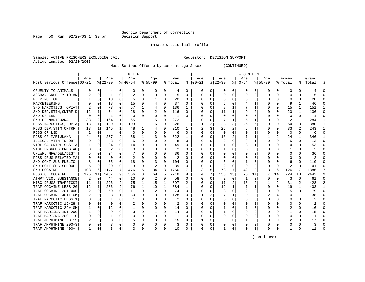Page 50 Run  $02/20/03$  14:39 pm

#### Inmate statistical profile

Sample: ACTIVE PRISONERS EXCLUDING JAIL **Requestor: DECISION SUPPORT** Active inmates 02/20/2003

Most Serious Offense by current age & sex (CONTINUED)

|                            | M E N |          |           |              |                |          |           |          |         |              |                | W O M E N |                |                |          |          |             |          |             |                |       |          |  |
|----------------------------|-------|----------|-----------|--------------|----------------|----------|-----------|----------|---------|--------------|----------------|-----------|----------------|----------------|----------|----------|-------------|----------|-------------|----------------|-------|----------|--|
|                            | Age   |          | Age       |              | Age            |          | Age       |          | Men     |              | Age            |           | Age            |                | Age      |          | Age         |          | Women       |                | Grand |          |  |
| Most Serious Offense 00-21 |       |          | $8 22-39$ |              | $8 40-54$      |          | $8 55-99$ |          | % Total |              | $8   00 - 21$  |           | $ 22-39$       |                | $ 40-54$ |          | $8155 - 99$ |          | % Total     | ႜၟ             | Total |          |  |
| CRUELTY TO ANIMALS         | 0     | 0        | 4         | $\Omega$     | O              | 0        | n         | 0        | 4       | 0            | 0              | 0         | O              | 0              | 0        | 0        | n           | 0        | 0           | 0              | 4     | C        |  |
| AGGRAV CRUELTY TO AN       | 2     | $\Omega$ | 1         | 0            | $\overline{2}$ | 0        | O         | $\Omega$ | 5       | 0            | 0              | 0         | $\Omega$       | 0              | 0        | O        | $\Omega$    | 0        | U           | 0              | 5     |          |  |
| PEEPING TOM                |       | $\Omega$ | 13        | $\Omega$     |                | 0        |           | $\Omega$ | 20      | 0            | 0              | 0         | $\Omega$       | $\Omega$       | 0        | O        |             | 0        | U           | U              | 20    |          |  |
| RACKETEERING               | U     | O        | 18        | $\Omega$     | 15             | 0        |           | $\Omega$ | 37      | 0            | O              | 0         |                | $\Omega$       |          | -1       |             | $\Omega$ | 9           | 1              | 46    |          |  |
| S/D NARCOTICS, OPIAT       | 2     | $\Omega$ | 73        | $\Omega$     | 57             | 1        |           | $\Omega$ | 136     | 1            | 0              | 0         | 8              |                |          | -1       |             | $\Omega$ | 15          | 1              | 151   |          |  |
| S/D DEP, STIM, CNTRF D     | 12    |          | 74        | $\Omega$     | 28             | $\Omega$ | 2         | $\Omega$ | 116     | 0            | 0              | 0         | 11             |                | 9        | 2        |             | $\Omega$ | 20          | $\mathbf{1}$   | 136   | ſ        |  |
| S/D OF LSD                 | 0     | 0        | -1        | $\Omega$     | 0              | 0        |           | 0        | 1       | 0            | 0              | 0         | O              | 0              | 0        | O        |             | 0        | $\mathbf 0$ | 0              | 1     | ſ        |  |
| S/D OF MARIJUANA           | 38    | 2        | 164       | 1            | 65             |          |           | 0        | 272     | 1            | 0              | 0         |                | 1              | 5        |          |             | 0        | 12          | 1              | 284   |          |  |
| POSS NARCOTICS, OPIA       | 18    | 1        | 199       | 1            | 103            | 1        |           | $\Omega$ | 326     | 1            |                | 2         | 28             | 3              | 25       | 5        |             | 0        | 54          | 3              | 380   |          |  |
| POSS DEP, STIM, CNTRF      | 13    | 1        | 145       |              | 48             | 1        |           | $\Omega$ | 210     | $\mathbf{1}$ | $\overline{2}$ | 3         | 25             | $\overline{2}$ | 6        |          |             | 0        | 33          | $\overline{a}$ | 243   | -1       |  |
| POSS OF LSD                | 2     | 0        | 4         | 0            | 0              | 0        | O         | 0        | 6       | 0            | <sup>0</sup>   | 0         | 0              | 0              | 0        | O        | n           | 0        | 0           | 0              | 6     | ∩        |  |
| POSS OF MARIJUANA          | 44    | 3        | 237       |              | 38             | 1        | 3         | $\Omega$ | 322     | 1            | O              | 0         | 16             | 2              |          |          |             | 2        | 24          | 1              | 346   | -1       |  |
| ILLEGAL ATTM TO OBT        | O     | 0        | 3         | <sup>0</sup> | 5              | 0        |           | 0        | 8       | U            | O              | 0         | 2              | $\Omega$       | 3        |          |             |          | 5           | U              | 13    | O        |  |
| VIOL GA CNTRL SBST A       |       | 0        | 34        |              | 14             | 0        |           | 0        | 49      | U            | 0              | 0         |                | 0              | 3        |          |             |          | 4           | 0              | 53    |          |  |
| VIOL DNGROUS DRGS AC       | U     | $\Omega$ |           |              | $\Omega$       | 0        |           | $\Omega$ |         | U            | O              | 0         |                | $\Omega$       | U        | U        |             |          | 1           | O              | 3     |          |  |
| UNLWFL MFG/DEL/DIST        | 5     | $\Omega$ | 24        |              |                | O        |           | $\Omega$ | 36      | U            | O              | U         |                | $\Omega$       | 0        |          |             |          | $\Omega$    | 0              | 36    |          |  |
| POSS DRUG RELATED MA       | U     | $\Omega$ | $\Omega$  | $\Omega$     | $\overline{c}$ | 0        |           | $\Omega$ | 2       | U            | <sup>0</sup>   | U         | $\Omega$       | $\Omega$       | U        |          |             |          | O           | U              | 2     |          |  |
| S/D CONT SUB PUBLIC        | 8     | O        | 75        | $\Omega$     | 18             | 0        |           | $\Omega$ | 104     | U            | Ω              | 0         |                | $\Omega$       |          | O        |             | 0        | 6           | 0              | 110   |          |  |
| S/D CONT SUB SCHOOL        | 5     | $\Omega$ | 29        | $\Omega$     | 3              | 0        | 2         | $\Omega$ | 39      | U            | 0              | 0         | 2              | $\Omega$       | 0        | 0        |             | $\Omega$ | 2           | 0              | 41    | U        |  |
| S/D COCAINE                | 103   | 6        | 1147      | 7            | 476            | 6        | 34        | 3        | 1760    |              | 3              | 5         | 78             | 7              | 42       | 8        | 3           | 6        | 126         | 7              | 1886  |          |  |
| POSS OF COCAINE            | 176   | 11       | 1407      | 9            | 566            | 8        | 69        | 5        | 2218    | 9            |                | 7         | 138            | 13             | 75       | 14       |             | 14       | 224         | 13             | 2442  | 9        |  |
| ATMPT VIOL SUBSTANCE       | 2     | $\Omega$ | 44        | $\Omega$     | 10             | $\Omega$ | 2         | 0        | 58      | 0            | 0              | 0         | $\overline{2}$ | $\Omega$       | 1        | $\Omega$ | $\Omega$    | $\Omega$ | 3           | $\Omega$       | 61    | ſ        |  |
| MISC DRUGS TRAFFICKI       | 11    | 1        | 296       | 2            | 75             | 1        | 15        | 1        | 397     | 2            | 0              | 0         | 17             | 2              | 13       | 2        |             | 2        | 31          | 2              | 428   |          |  |
| TRAF COCAINE LESS 20       | 12    | 1        | 286       | 2            | 76             | 1        | 10        | 1        | 384     | 1            | 0              | 0         | 12             | 1              |          | 1        | $\Omega$    | 0        | 19          | $\mathbf{1}$   | 403   |          |  |
| TRAF COCAINE 201-400       | 2     | 0        | 59        | $\Omega$     | 11             | 0        | 2         | $\Omega$ | 74      | 0            | O              | 0         | 3              | $\Omega$       | 2        | O        | $\Omega$    | 0        | 5           | 0              | 79    | $\Omega$ |  |
| TRAF COCAINE 401+ GM       | 2     | 0        | 93        |              | 30             | 0        |           | 0        | 128     | 0            |                | 2         |                |                | 0        | 0        |             | 4        | 10          | 1              | 138   | O        |  |
| TRAF NARCOTIC LESS 1       | 0     | 0        |           | $\Omega$     | 1              | 0        |           | 0        | 2       | U            | <sup>0</sup>   | 0         | O              | $\Omega$       | 0        | O        |             | 0        | 0           | 0              | 2     | ∩        |  |
| TRAF NARCOTIC 15-28        | 0     | 0        | $\Omega$  | $\Omega$     | 2              | 0        |           | $\Omega$ | 2       | U            | O              | 0         | 0              | $\Omega$       | 0        | O        |             | 0        | 0           | 0              | 2     | n        |  |
| TRAF NARCOTIC 29+ GM       | 1     | 0        | 12        |              |                | 0        |           | $\Omega$ | 14      | U            | Ω              | 0         |                | $\Omega$       |          | O        |             |          | 2           | U              | 16    | n        |  |
| TRAF MARIJNA 101-200       |       | 0        | 9         |              | 3              | 0        |           | $\Omega$ | 14      | 0            | 0              | 0         |                | $\Omega$       | 0        | O        |             |          | 1           | 0              | 15    |          |  |
| TRAF MARIJNA 2001-10       | U     | $\Omega$ |           | $\Omega$     | C              | 0        | O         | $\Omega$ | 1       | O            | 0              | 0         | $\Omega$       | $\Omega$       | 0        | O        |             | 0        | $\Omega$    | U              | -1    |          |  |
| TRAF AMPHTMINE 28-19       | 2     | $\Omega$ | 8         | $\Omega$     |                | 0        | O         | $\Omega$ | 15      | 0            |                | 2         | $\Omega$       | $\Omega$       |          | O        | $\Omega$    | 0        | 2           | 0              | 17    |          |  |
| TRAF AMPHTMINE 200-3       | U     | O        | 3         | $\Omega$     | 0              | 0        |           | 0        | 3       | 0            | 0              | 0         |                | $\Omega$       | 0        | O        |             | 0        | U           | U              | 3     |          |  |
| TRAF AMPHTMINE 400+        | 1     | 0        | 6         | 0            | 3              | 0        | $\Omega$  | 0        | 10      | 0            | $\Omega$       | 0         |                | 0              | 0        | 0        | n           | 0        |             | 0              | 11    |          |  |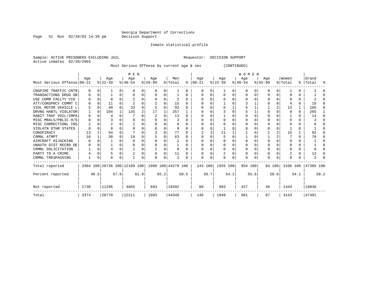Inmate statistical profile

Active inmates 02/20/2003

Sample: ACTIVE PRISONERS EXCLUDING JAIL **Requestor: DECISION SUPPORT** 

Most Serious Offense by current age & sex (CONTINUED)

|                            |          |          |           |          | M E N     |      |                                                 |              |         |      | <b>WOMEN</b> |         |           |          |           |          |           |        |         |      |                    |      |  |  |
|----------------------------|----------|----------|-----------|----------|-----------|------|-------------------------------------------------|--------------|---------|------|--------------|---------|-----------|----------|-----------|----------|-----------|--------|---------|------|--------------------|------|--|--|
|                            | Age      |          | Age       |          | Age       |      | Age                                             |              | Men     |      | Age          |         | Age       |          | Age       |          | Age       |        | Women   |      | Grand              |      |  |  |
| Most Serious Offense 00-21 |          |          | $ 22-39 $ |          | $ 40-54 $ |      | $ 55-99 $                                       |              | % Total | ⊱    | $ 00-21$     |         | $ 22-39 $ |          | $ 40-54 $ |          | $ 55-99 $ |        | % Total |      | %   Total          | ႜ    |  |  |
| CNSPIRE TRAFFIC CNTR       | 0        | n        |           | 0        | O         | 0    | O                                               | 0            |         | U    | O            | 0       |           | O        | 0         | 0        | O         | 0      |         |      |                    |      |  |  |
| TRANSACTIONS DRUG OB       | 0        | 0        |           | 0        |           | 0    |                                                 | 0            |         | 0    | $\Omega$     | 0       | $\Omega$  | 0        | $\Omega$  | $\Omega$ | O         | 0      |         | 0    |                    |      |  |  |
| USE COMM FACLTY VIO        |          | $\Omega$ |           |          |           | O    |                                                 | <sup>0</sup> | 2       | U    |              |         |           | O        |           |          |           |        |         | 0    |                    |      |  |  |
| ATT/CONSPRCY COMMT C       | 0        | n        | 11        |          |           | 0    |                                                 | O            | 15      | U    |              |         |           |          |           |          |           |        |         | 0    | 19                 |      |  |  |
| VIOL MOTOR VEHICLE L       | 5        | n        | 49        |          | 33        | 0    |                                                 | O            | 92      |      |              |         |           |          | 6         |          |           |        | 13      |      | 105                |      |  |  |
| DRVNG HABTL VIOLATOR       |          | $\Omega$ | 104       |          | 135       | 2    | 17                                              |              | 257     |      |              |         |           | O        |           |          |           |        | 8       | 0    | 265                |      |  |  |
| HABIT TRAF VOIL/IMPA       | 0        | n        |           | 0        |           | O    | 2                                               | O            | 13      | U    |              | 0       |           | O        |           | C        |           |        |         | U    | 14                 |      |  |  |
| MISC MRALS/PBLIC H/S       | O        |          |           |          | O         | U    |                                                 |              |         | U    |              |         |           |          |           |          |           |        |         | U    |                    |      |  |  |
| MISC CORRECTIONL INS       |          |          |           |          |           | O    |                                                 | O            | 6       |      |              |         |           |          |           |          |           |        |         | U    |                    |      |  |  |
| VIOLATN OTHR STATES        | O        |          | U         |          |           | 0    |                                                 | 0            | 0       | U    |              |         |           |          |           |          |           |        |         | 0    |                    |      |  |  |
| CONSPIRACY                 | 13       |          | 54        |          |           | U    |                                                 | 0            | 77      | U    |              | 3       | 11        |          |           |          |           |        | 15      |      | 92                 |      |  |  |
| CRMNL ATMPT                | 10       |          | 30        | 0        | 18        | 0    |                                                 | O            | 63      |      |              |         |           | O        |           |          |           |        |         |      | 70                 |      |  |  |
| AIRCRAFT HIJACKING         | $\left($ |          |           |          |           | U    |                                                 |              |         |      |              |         |           |          |           |          |           |        |         |      |                    |      |  |  |
| UNAUTH DIST RECRD DE       | $\Omega$ | n        |           |          |           | 0    |                                                 | O            |         |      |              |         |           | O        |           |          | U         |        |         | 0    |                    |      |  |  |
| CRMNL SOLICITATION         |          | $\Omega$ |           | $\Omega$ |           | 0    |                                                 | O            | 8       | U    |              | 0       |           | $\Omega$ |           |          |           |        |         | N    |                    |      |  |  |
| PARTY TO A CRIME           |          |          | 5         |          |           | 0    |                                                 | 0            | 11      | U    |              |         |           | 0        |           |          |           |        |         | 0    | 13                 |      |  |  |
| CRMNL TRESPASSING          |          | 0        | 0         | 0        |           | 0    |                                                 | 0            | 2       |      |              | 0       |           | O        | $\Omega$  |          | O         | O      |         |      |                    |      |  |  |
| Total reported             |          |          |           |          |           |      | 3364 100 26736 100 12189 100 1990 100 44279 100 |              |         |      |              | 143 100 | 1925 100  |          | 954 100   |          |           | 84 100 |         |      | 3106 100 47385 100 |      |  |  |
| Percent reported           |          | 48.5     |           | 57.8     |           | 61.8 |                                                 | 65.2         |         | 58.5 |              | 39.7    |           | 54.2     |           | 55.6     |           | 58.6   |         | 54.1 |                    | 58.2 |  |  |
| Not reported               | 1738     |          | 11296     | 4665     |           |      | 693                                             |              | 18392   |      | 88           |         | 893       |          | 427       |          | 36        |        | 1444    |      | 19836              |      |  |  |
| Total                      | 3374     |          | 26770     |          | 12211     |      | 1993                                            |              | 44348   |      | 146          |         | 1949      |          | 961       |          | 87        |        | 3143    |      | 47491              |      |  |  |